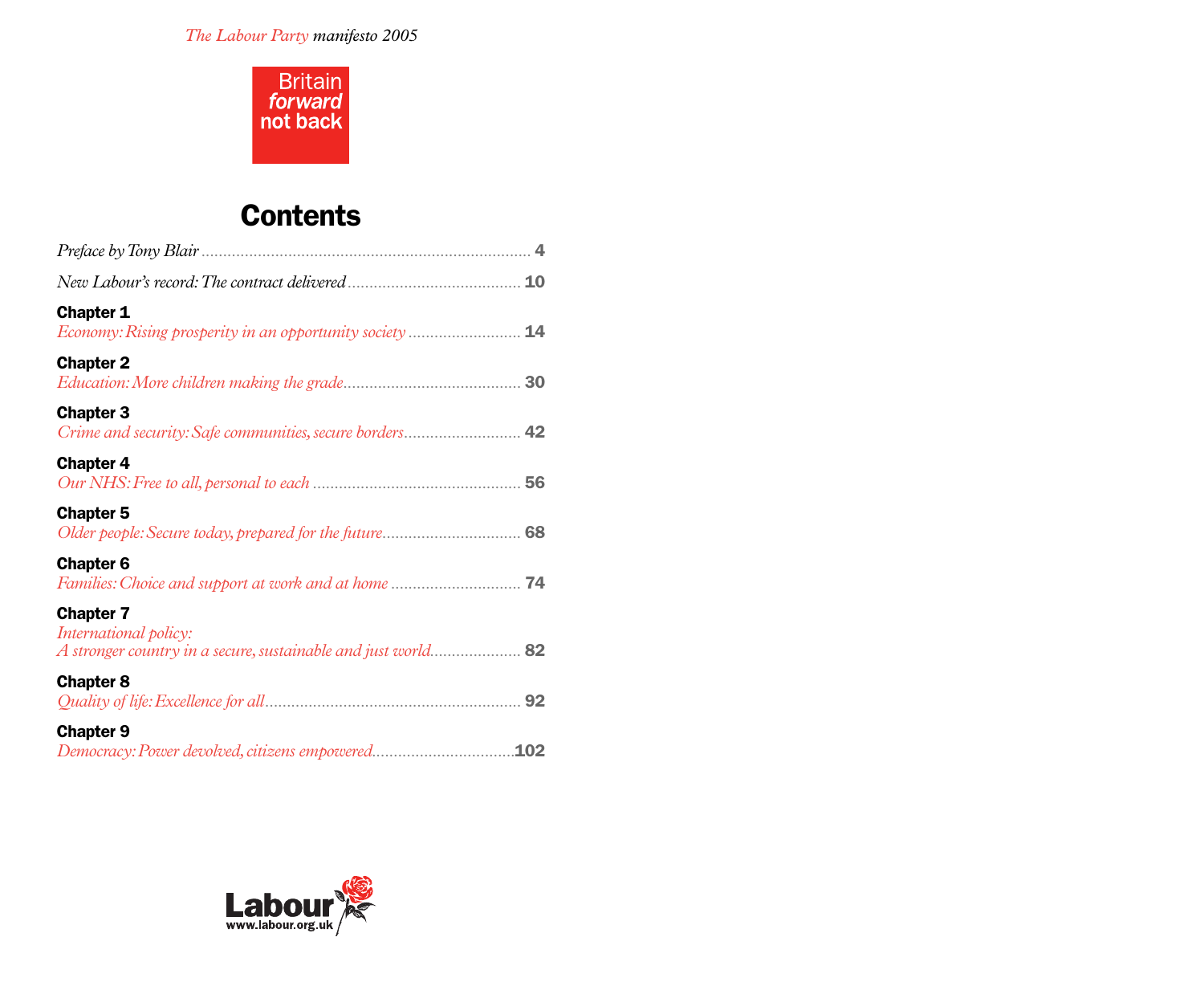

## **Contents**

| <b>Chapter 1</b><br>Economy: Rising prosperity in an opportunity society  14                               |
|------------------------------------------------------------------------------------------------------------|
| <b>Chapter 2</b>                                                                                           |
| <b>Chapter 3</b>                                                                                           |
| <b>Chapter 4</b>                                                                                           |
| <b>Chapter 5</b><br>Older people: Secure today, prepared for the future 68                                 |
| <b>Chapter 6</b><br>Families: Choice and support at work and at home  74                                   |
| <b>Chapter 7</b><br>International policy:<br>A stronger country in a secure, sustainable and just world 82 |
| <b>Chapter 8</b>                                                                                           |
| <b>Chapter 9</b>                                                                                           |

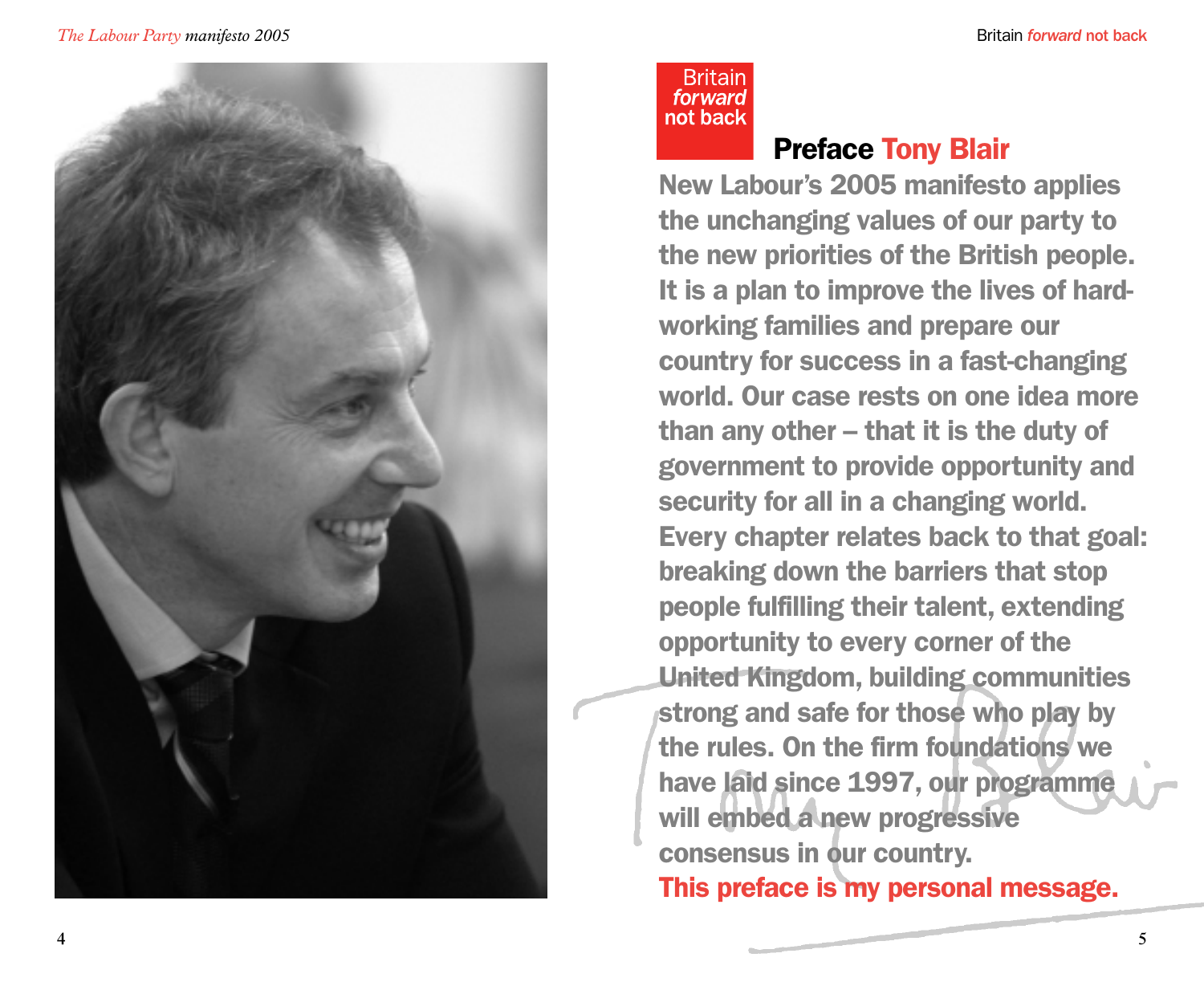

## **Britain** forward not back

## **Preface Tony Blair**

**New Labour's 2005 manifesto applies the unchanging values of our party to the new priorities of the British people. It is a plan to improve the lives of hardworking families and prepare our country for success in a fast-changing world. Our case rests on one idea more than any other – that it is the duty of government to provide opportunity and security for all in a changing world. Every chapter relates back to that goal: breaking down the barriers that stop people fulfilling their talent, extending opportunity to every corner of the United Kingdom, building communities strong and safe for those who play by the rules. On the firm foundations we have laid since 1997, our programme will embed a new progressive consensus in our country. This preface is my personal message.**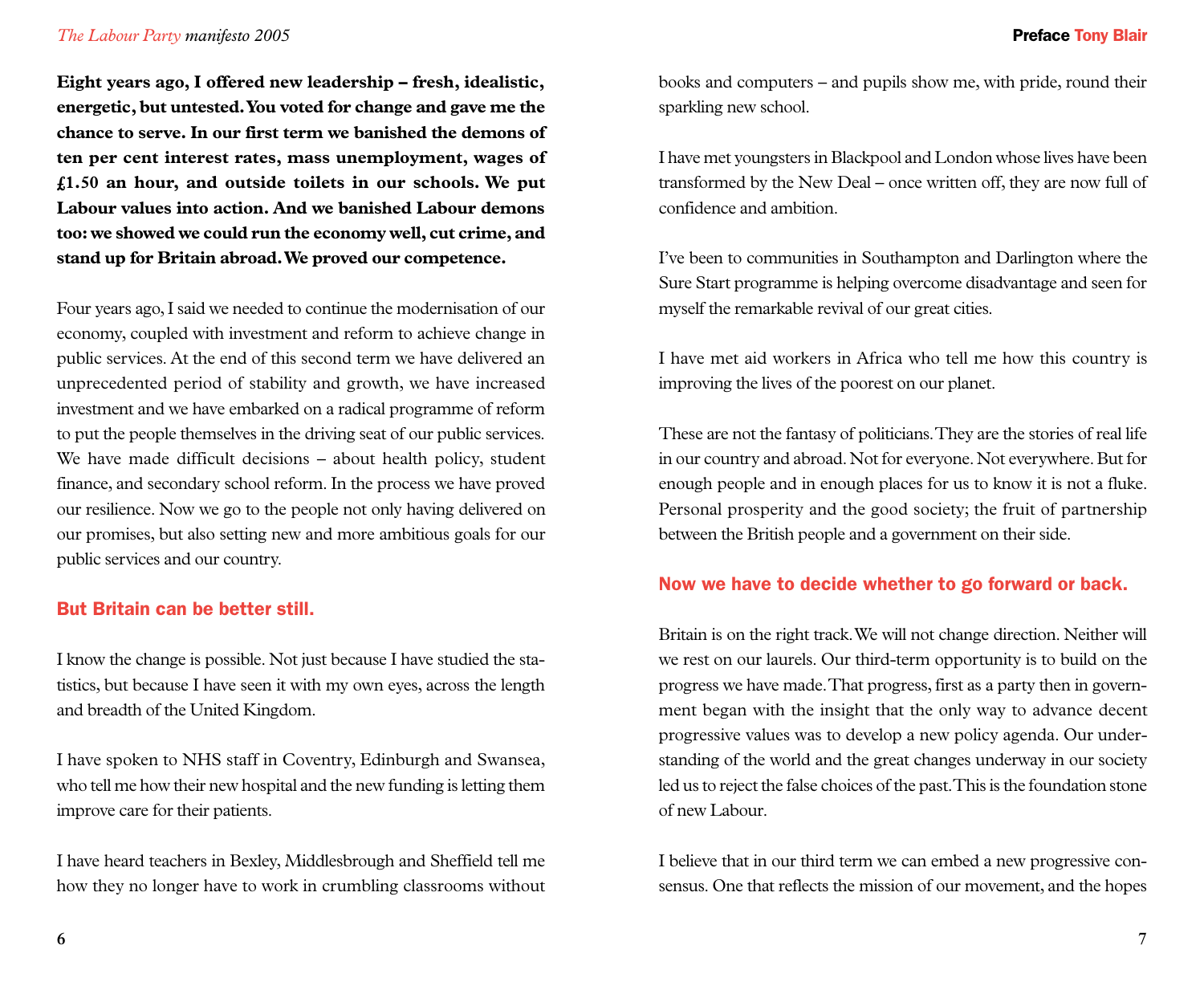**Eight years ago, I offered new leadership – fresh, idealistic, energetic, but untested.You voted for change and gave me the chance to serve. In our first term we banished the demons of ten per cent interest rates, mass unemployment, wages of £1.50 an hour, and outside toilets in our schools. We put Labour values into action. And we banished Labour demons too:we showed we could run the economy well, cut crime, and stand up for Britain abroad.We proved our competence.**

Four years ago, I said we needed to continue the modernisation of our economy, coupled with investment and reform to achieve change in public services. At the end of this second term we have delivered an unprecedented period of stability and growth, we have increased investment and we have embarked on a radical programme of reform to put the people themselves in the driving seat of our public services. We have made difficult decisions – about health policy, student finance, and secondary school reform. In the process we have proved our resilience. Now we go to the people not only having delivered on our promises, but also setting new and more ambitious goals for our public services and our country.

#### **But Britain can be better still.**

I know the change is possible. Not just because I have studied the statistics, but because I have seen it with my own eyes, across the length and breadth of the United Kingdom.

I have spoken to NHS staff in Coventry, Edinburgh and Swansea, who tell me how their new hospital and the new funding is letting them improve care for their patients.

I have heard teachers in Bexley, Middlesbrough and Sheffield tell me how they no longer have to work in crumbling classrooms without books and computers – and pupils show me, with pride, round their sparkling new school.

I have met youngsters in Blackpool and London whose lives have been transformed by the New Deal – once written off, they are now full of confidence and ambition.

I've been to communities in Southampton and Darlington where the Sure Start programme is helping overcome disadvantage and seen for myself the remarkable revival of our great cities.

I have met aid workers in Africa who tell me how this country is improving the lives of the poorest on our planet.

These are not the fantasy of politicians.They are the stories of real life in our country and abroad. Not for everyone. Not everywhere. But for enough people and in enough places for us to know it is not a fluke. Personal prosperity and the good society; the fruit of partnership between the British people and a government on their side.

## **Now we have to decide whether to go forward or back.**

Britain is on the right track.We will not change direction. Neither will we rest on our laurels. Our third-term opportunity is to build on the progress we have made.That progress, first as a party then in government began with the insight that the only way to advance decent progressive values was to develop a new policy agenda. Our understanding of the world and the great changes underway in our society led us to reject the false choices of the past.This is the foundation stone of new Labour.

I believe that in our third term we can embed a new progressive consensus. One that reflects the mission of our movement, and the hopes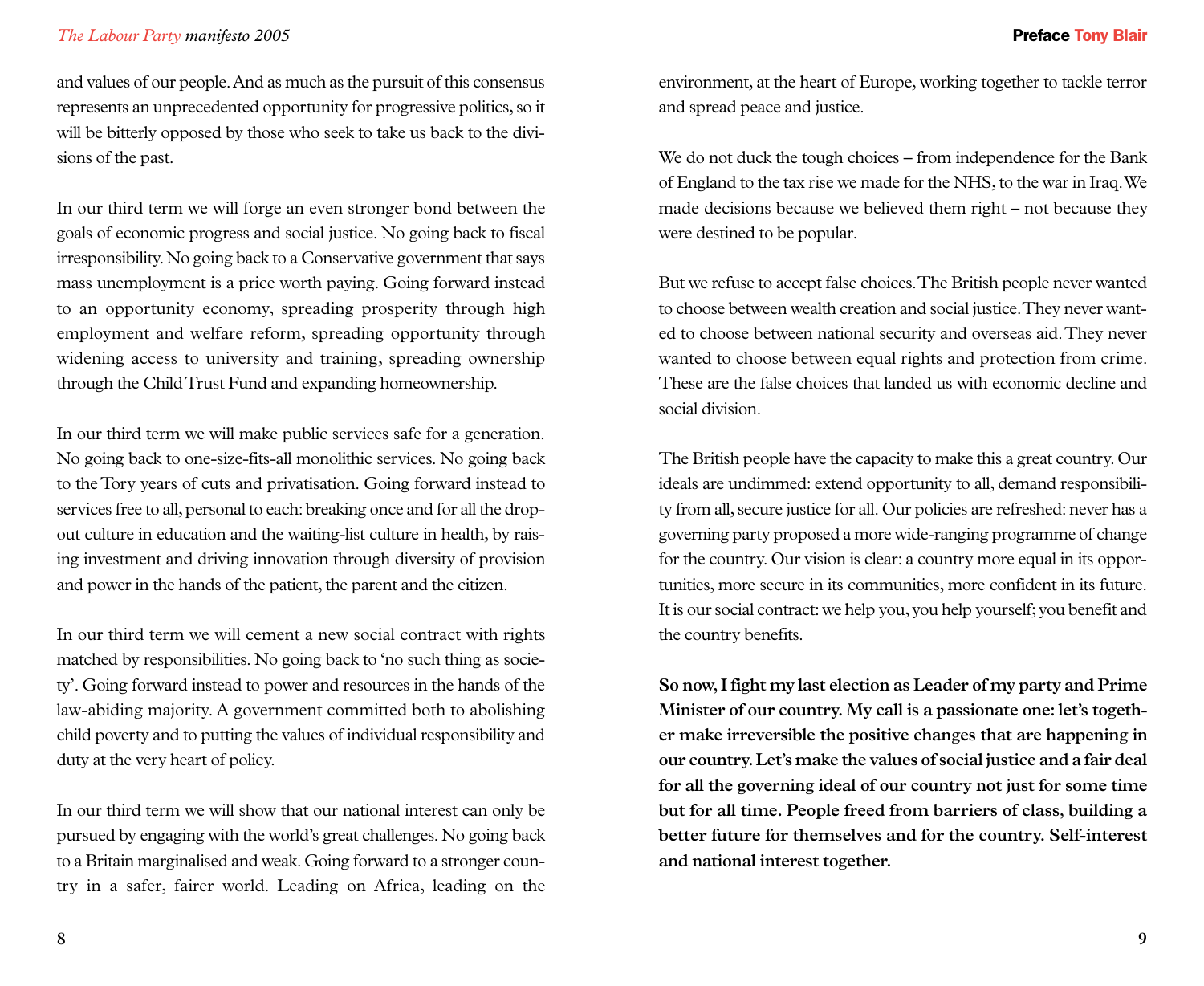and values of our people.And as much as the pursuit of this consensus represents an unprecedented opportunity for progressive politics, so it will be bitterly opposed by those who seek to take us back to the divisions of the past.

In our third term we will forge an even stronger bond between the goals of economic progress and social justice. No going back to fiscal irresponsibility. No going back to a Conservative government that says mass unemployment is a price worth paying. Going forward instead to an opportunity economy, spreading prosperity through high employment and welfare reform, spreading opportunity through widening access to university and training, spreading ownership through the Child Trust Fund and expanding homeownership.

In our third term we will make public services safe for a generation. No going back to one-size-fits-all monolithic services. No going back to the Tory years of cuts and privatisation. Going forward instead to services free to all, personal to each: breaking once and for all the dropout culture in education and the waiting-list culture in health, by raising investment and driving innovation through diversity of provision and power in the hands of the patient, the parent and the citizen.

In our third term we will cement a new social contract with rights matched by responsibilities. No going back to 'no such thing as society'. Going forward instead to power and resources in the hands of the law-abiding majority. A government committed both to abolishing child poverty and to putting the values of individual responsibility and duty at the very heart of policy.

In our third term we will show that our national interest can only be pursued by engaging with the world's great challenges. No going back to a Britain marginalised and weak. Going forward to a stronger country in a safer, fairer world. Leading on Africa, leading on the environment, at the heart of Europe, working together to tackle terror and spread peace and justice.

We do not duck the tough choices – from independence for the Bank of England to the tax rise we made for the NHS, to the war in Iraq.We made decisions because we believed them right – not because they were destined to be popular.

But we refuse to accept false choices.The British people never wanted to choose between wealth creation and social justice.They never wanted to choose between national security and overseas aid.They never wanted to choose between equal rights and protection from crime. These are the false choices that landed us with economic decline and social division.

The British people have the capacity to make this a great country. Our ideals are undimmed: extend opportunity to all, demand responsibility from all, secure justice for all. Our policies are refreshed: never has a governing party proposed a more wide-ranging programme of change for the country. Our vision is clear: a country more equal in its opportunities, more secure in its communities, more confident in its future. It is our social contract: we help you, you help yourself; you benefit and the country benefits.

**So now, I fight my last election as Leader of my party and Prime Minister of our country. My call is a passionate one: let's together make irreversible the positive changes that are happening in our country.Let's make the values of social justice and a fair deal for all the governing ideal of our country not just for some time but for all time. People freed from barriers of class, building a better future for themselves and for the country. Self-interest and national interest together.**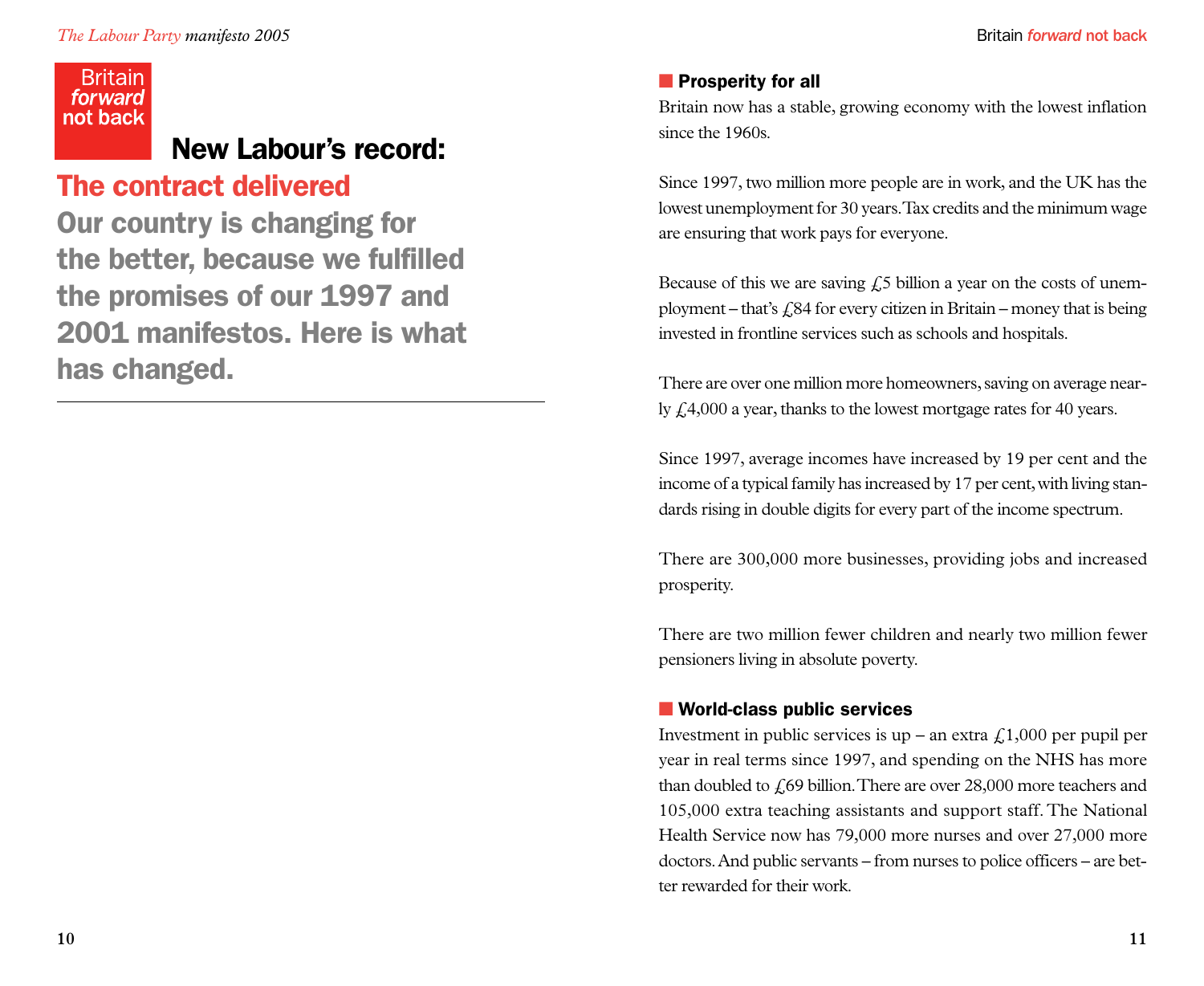

## **New Labour's record:**

## **The contract delivered**

**Our country is changing for the better, because we fulfilled the promises of our 1997 and 2001 manifestos. Here is what has changed.**

## ■ **Prosperity for all**

Britain now has a stable, growing economy with the lowest inflation since the 1960s.

Since 1997, two million more people are in work, and the UK has the lowest unemployment for 30 years.Tax credits and the minimum wage are ensuring that work pays for everyone.

Because of this we are saving  $f<sub>i</sub>$  5 billion a year on the costs of unemployment – that's  $f_1$ 84 for every citizen in Britain – money that is being invested in frontline services such as schools and hospitals.

There are over one million more homeowners, saving on average nearly £4,000 a year, thanks to the lowest mortgage rates for 40 years.

Since 1997, average incomes have increased by 19 per cent and the income of a typical family has increased by 17 per cent, with living standards rising in double digits for every part of the income spectrum.

There are 300,000 more businesses, providing jobs and increased prosperity.

There are two million fewer children and nearly two million fewer pensioners living in absolute poverty.

## ■ **World-class public services**

Investment in public services is up – an extra  $\ell$ , 1,000 per pupil per year in real terms since 1997, and spending on the NHS has more than doubled to £69 billion.There are over 28,000 more teachers and 105,000 extra teaching assistants and support staff.The National Health Service now has 79,000 more nurses and over 27,000 more doctors.And public servants – from nurses to police officers – are better rewarded for their work.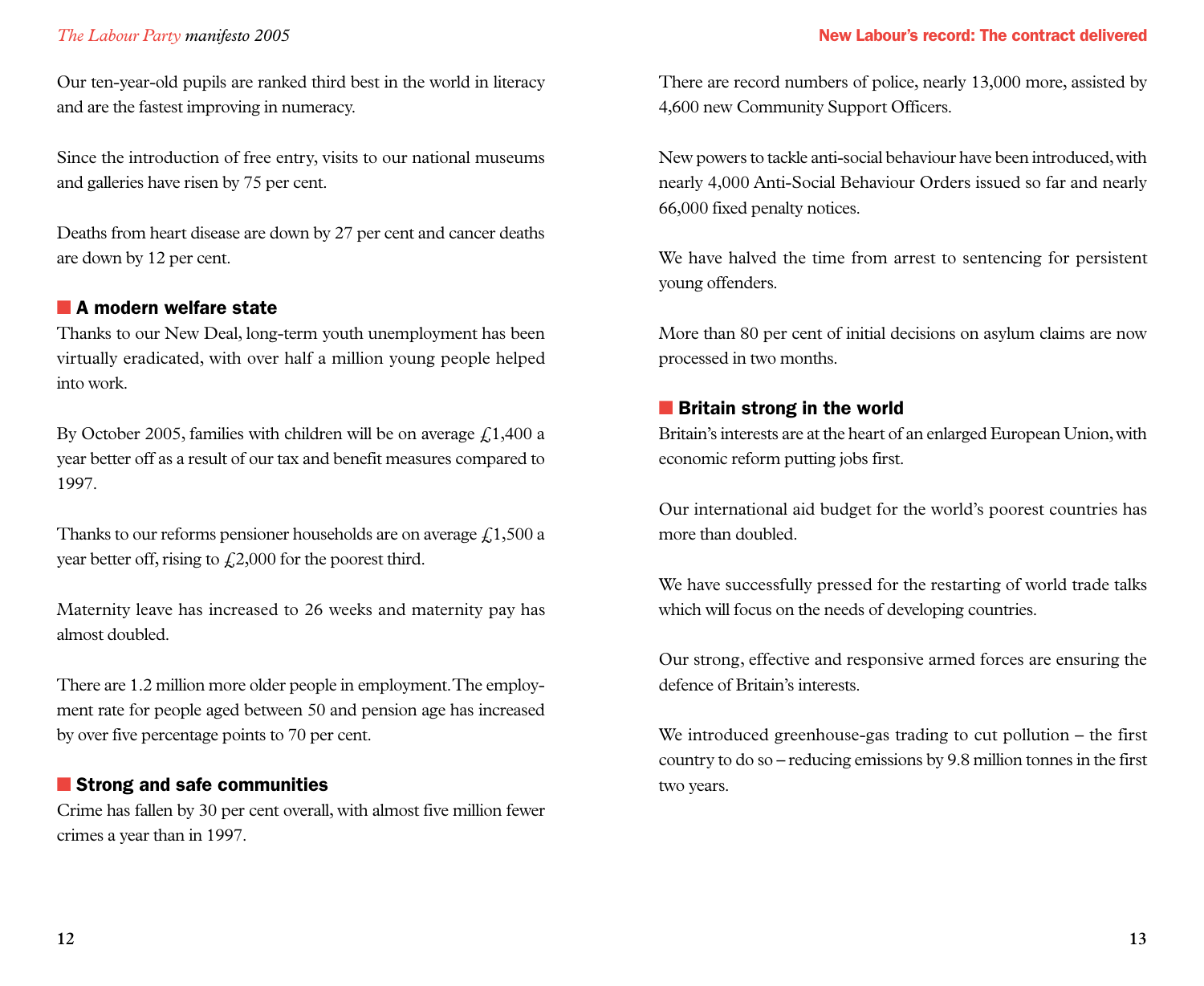#### **New Labour's record: The contract delivered**

Our ten-year-old pupils are ranked third best in the world in literacy and are the fastest improving in numeracy.

Since the introduction of free entry, visits to our national museums and galleries have risen by 75 per cent.

Deaths from heart disease are down by 27 per cent and cancer deaths are down by 12 per cent.

## ■ **A modern welfare state**

Thanks to our New Deal, long-term youth unemployment has been virtually eradicated, with over half a million young people helped into work.

By October 2005, families with children will be on average  $f<sub>1</sub>1,400$  a year better off as a result of our tax and benefit measures compared to 1997.

Thanks to our reforms pensioner households are on average  $\ell$ 1,500 a year better off, rising to  $\text{\textsterling}2,000$  for the poorest third.

Maternity leave has increased to 26 weeks and maternity pay has almost doubled.

There are 1.2 million more older people in employment.The employment rate for people aged between 50 and pension age has increased by over five percentage points to 70 per cent.

## ■ **Strong and safe communities**

Crime has fallen by 30 per cent overall, with almost five million fewer crimes a year than in 1997.

There are record numbers of police, nearly 13,000 more, assisted by 4,600 new Community Support Officers.

New powers to tackle anti-social behaviour have been introduced, with nearly 4,000 Anti-Social Behaviour Orders issued so far and nearly 66,000 fixed penalty notices.

We have halved the time from arrest to sentencing for persistent young offenders.

More than 80 per cent of initial decisions on asylum claims are now processed in two months.

#### ■ **Britain strong in the world**

Britain's interests are at the heart of an enlarged European Union, with economic reform putting jobs first.

Our international aid budget for the world's poorest countries has more than doubled.

We have successfully pressed for the restarting of world trade talks which will focus on the needs of developing countries.

Our strong, effective and responsive armed forces are ensuring the defence of Britain's interests.

We introduced greenhouse-gas trading to cut pollution – the first country to do so – reducing emissions by 9.8 million tonnes in the first two years.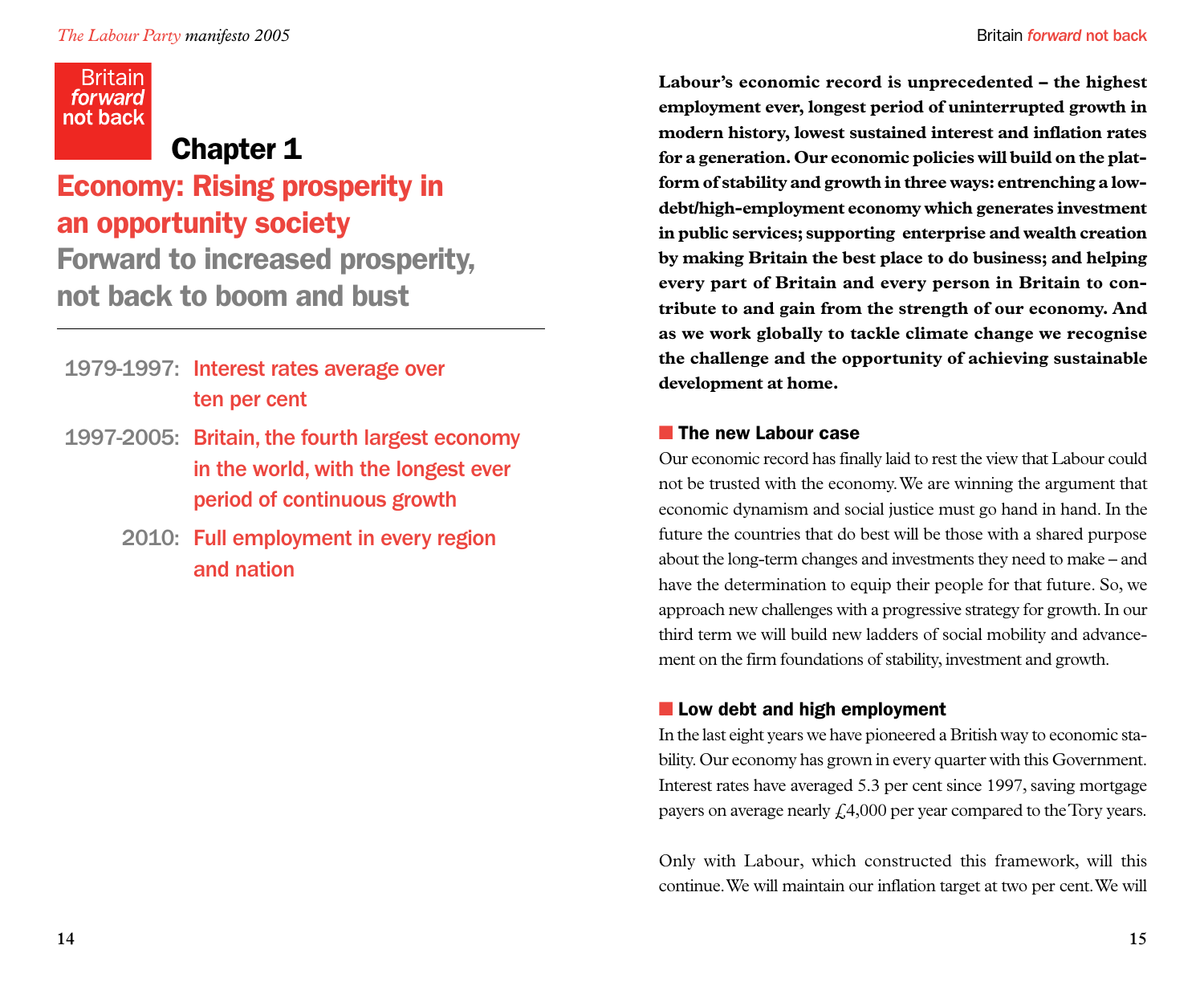

## **Chapter 1**

## **Economy: Rising prosperity in an opportunity society**

**Forward to increased prosperity, not back to boom and bust**

- 1979-1997: Interest rates average over ten per cent
- 1997-2005: Britain, the fourth largest economy in the world, with the longest ever period of continuous growth
	- 2010: Full employment in every region and nation

**Labour's economic record is unprecedented – the highest employment ever, longest period of uninterrupted growth in modern history, lowest sustained interest and inflation rates for a generation. Our economic policies will build on the platform of stability and growth in three ways: entrenching a lowdebt/high-employment economy which generates investment in public services; supporting enterprise and wealth creation by making Britain the best place to do business; and helping every part of Britain and every person in Britain to contribute to and gain from the strength of our economy. And as we work globally to tackle climate change we recognise the challenge and the opportunity of achieving sustainable development at home.**

## ■ **The new Labour case**

Our economic record has finally laid to rest the view that Labour could not be trusted with the economy.We are winning the argument that economic dynamism and social justice must go hand in hand. In the future the countries that do best will be those with a shared purpose about the long-term changes and investments they need to make – and have the determination to equip their people for that future. So, we approach new challenges with a progressive strategy for growth. In our third term we will build new ladders of social mobility and advancement on the firm foundations of stability, investment and growth.

## ■ Low debt and high employment

In the last eight years we have pioneered a British way to economic stability.Our economy has grown in every quarter with this Government. Interest rates have averaged 5.3 per cent since 1997, saving mortgage payers on average nearly  $f(4,000)$  per year compared to the Tory years.

Only with Labour, which constructed this framework, will this continue.We will maintain our inflation target at two per cent.We will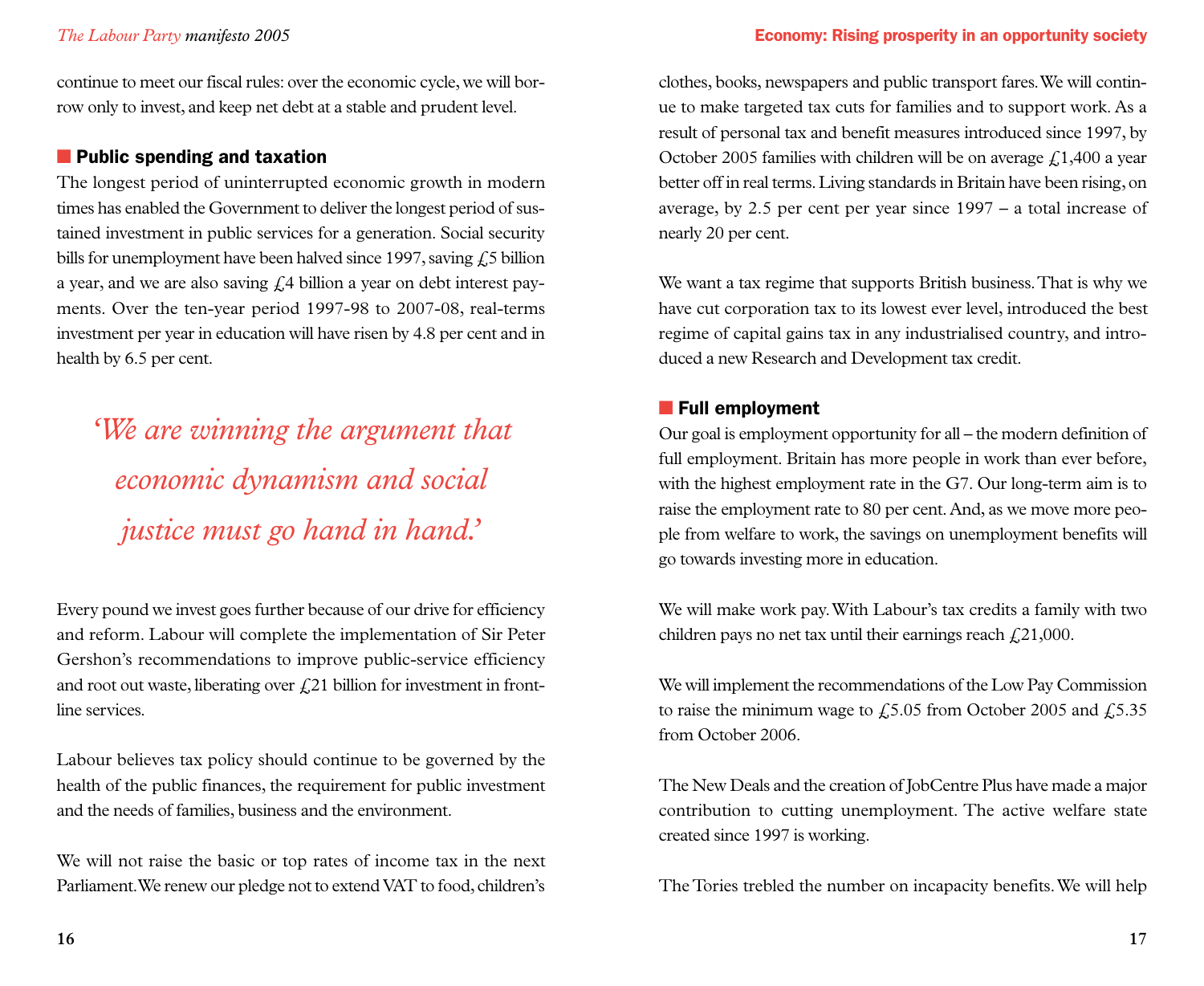continue to meet our fiscal rules: over the economic cycle, we will borrow only to invest, and keep net debt at a stable and prudent level.

## ■ Public spending and taxation

The longest period of uninterrupted economic growth in modern times has enabled the Government to deliver the longest period of sustained investment in public services for a generation. Social security bills for unemployment have been halved since 1997, saving  $f$ . 5 billion a year, and we are also saving  $f_4$  billion a year on debt interest payments. Over the ten-year period 1997-98 to 2007-08, real-terms investment per year in education will have risen by 4.8 per cent and in health by 6.5 per cent.

# *'We are winning the argument that economic dynamism and social justice must go hand in hand.'*

Every pound we invest goes further because of our drive for efficiency and reform. Labour will complete the implementation of Sir Peter Gershon's recommendations to improve public-service efficiency and root out waste, liberating over  $\mathcal{L}21$  billion for investment in frontline services.

Labour believes tax policy should continue to be governed by the health of the public finances, the requirement for public investment and the needs of families, business and the environment.

We will not raise the basic or top rates of income tax in the next Parliament. We renew our pledge not to extend VAT to food, children's

clothes, books, newspapers and public transport fares.We will continue to make targeted tax cuts for families and to support work. As a result of personal tax and benefit measures introduced since 1997, by October 2005 families with children will be on average  $f(1,400)$  a year better off in real terms. Living standards in Britain have been rising, on average, by 2.5 per cent per year since 1997 – a total increase of nearly 20 per cent.

We want a tax regime that supports British business.That is why we have cut corporation tax to its lowest ever level, introduced the best regime of capital gains tax in any industrialised country, and introduced a new Research and Development tax credit.

## ■ **Full employment**

Our goal is employment opportunity for all – the modern definition of full employment. Britain has more people in work than ever before, with the highest employment rate in the G7. Our long-term aim is to raise the employment rate to 80 per cent. And, as we move more people from welfare to work, the savings on unemployment benefits will go towards investing more in education.

We will make work pay.With Labour's tax credits a family with two children pays no net tax until their earnings reach  $f(21,000)$ .

We will implement the recommendations of the Low Pay Commission to raise the minimum wage to  $\sqrt{5.05}$  from October 2005 and  $\sqrt{5.35}$ from October 2006.

The New Deals and the creation of JobCentre Plus have made a major contribution to cutting unemployment. The active welfare state created since 1997 is working.

The Tories trebled the number on incapacity benefits.We will help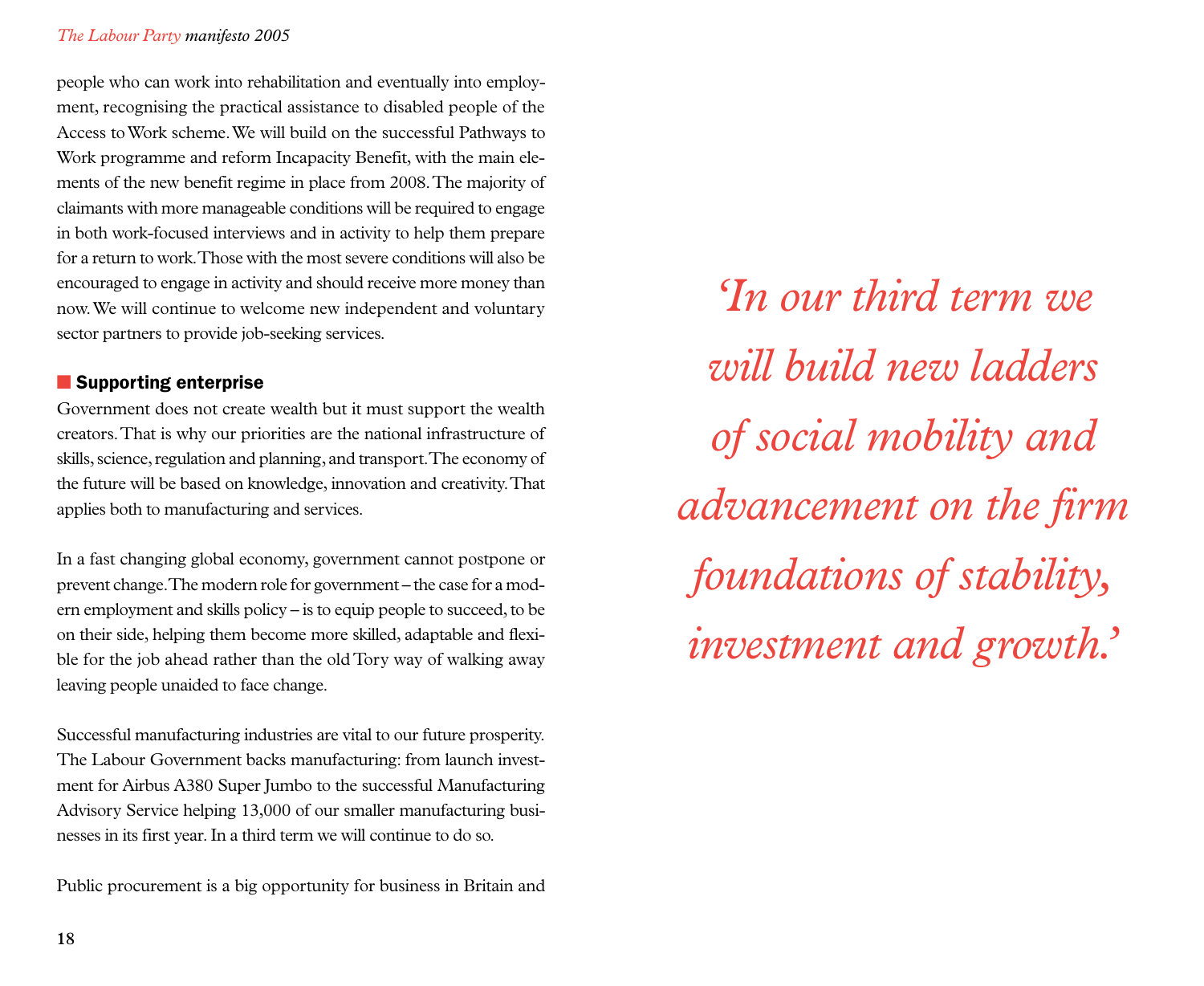people who can work into rehabilitation and eventually into employment, recognising the practical assistance to disabled people of the Access to Work scheme.We will build on the successful Pathways to Work programme and reform Incapacity Benefit, with the main elements of the new benefit regime in place from 2008.The majority of claimants with more manageable conditions will be required to engage in both work-focused interviews and in activity to help them prepare for a return to work.Those with the most severe conditions will also be encouraged to engage in activity and should receive more money than now.We will continue to welcome new independent and voluntary sector partners to provide job-seeking services.

## ■ **Supporting enterprise**

Government does not create wealth but it must support the wealth creators.That is why our priorities are the national infrastructure of skills, science, regulation and planning, and transport. The economy of the future will be based on knowledge, innovation and creativity.That applies both to manufacturing and services.

In a fast changing global economy, government cannot postpone or prevent change.The modern role for government – the case for a modern employment and skills policy – is to equip people to succeed, to be on their side, helping them become more skilled, adaptable and flexible for the job ahead rather than the old Tory way of walking away leaving people unaided to face change.

Successful manufacturing industries are vital to our future prosperity. The Labour Government backs manufacturing: from launch investment for Airbus A380 Super Jumbo to the successful Manufacturing Advisory Service helping 13,000 of our smaller manufacturing businesses in its first year.In a third term we will continue to do so.

Public procurement is a big opportunity for business in Britain and

*'In our third term we will build new ladders of social mobility and advancement on the firm foundations of stability, investment and growth.'*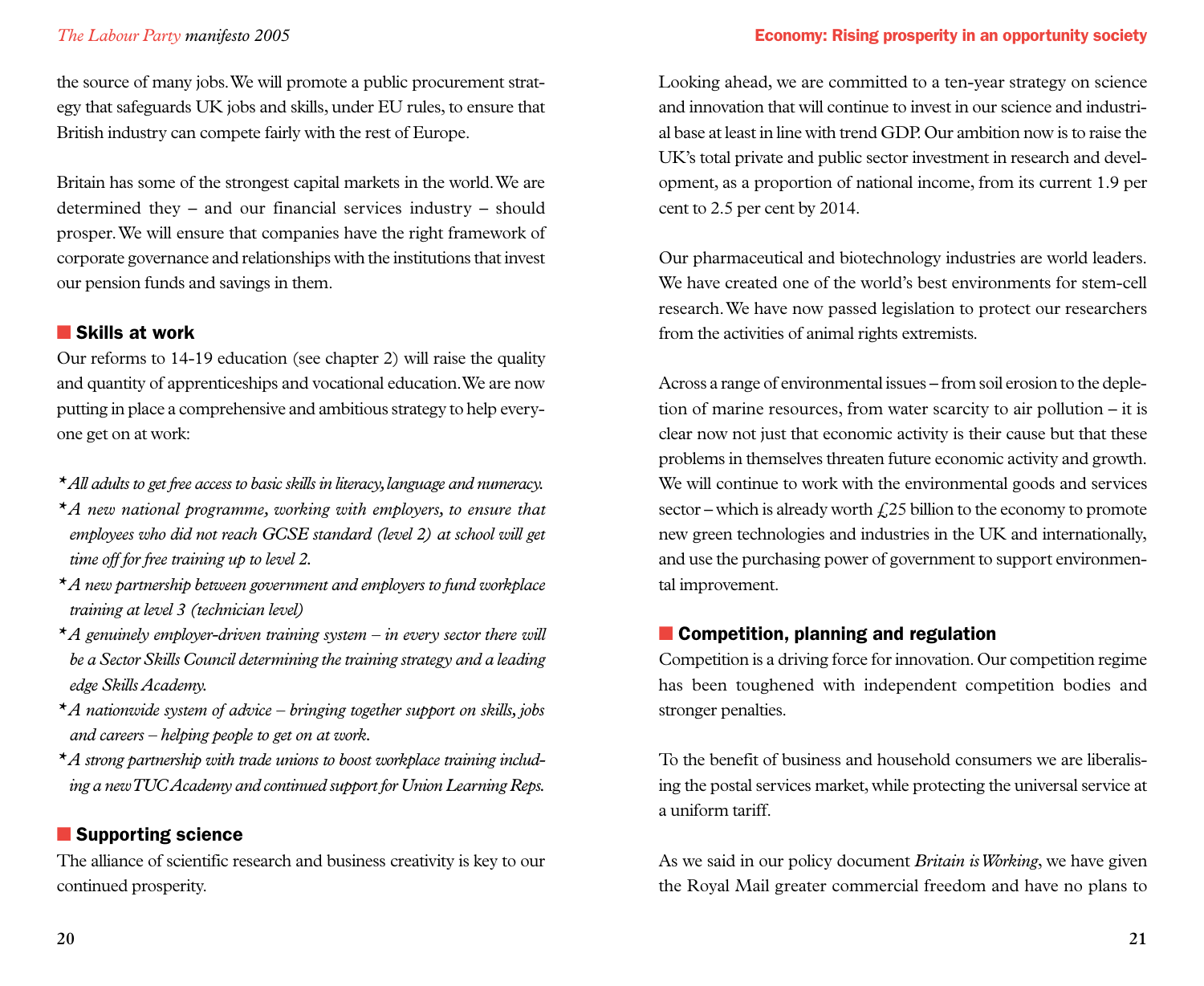#### **Economy: Rising prosperity in an opportunity society**

the source of many jobs.We will promote a public procurement strategy that safeguards UK jobs and skills, under EU rules, to ensure that British industry can compete fairly with the rest of Europe.

Britain has some of the strongest capital markets in the world.We are determined they – and our financial services industry – should prosper.We will ensure that companies have the right framework of corporate governance and relationships with the institutions that invest our pension funds and savings in them.

## ■ **Skills at work**

Our reforms to 14-19 education (see chapter 2) will raise the quality and quantity of apprenticeships and vocational education.We are now putting in place a comprehensive and ambitious strategy to help everyone get on at work:

- *\*All adults to get free access to basic skills in literacy,language and numeracy.*
- *\* A new national programme, working with employers, to ensure that employees who did not reach GCSE standard (level 2) at school will get time off for free training up to level 2.*
- *\* A new partnership between government and employers to fund workplace training at level 3 (technician level)*
- *\* A genuinely employer-driven training system in every sector there will be a Sector Skills Council determining the training strategy and a leading edge Skills Academy.*
- *\* A nationwide system of advice bringing together support on skills, jobs and careers – helping people to get on at work.*
- *\* A strong partnership with trade unions to boost workplace training including a new TUC Academy and continued support for Union Learning Reps.*

## ■ **Supporting science**

The alliance of scientific research and business creativity is key to our continued prosperity.

Looking ahead, we are committed to a ten-year strategy on science and innovation that will continue to invest in our science and industrial base at least in line with trend GDP. Our ambition now is to raise the UK's total private and public sector investment in research and development, as a proportion of national income, from its current 1.9 per cent to 2.5 per cent by 2014.

Our pharmaceutical and biotechnology industries are world leaders. We have created one of the world's best environments for stem-cell research.We have now passed legislation to protect our researchers from the activities of animal rights extremists.

Across a range of environmental issues – from soil erosion to the depletion of marine resources, from water scarcity to air pollution – it is clear now not just that economic activity is their cause but that these problems in themselves threaten future economic activity and growth. We will continue to work with the environmental goods and services sector – which is already worth  $f(25)$  billion to the economy to promote new green technologies and industries in the UK and internationally, and use the purchasing power of government to support environmental improvement.

#### ■ **Competition, planning and regulation**

Competition is a driving force for innovation. Our competition regime has been toughened with independent competition bodies and stronger penalties.

To the benefit of business and household consumers we are liberalising the postal services market, while protecting the universal service at a uniform tariff.

As we said in our policy document *Britain is Working*, we have given the Royal Mail greater commercial freedom and have no plans to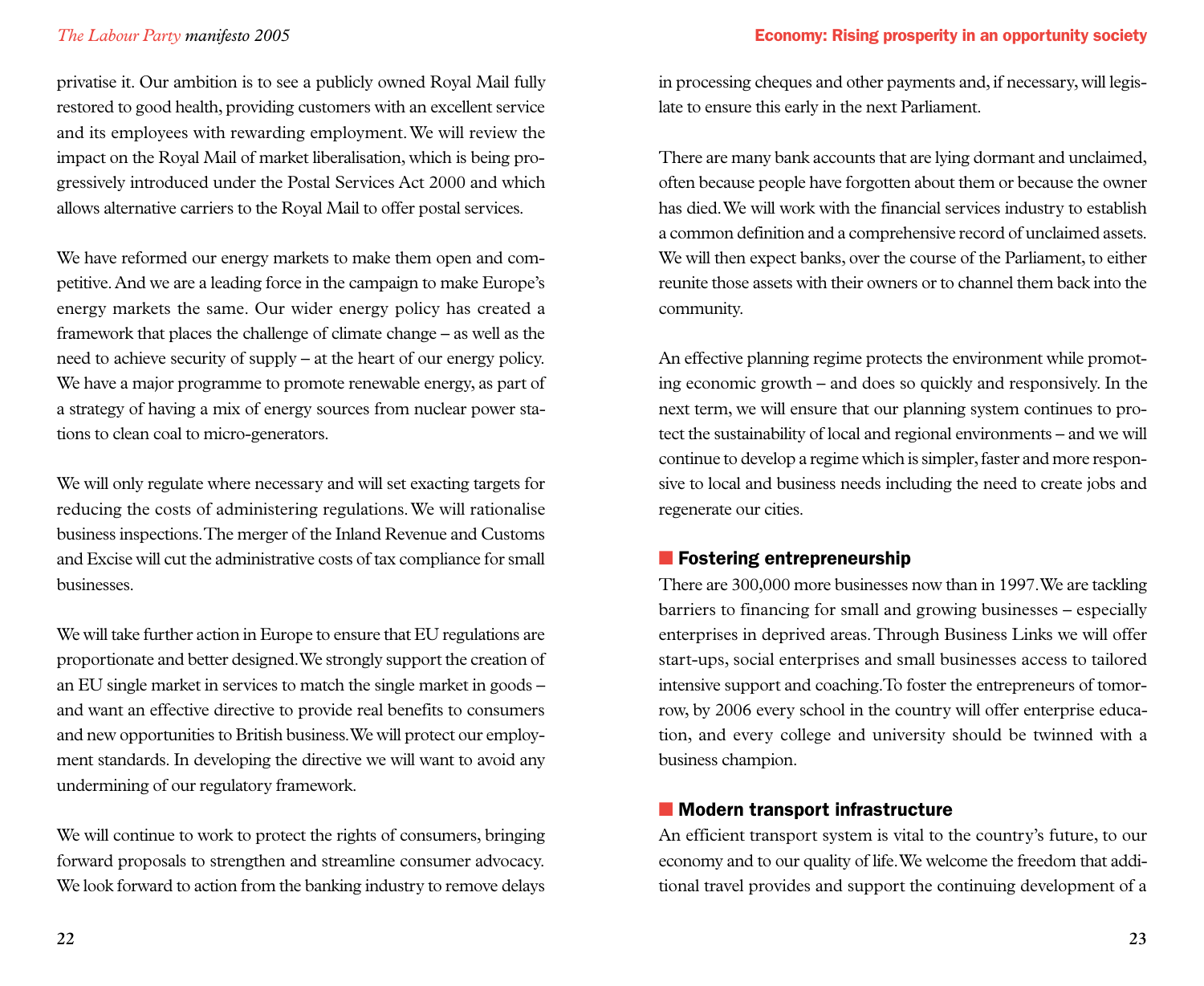#### **Economy: Rising prosperity in an opportunity society**

#### *The Labour Party manifesto 2005*

privatise it. Our ambition is to see a publicly owned Royal Mail fully restored to good health, providing customers with an excellent service and its employees with rewarding employment.We will review the impact on the Royal Mail of market liberalisation, which is being progressively introduced under the Postal Services Act 2000 and which allows alternative carriers to the Royal Mail to offer postal services.

We have reformed our energy markets to make them open and competitive.And we are a leading force in the campaign to make Europe's energy markets the same. Our wider energy policy has created a framework that places the challenge of climate change – as well as the need to achieve security of supply – at the heart of our energy policy. We have a major programme to promote renewable energy, as part of a strategy of having a mix of energy sources from nuclear power stations to clean coal to micro-generators.

We will only regulate where necessary and will set exacting targets for reducing the costs of administering regulations.We will rationalise business inspections.The merger of the Inland Revenue and Customs and Excise will cut the administrative costs of tax compliance for small businesses.

We will take further action in Europe to ensure that EU regulations are proportionate and better designed.We strongly support the creation of an EU single market in services to match the single market in goods – and want an effective directive to provide real benefits to consumers and new opportunities to British business.We will protect our employment standards. In developing the directive we will want to avoid any undermining of our regulatory framework.

We will continue to work to protect the rights of consumers, bringing forward proposals to strengthen and streamline consumer advocacy. We look forward to action from the banking industry to remove delays

in processing cheques and other payments and, if necessary, will legislate to ensure this early in the next Parliament.

There are many bank accounts that are lying dormant and unclaimed, often because people have forgotten about them or because the owner has died.We will work with the financial services industry to establish a common definition and a comprehensive record of unclaimed assets. We will then expect banks, over the course of the Parliament, to either reunite those assets with their owners or to channel them back into the community.

An effective planning regime protects the environment while promoting economic growth – and does so quickly and responsively. In the next term, we will ensure that our planning system continues to protect the sustainability of local and regional environments – and we will continue to develop a regime which is simpler, faster and more responsive to local and business needs including the need to create jobs and regenerate our cities.

## ■ **Fostering entrepreneurship**

There are 300,000 more businesses now than in 1997.We are tackling barriers to financing for small and growing businesses – especially enterprises in deprived areas.Through Business Links we will offer start-ups, social enterprises and small businesses access to tailored intensive support and coaching.To foster the entrepreneurs of tomorrow, by 2006 every school in the country will offer enterprise education, and every college and university should be twinned with a business champion.

## ■ **Modern transport infrastructure**

An efficient transport system is vital to the country's future, to our economy and to our quality of life.We welcome the freedom that additional travel provides and support the continuing development of a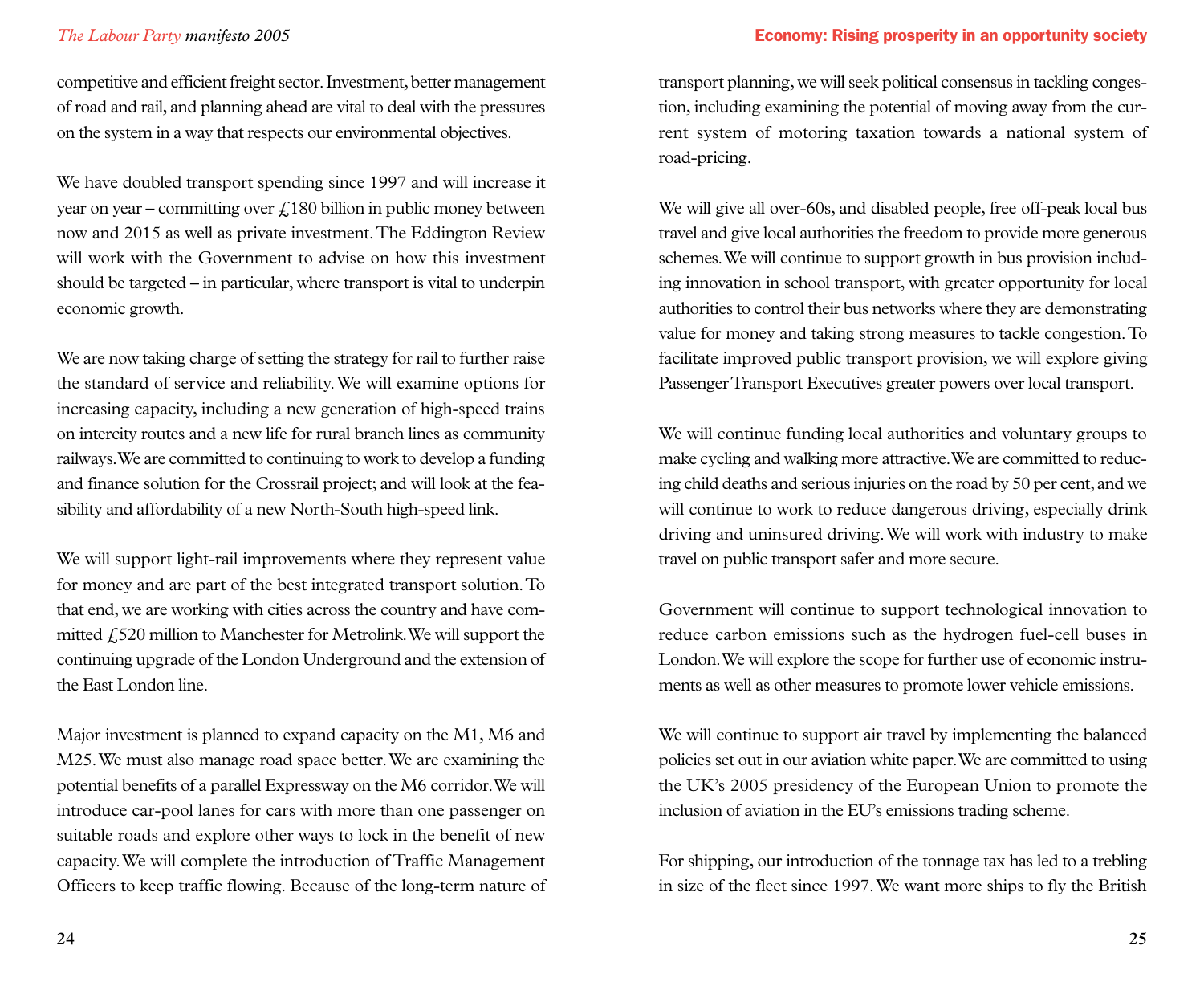#### **Economy: Rising prosperity in an opportunity society**

#### *The Labour Party manifesto 2005*

competitive and efficient freight sector. Investment, better management of road and rail, and planning ahead are vital to deal with the pressures on the system in a way that respects our environmental objectives.

We have doubled transport spending since 1997 and will increase it year on year – committing over  $f<sub>i</sub>180$  billion in public money between now and 2015 as well as private investment.The Eddington Review will work with the Government to advise on how this investment should be targeted – in particular, where transport is vital to underpin economic growth.

We are now taking charge of setting the strategy for rail to further raise the standard of service and reliability.We will examine options for increasing capacity, including a new generation of high-speed trains on intercity routes and a new life for rural branch lines as community railways.We are committed to continuing to work to develop a funding and finance solution for the Crossrail project; and will look at the feasibility and affordability of a new North-South high-speed link.

We will support light-rail improvements where they represent value for money and are part of the best integrated transport solution.To that end, we are working with cities across the country and have committed £520 million to Manchester for Metrolink.We will support the continuing upgrade of the London Underground and the extension of the East London line.

Major investment is planned to expand capacity on the M1, M6 and M25.We must also manage road space better.We are examining the potential benefits of a parallel Expressway on the M6 corridor.We will introduce car-pool lanes for cars with more than one passenger on suitable roads and explore other ways to lock in the benefit of new capacity.We will complete the introduction of Traffic Management Officers to keep traffic flowing. Because of the long-term nature of transport planning, we will seek political consensus in tackling congestion, including examining the potential of moving away from the current system of motoring taxation towards a national system of road-pricing.

We will give all over-60s, and disabled people, free off-peak local bus travel and give local authorities the freedom to provide more generous schemes.We will continue to support growth in bus provision including innovation in school transport, with greater opportunity for local authorities to control their bus networks where they are demonstrating value for money and taking strong measures to tackle congestion.To facilitate improved public transport provision, we will explore giving Passenger Transport Executives greater powers over local transport.

We will continue funding local authorities and voluntary groups to make cycling and walking more attractive.We are committed to reducing child deaths and serious injuries on the road by 50 per cent, and we will continue to work to reduce dangerous driving, especially drink driving and uninsured driving.We will work with industry to make travel on public transport safer and more secure.

Government will continue to support technological innovation to reduce carbon emissions such as the hydrogen fuel-cell buses in London.We will explore the scope for further use of economic instruments as well as other measures to promote lower vehicle emissions.

We will continue to support air travel by implementing the balanced policies set out in our aviation white paper.We are committed to using the UK's 2005 presidency of the European Union to promote the inclusion of aviation in the EU's emissions trading scheme.

For shipping, our introduction of the tonnage tax has led to a trebling in size of the fleet since 1997.We want more ships to fly the British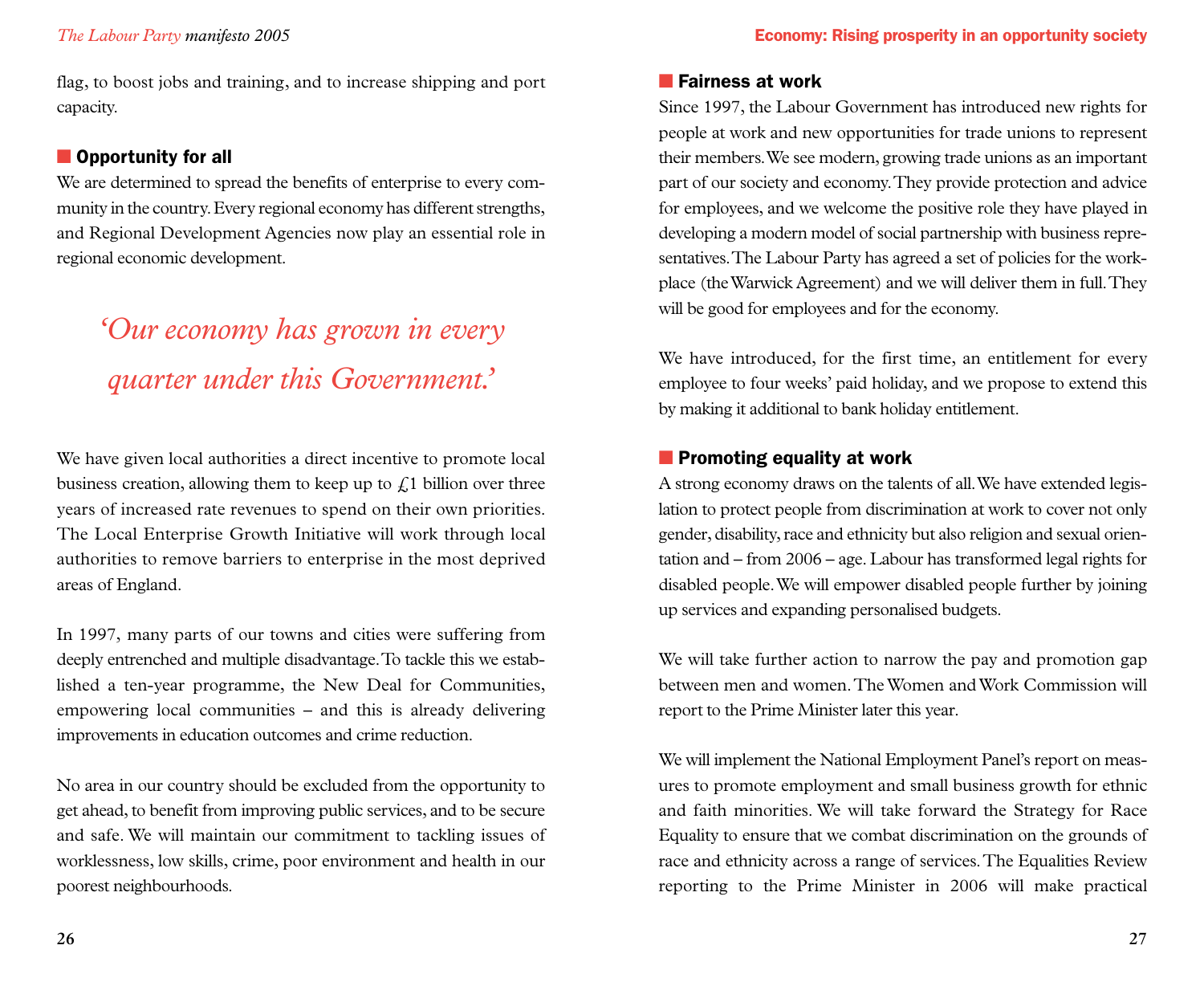**Economy: Rising prosperity in an opportunity society**

flag, to boost jobs and training, and to increase shipping and port capacity.

## ■ Opportunity for all

We are determined to spread the benefits of enterprise to every community in the country.Every regional economy has different strengths, and Regional Development Agencies now play an essential role in regional economic development.

# *'Our economy has grown in every quarter under this Government.'*

We have given local authorities a direct incentive to promote local business creation, allowing them to keep up to  $f<sub>i</sub>1$  billion over three years of increased rate revenues to spend on their own priorities. The Local Enterprise Growth Initiative will work through local authorities to remove barriers to enterprise in the most deprived areas of England.

In 1997, many parts of our towns and cities were suffering from deeply entrenched and multiple disadvantage.To tackle this we established a ten-year programme, the New Deal for Communities, empowering local communities – and this is already delivering improvements in education outcomes and crime reduction.

No area in our country should be excluded from the opportunity to get ahead, to benefit from improving public services, and to be secure and safe. We will maintain our commitment to tackling issues of worklessness, low skills, crime, poor environment and health in our poorest neighbourhoods.

## ■ **Fairness at work**

Since 1997, the Labour Government has introduced new rights for people at work and new opportunities for trade unions to represent their members.We see modern, growing trade unions as an important part of our society and economy.They provide protection and advice for employees, and we welcome the positive role they have played in developing a modern model of social partnership with business representatives.The Labour Party has agreed a set of policies for the workplace (the Warwick Agreement) and we will deliver them in full.They will be good for employees and for the economy.

We have introduced, for the first time, an entitlement for every employee to four weeks' paid holiday, and we propose to extend this by making it additional to bank holiday entitlement.

## ■ **Promoting equality at work**

A strong economy draws on the talents of all.We have extended legislation to protect people from discrimination at work to cover not only gender, disability, race and ethnicity but also religion and sexual orientation and – from 2006 – age. Labour has transformed legal rights for disabled people.We will empower disabled people further by joining up services and expanding personalised budgets.

We will take further action to narrow the pay and promotion gap between men and women.The Women and Work Commission will report to the Prime Minister later this year.

We will implement the National Employment Panel's report on measures to promote employment and small business growth for ethnic and faith minorities. We will take forward the Strategy for Race Equality to ensure that we combat discrimination on the grounds of race and ethnicity across a range of services.The Equalities Review reporting to the Prime Minister in 2006 will make practical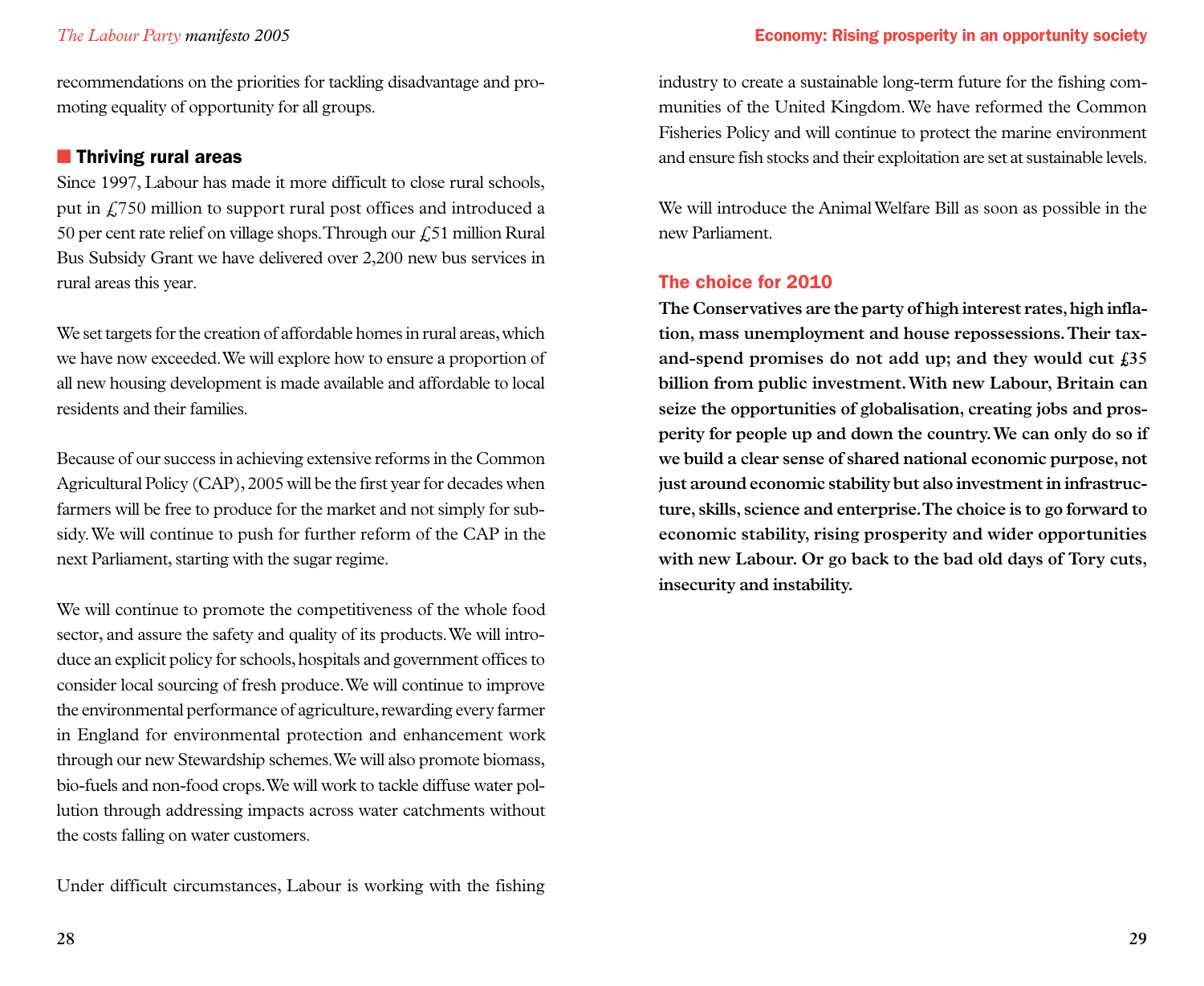recommendations on the priorities for tackling disadvantage and promoting equality of opportunity for all groups.

## ■ **Thriving rural areas**

Since 1997, Labour has made it more difficult to close rural schools, put in £750 million to support rural post offices and introduced a 50 per cent rate relief on village shops. Through our  $\sqrt{51}$  million Rural Bus Subsidy Grant we have delivered over 2,200 new bus services in rural areas this year.

We set targets for the creation of affordable homes in rural areas, which we have now exceeded.We will explore how to ensure a proportion of all new housing development is made available and affordable to local residents and their families.

Because of our success in achieving extensive reforms in the Common Agricultural Policy (CAP),2005 will be the first year for decades when farmers will be free to produce for the market and not simply for subsidy.We will continue to push for further reform of the CAP in the next Parliament, starting with the sugar regime.

We will continue to promote the competitiveness of the whole food sector, and assure the safety and quality of its products.We will introduce an explicit policy for schools, hospitals and government offices to consider local sourcing of fresh produce.We will continue to improve the environmental performance of agriculture, rewarding every farmer in England for environmental protection and enhancement work through our new Stewardship schemes.We will also promote biomass, bio-fuels and non-food crops.We will work to tackle diffuse water pollution through addressing impacts across water catchments without the costs falling on water customers.

Under difficult circumstances, Labour is working with the fishing

industry to create a sustainable long-term future for the fishing communities of the United Kingdom.We have reformed the Common Fisheries Policy and will continue to protect the marine environment and ensure fish stocks and their exploitation are set at sustainable levels.

We will introduce the Animal Welfare Bill as soon as possible in the new Parliament.

## **The choice for 2010**

The Conservatives are the party of high interest rates, high infla**tion, mass unemployment and house repossessions.Their taxand-spend promises do not add up; and they would cut £35 billion from public investment.With new Labour, Britain can seize the opportunities of globalisation, creating jobs and prosperity for people up and down the country.We can only do so if we build a clear sense of shared national economic purpose, not just around economic stability but also investment in infrastructure, skills, science and enterprise.The choice is to go forward to economic stability, rising prosperity and wider opportunities with new Labour. Or go back to the bad old days of Tory cuts, insecurity and instability.**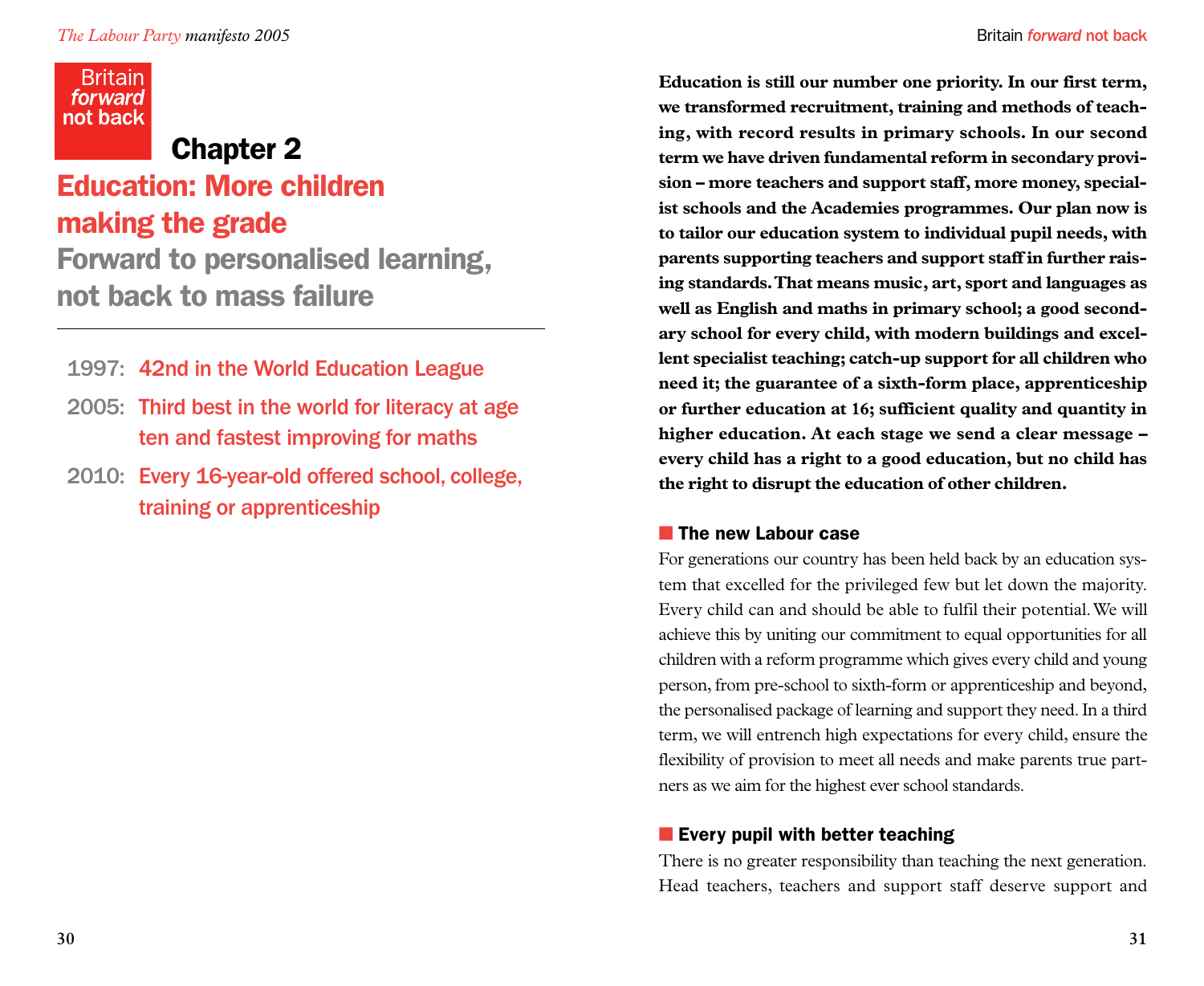

## **Chapter 2**

## **Education: More children making the grade**

**Forward to personalised learning, not back to mass failure**

- 1997: 42nd in the World Education League
- 2005: Third best in the world for literacy at age ten and fastest improving for maths
- 2010: Every 16-year-old offered school, college, training or apprenticeship

**Education is still our number one priority. In our first term, we transformed recruitment, training and methods of teaching, with record results in primary schools. In our second term we have driven fundamental reform in secondary provision – more teachers and support staff, more money, specialist schools and the Academies programmes. Our plan now is to tailor our education system to individual pupil needs, with parents supporting teachers and support staff in further raising standards.That means music, art, sport and languages as well as English and maths in primary school; a good secondary school for every child, with modern buildings and excellent specialist teaching; catch-up support for all children who need it; the guarantee of a sixth-form place, apprenticeship or further education at 16; sufficient quality and quantity in higher education. At each stage we send a clear message – every child has a right to a good education, but no child has the right to disrupt the education of other children.**

## ■ **The new Labour case**

For generations our country has been held back by an education system that excelled for the privileged few but let down the majority. Every child can and should be able to fulfil their potential.We will achieve this by uniting our commitment to equal opportunities for all children with a reform programme which gives every child and young person, from pre-school to sixth-form or apprenticeship and beyond, the personalised package of learning and support they need. In a third term, we will entrench high expectations for every child, ensure the flexibility of provision to meet all needs and make parents true partners as we aim for the highest ever school standards.

## ■ **Every pupil with better teaching**

There is no greater responsibility than teaching the next generation. Head teachers, teachers and support staff deserve support and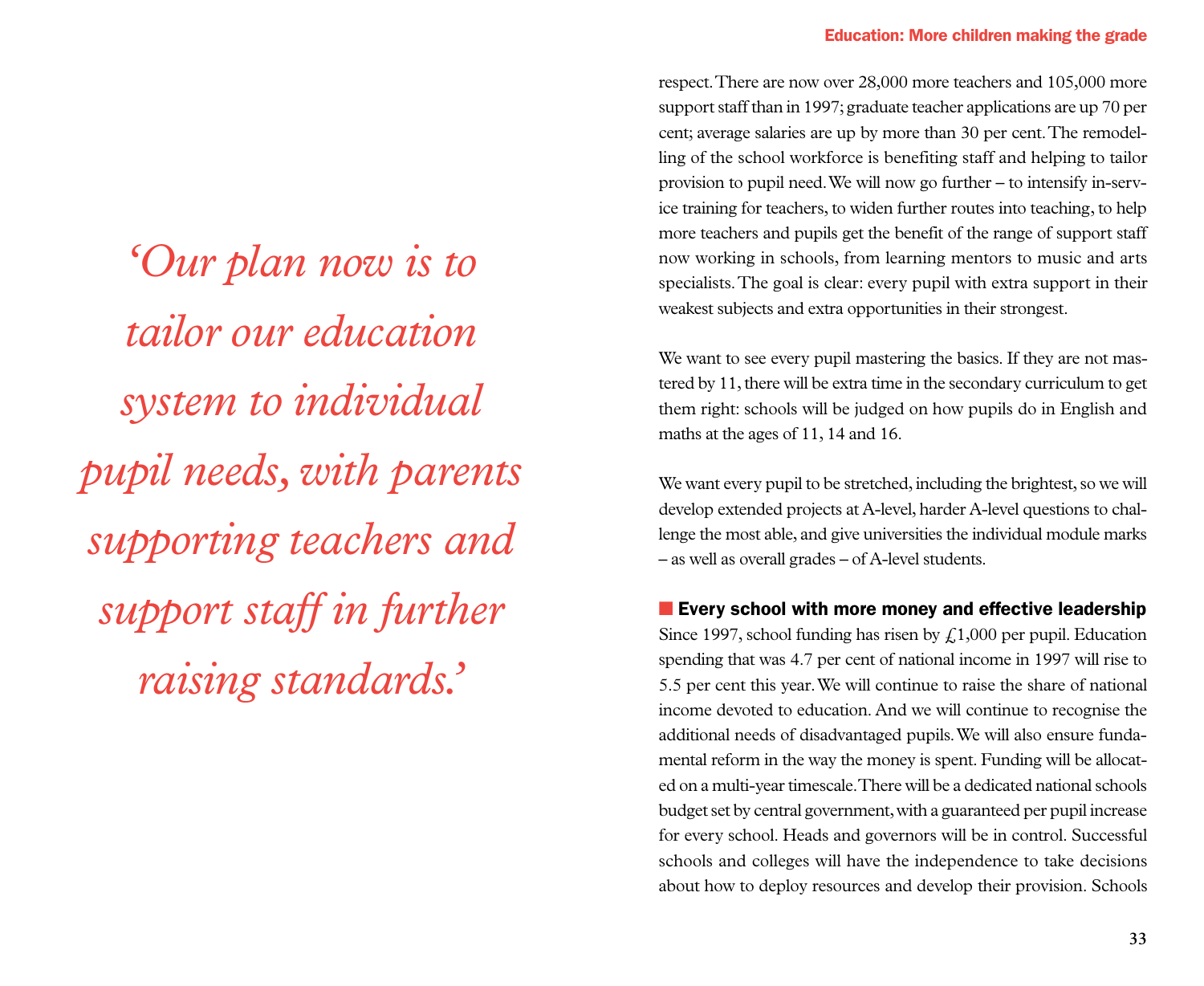*'Our plan now is to tailor our education system to individual pupil needs, with parents supporting teachers and support staff in further raising standards.'*

respect.There are now over 28,000 more teachers and 105,000 more support staff than in 1997; graduate teacher applications are up 70 per cent; average salaries are up by more than 30 per cent.The remodelling of the school workforce is benefiting staff and helping to tailor provision to pupil need.We will now go further – to intensify in-service training for teachers, to widen further routes into teaching, to help more teachers and pupils get the benefit of the range of support staff now working in schools, from learning mentors to music and arts specialists.The goal is clear: every pupil with extra support in their weakest subjects and extra opportunities in their strongest.

We want to see every pupil mastering the basics. If they are not mastered by 11, there will be extra time in the secondary curriculum to get them right: schools will be judged on how pupils do in English and maths at the ages of 11, 14 and 16.

We want every pupil to be stretched, including the brightest, so we will develop extended projects at A-level, harder A-level questions to challenge the most able, and give universities the individual module marks – as well as overall grades – of A-level students.

## ■ Every school with more money and effective leadership

Since 1997, school funding has risen by  $f<sub>1</sub>1,000$  per pupil. Education spending that was 4.7 per cent of national income in 1997 will rise to 5.5 per cent this year.We will continue to raise the share of national income devoted to education. And we will continue to recognise the additional needs of disadvantaged pupils.We will also ensure fundamental reform in the way the money is spent. Funding will be allocated on a multi-year timescale.There will be a dedicated national schools budget set by central government,with a guaranteed per pupil increase for every school. Heads and governors will be in control. Successful schools and colleges will have the independence to take decisions about how to deploy resources and develop their provision. Schools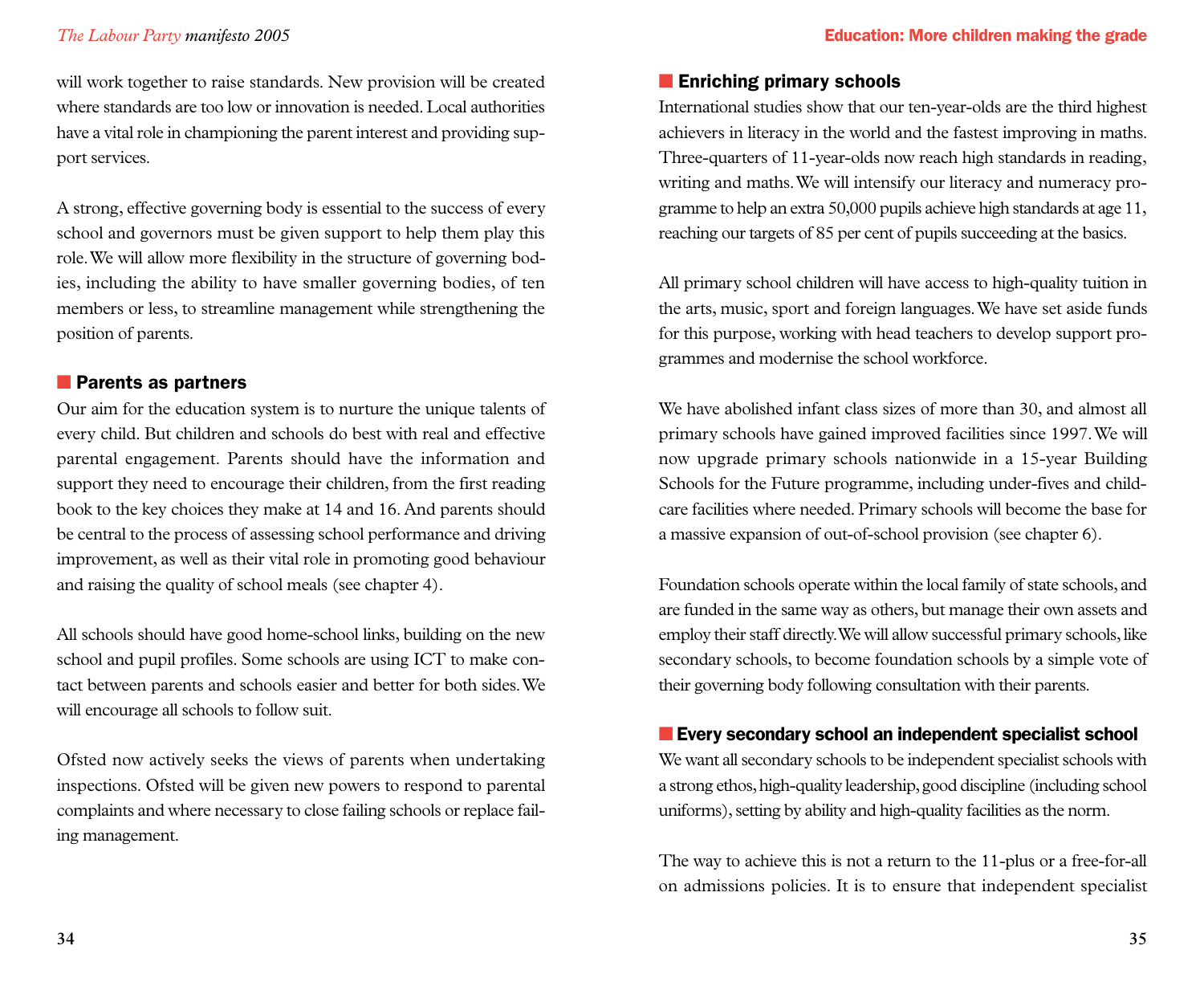will work together to raise standards. New provision will be created where standards are too low or innovation is needed. Local authorities have a vital role in championing the parent interest and providing support services.

A strong, effective governing body is essential to the success of every school and governors must be given support to help them play this role.We will allow more flexibility in the structure of governing bodies, including the ability to have smaller governing bodies, of ten members or less, to streamline management while strengthening the position of parents.

## ■ **Parents as partners**

Our aim for the education system is to nurture the unique talents of every child. But children and schools do best with real and effective parental engagement. Parents should have the information and support they need to encourage their children, from the first reading book to the key choices they make at 14 and 16. And parents should be central to the process of assessing school performance and driving improvement, as well as their vital role in promoting good behaviour and raising the quality of school meals (see chapter 4).

All schools should have good home-school links, building on the new school and pupil profiles. Some schools are using ICT to make contact between parents and schools easier and better for both sides.We will encourage all schools to follow suit.

Ofsted now actively seeks the views of parents when undertaking inspections. Ofsted will be given new powers to respond to parental complaints and where necessary to close failing schools or replace failing management.

## ■ **Enriching primary schools**

International studies show that our ten-year-olds are the third highest achievers in literacy in the world and the fastest improving in maths. Three-quarters of 11-year-olds now reach high standards in reading, writing and maths.We will intensify our literacy and numeracy programme to help an extra 50,000 pupils achieve high standards at age 11, reaching our targets of 85 per cent of pupils succeeding at the basics.

All primary school children will have access to high-quality tuition in the arts, music, sport and foreign languages.We have set aside funds for this purpose, working with head teachers to develop support programmes and modernise the school workforce.

We have abolished infant class sizes of more than 30, and almost all primary schools have gained improved facilities since 1997.We will now upgrade primary schools nationwide in a 15-year Building Schools for the Future programme, including under-fives and childcare facilities where needed. Primary schools will become the base for a massive expansion of out-of-school provision (see chapter 6).

Foundation schools operate within the local family of state schools, and are funded in the same way as others, but manage their own assets and employ their staff directly.We will allow successful primary schools, like secondary schools, to become foundation schools by a simple vote of their governing body following consultation with their parents.

## ■ Every secondary school an independent specialist school

We want all secondary schools to be independent specialist schools with a strong ethos, high-quality leadership, good discipline (including school uniforms), setting by ability and high-quality facilities as the norm.

The way to achieve this is not a return to the 11-plus or a free-for-all on admissions policies. It is to ensure that independent specialist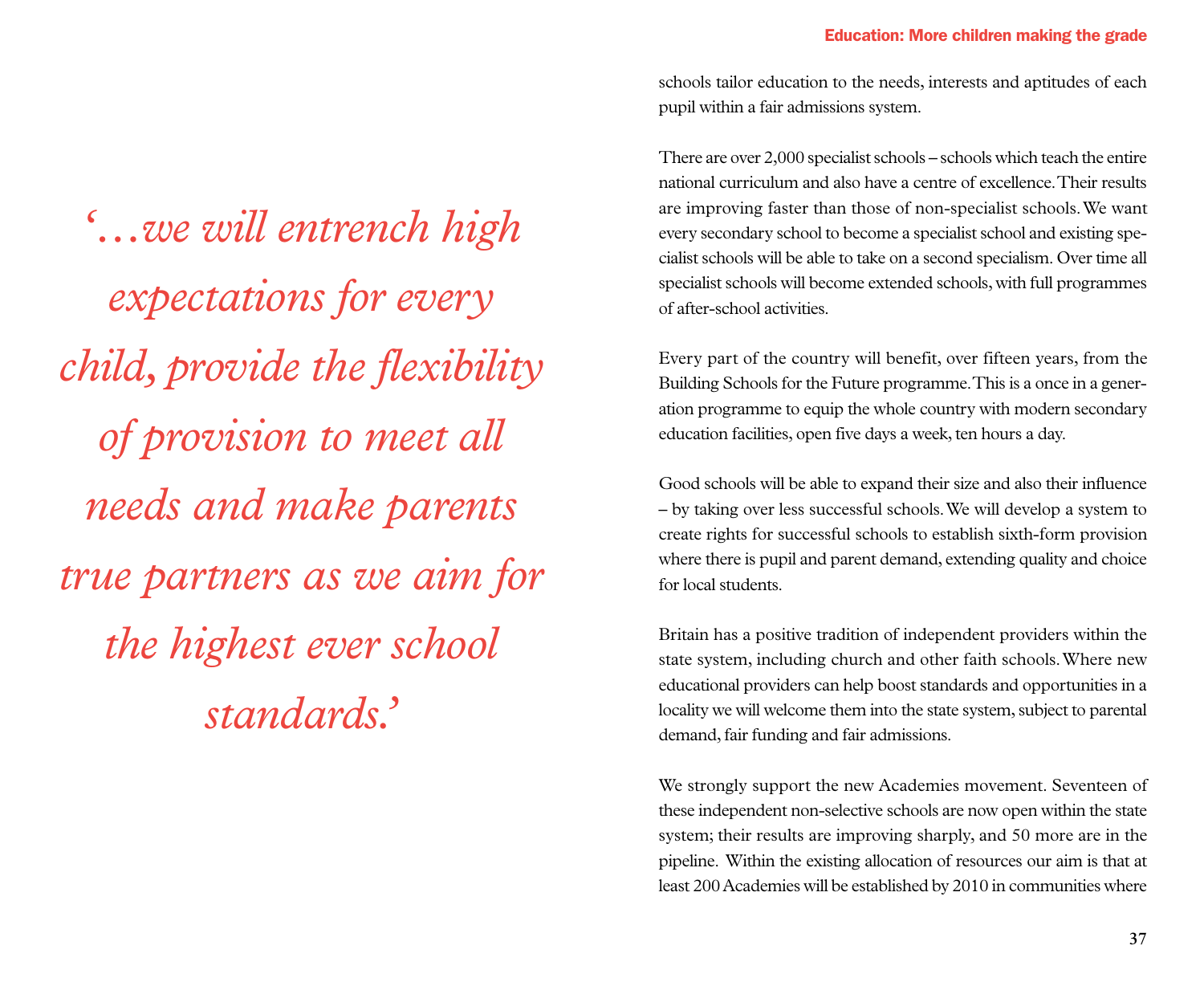*'…we will entrench high expectations for every child, provide the flexibility of provision to meet all needs and make parents true partners as we aim for the highest ever school standards.'*

schools tailor education to the needs, interests and aptitudes of each pupil within a fair admissions system.

There are over 2,000 specialist schools – schools which teach the entire national curriculum and also have a centre of excellence.Their results are improving faster than those of non-specialist schools.We want every secondary school to become a specialist school and existing specialist schools will be able to take on a second specialism. Over time all specialist schools will become extended schools, with full programmes of after-school activities.

Every part of the country will benefit, over fifteen years, from the Building Schools for the Future programme.This is a once in a generation programme to equip the whole country with modern secondary education facilities, open five days a week, ten hours a day.

Good schools will be able to expand their size and also their influence – by taking over less successful schools.We will develop a system to create rights for successful schools to establish sixth-form provision where there is pupil and parent demand, extending quality and choice for local students.

Britain has a positive tradition of independent providers within the state system, including church and other faith schools.Where new educational providers can help boost standards and opportunities in a locality we will welcome them into the state system, subject to parental demand, fair funding and fair admissions.

We strongly support the new Academies movement. Seventeen of these independent non-selective schools are now open within the state system; their results are improving sharply, and 50 more are in the pipeline. Within the existing allocation of resources our aim is that at least 200 Academies will be established by 2010 in communities where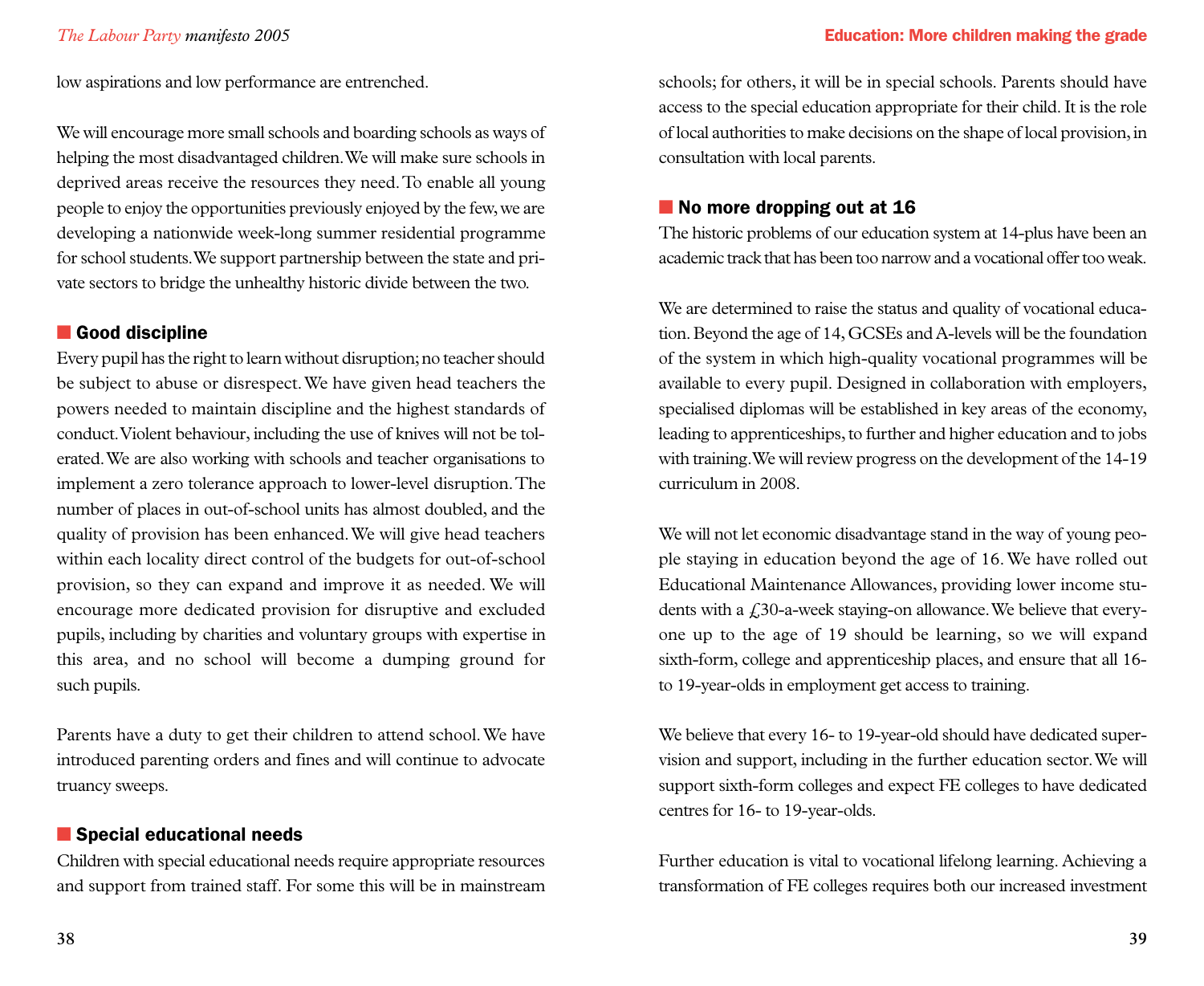low aspirations and low performance are entrenched.

We will encourage more small schools and boarding schools as ways of helping the most disadvantaged children.We will make sure schools in deprived areas receive the resources they need.To enable all young people to enjoy the opportunities previously enjoyed by the few, we are developing a nationwide week-long summer residential programme for school students.We support partnership between the state and private sectors to bridge the unhealthy historic divide between the two.

#### ■ **Good discipline**

Every pupil has the right to learn without disruption; no teacher should be subject to abuse or disrespect.We have given head teachers the powers needed to maintain discipline and the highest standards of conduct.Violent behaviour, including the use of knives will not be tolerated.We are also working with schools and teacher organisations to implement a zero tolerance approach to lower-level disruption.The number of places in out-of-school units has almost doubled, and the quality of provision has been enhanced.We will give head teachers within each locality direct control of the budgets for out-of-school provision, so they can expand and improve it as needed. We will encourage more dedicated provision for disruptive and excluded pupils, including by charities and voluntary groups with expertise in this area, and no school will become a dumping ground for such pupils.

Parents have a duty to get their children to attend school.We have introduced parenting orders and fines and will continue to advocate truancy sweeps.

#### ■ **Special educational needs**

Children with special educational needs require appropriate resources and support from trained staff. For some this will be in mainstream schools; for others, it will be in special schools. Parents should have access to the special education appropriate for their child. It is the role of local authorities to make decisions on the shape of local provision, in consultation with local parents.

## ■ **No more dropping out at 16**

The historic problems of our education system at 14-plus have been an academic track that has been too narrow and a vocational offer too weak.

We are determined to raise the status and quality of vocational education. Beyond the age of 14, GCSEs and A-levels will be the foundation of the system in which high-quality vocational programmes will be available to every pupil. Designed in collaboration with employers, specialised diplomas will be established in key areas of the economy, leading to apprenticeships, to further and higher education and to jobs with training.We will review progress on the development of the 14-19 curriculum in 2008.

We will not let economic disadvantage stand in the way of young people staying in education beyond the age of 16. We have rolled out Educational Maintenance Allowances, providing lower income students with a  $f_{1,30}$ -a-week staying-on allowance. We believe that everyone up to the age of 19 should be learning, so we will expand sixth-form, college and apprenticeship places, and ensure that all 16 to 19-year-olds in employment get access to training.

We believe that every 16- to 19-year-old should have dedicated supervision and support, including in the further education sector.We will support sixth-form colleges and expect FE colleges to have dedicated centres for 16- to 19-year-olds.

Further education is vital to vocational lifelong learning. Achieving a transformation of FE colleges requires both our increased investment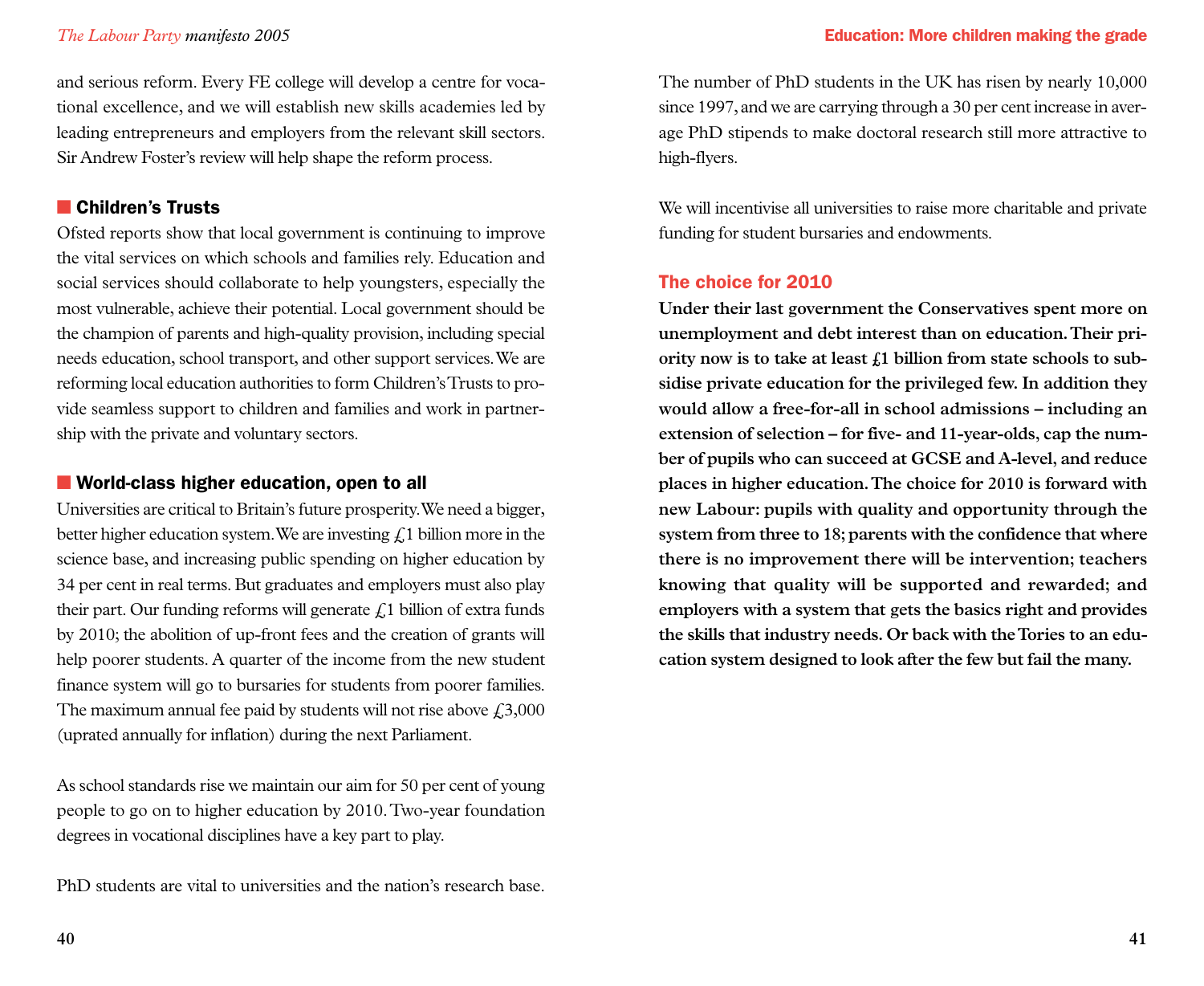and serious reform. Every FE college will develop a centre for vocational excellence, and we will establish new skills academies led by leading entrepreneurs and employers from the relevant skill sectors. Sir Andrew Foster's review will help shape the reform process.

## ■ **Children's Trusts**

Ofsted reports show that local government is continuing to improve the vital services on which schools and families rely. Education and social services should collaborate to help youngsters, especially the most vulnerable, achieve their potential. Local government should be the champion of parents and high-quality provision, including special needs education, school transport, and other support services.We are reforming local education authorities to form Children's Trusts to provide seamless support to children and families and work in partnership with the private and voluntary sectors.

### ■ World-class higher education, open to all

Universities are critical to Britain's future prosperity.We need a bigger, better higher education system. We are investing  $f_1$  billion more in the science base, and increasing public spending on higher education by 34 per cent in real terms. But graduates and employers must also play their part. Our funding reforms will generate  $f<sub>i</sub>1$  billion of extra funds by 2010; the abolition of up-front fees and the creation of grants will help poorer students. A quarter of the income from the new student finance system will go to bursaries for students from poorer families. The maximum annual fee paid by students will not rise above  $\ell$ , 3,000 (uprated annually for inflation) during the next Parliament.

As school standards rise we maintain our aim for 50 per cent of young people to go on to higher education by 2010.Two-year foundation degrees in vocational disciplines have a key part to play.

PhD students are vital to universities and the nation's research base.

The number of PhD students in the UK has risen by nearly 10,000 since 1997, and we are carrying through a 30 per cent increase in average PhD stipends to make doctoral research still more attractive to high-flyers.

We will incentivise all universities to raise more charitable and private funding for student bursaries and endowments.

#### **The choice for 2010**

**Under their last government the Conservatives spent more on unemployment and debt interest than on education.Their priority now is to take at least £1 billion from state schools to subsidise private education for the privileged few. In addition they would allow a free-for-all in school admissions – including an extension of selection – for five- and 11-year-olds, cap the number of pupils who can succeed at GCSE and A-level, and reduce places in higher education.The choice for 2010 is forward with new Labour: pupils with quality and opportunity through the system from three to 18; parents with the confidence that where there is no improvement there will be intervention; teachers knowing that quality will be supported and rewarded; and employers with a system that gets the basics right and provides the skills that industry needs. Or back with the Tories to an education system designed to look after the few but fail the many.**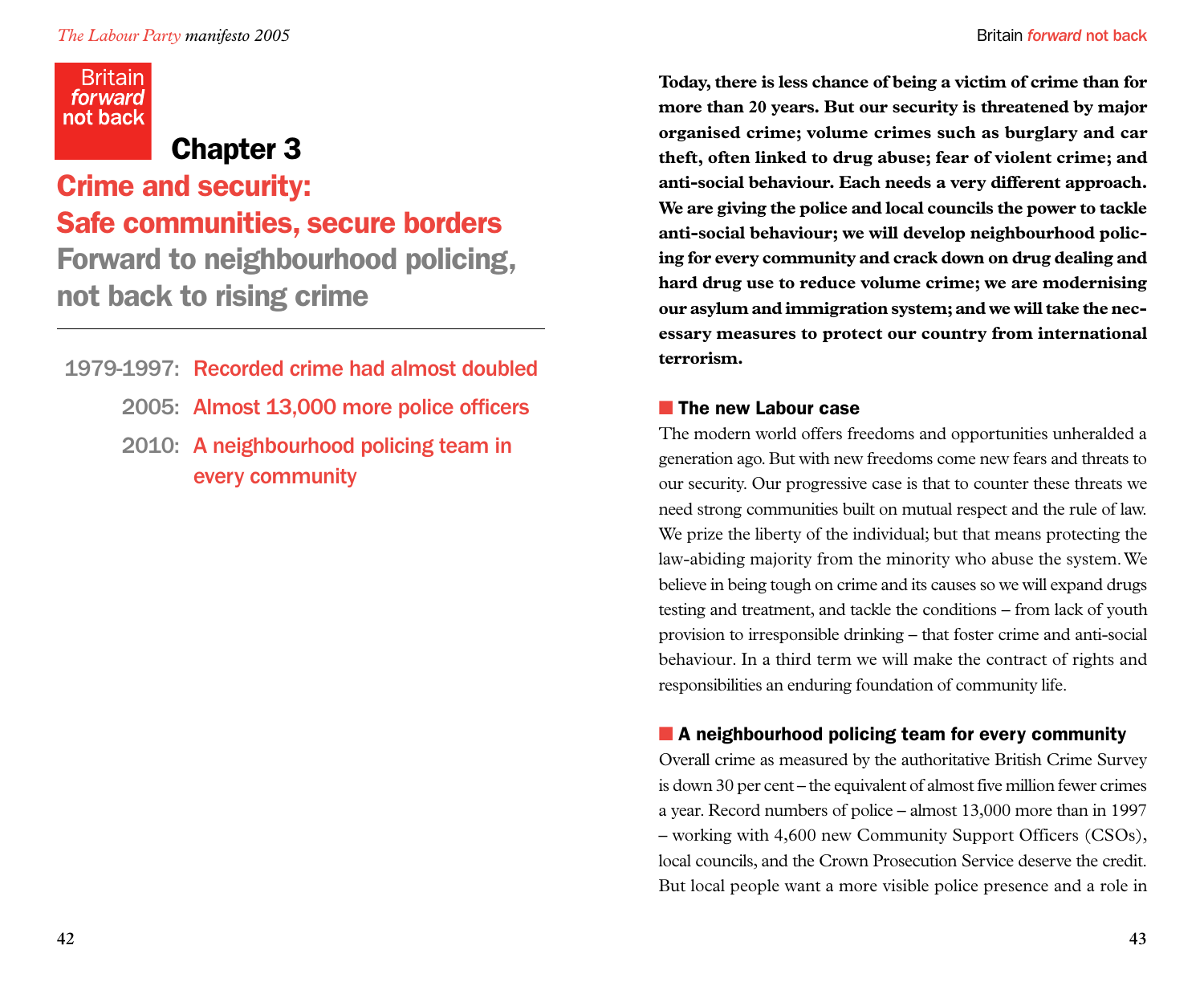

## **Chapter 3**

**Crime and security: Safe communities, secure borders**

**Forward to neighbourhood policing, not back to rising crime**

- 1979-1997: Recorded crime had almost doubled 2005: Almost 13,000 more police officers
	- 2010: A neighbourhood policing team in every community

**Today, there is less chance of being a victim of crime than for more than 20 years. But our security is threatened by major organised crime; volume crimes such as burglary and car theft, often linked to drug abuse; fear of violent crime; and anti-social behaviour. Each needs a very different approach. We are giving the police and local councils the power to tackle anti-social behaviour; we will develop neighbourhood policing for every community and crack down on drug dealing and hard drug use to reduce volume crime; we are modernising our asylum and immigration system;and we will take the necessary measures to protect our country from international terrorism.**

## ■ **The new Labour case**

The modern world offers freedoms and opportunities unheralded a generation ago. But with new freedoms come new fears and threats to our security. Our progressive case is that to counter these threats we need strong communities built on mutual respect and the rule of law. We prize the liberty of the individual; but that means protecting the law-abiding majority from the minority who abuse the system.We believe in being tough on crime and its causes so we will expand drugs testing and treatment, and tackle the conditions – from lack of youth provision to irresponsible drinking – that foster crime and anti-social behaviour. In a third term we will make the contract of rights and responsibilities an enduring foundation of community life.

## ■ **A** neighbourhood policing team for every community

Overall crime as measured by the authoritative British Crime Survey is down 30 per cent – the equivalent of almost five million fewer crimes a year. Record numbers of police – almost 13,000 more than in 1997 – working with 4,600 new Community Support Officers (CSOs), local councils, and the Crown Prosecution Service deserve the credit. But local people want a more visible police presence and a role in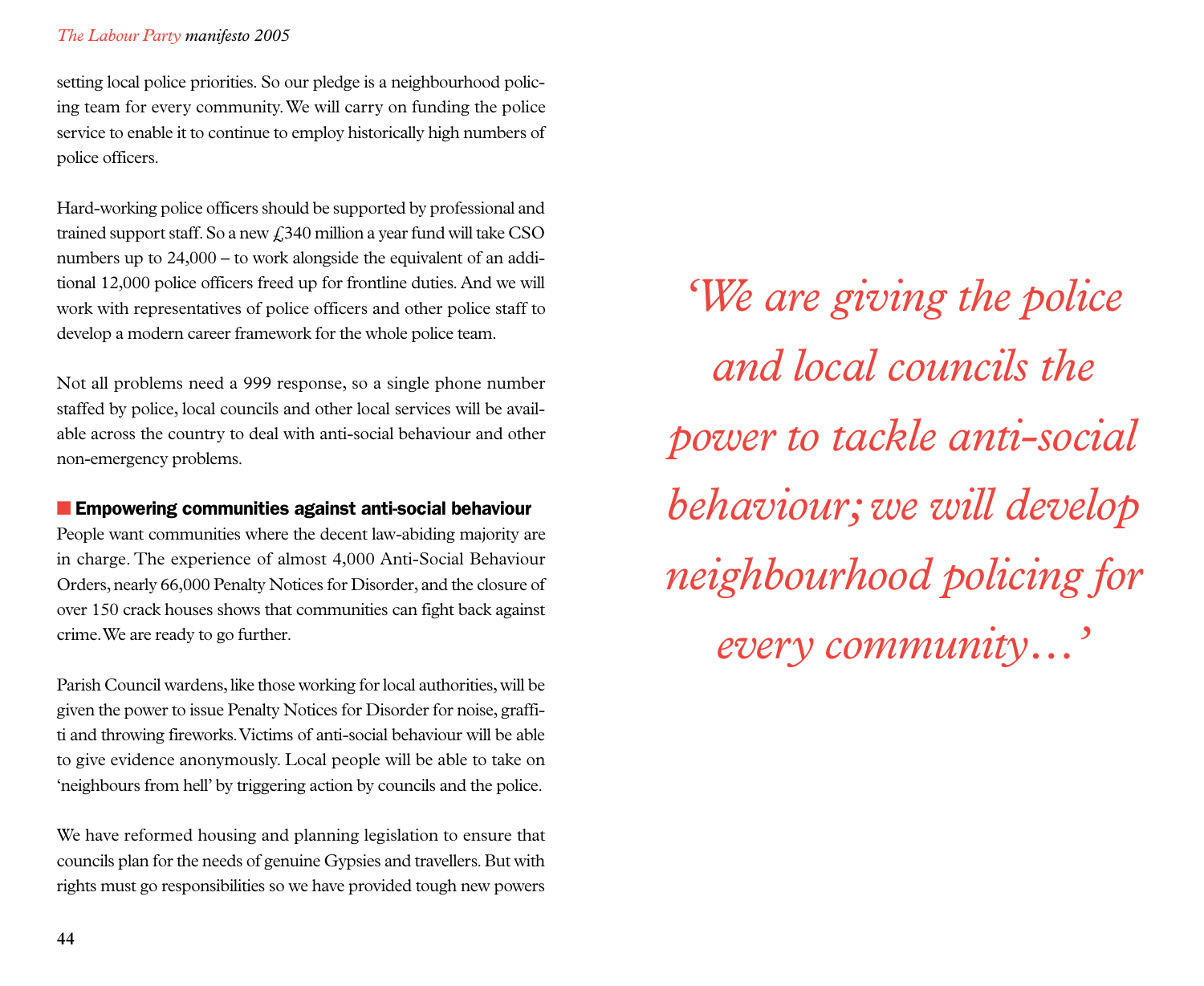setting local police priorities. So our pledge is a neighbourhood policing team for every community.We will carry on funding the police service to enable it to continue to employ historically high numbers of police officers.

Hard-working police officers should be supported by professional and trained support staff. So a new  $\angle$  340 million a year fund will take CSO numbers up to 24,000 – to work alongside the equivalent of an additional 12,000 police officers freed up for frontline duties. And we will work with representatives of police officers and other police staff to develop a modern career framework for the whole police team.

Not all problems need a 999 response, so a single phone number staffed by police, local councils and other local services will be available across the country to deal with anti-social behaviour and other non-emergency problems.

## ■ **Empowering communities against anti-social behaviour**

People want communities where the decent law-abiding majority are in charge. The experience of almost 4,000 Anti-Social Behaviour Orders, nearly 66,000 Penalty Notices for Disorder, and the closure of over 150 crack houses shows that communities can fight back against crime.We are ready to go further.

Parish Council wardens, like those working for local authorities, will be given the power to issue Penalty Notices for Disorder for noise, graffiti and throwing fireworks.Victims of anti-social behaviour will be able to give evidence anonymously. Local people will be able to take on 'neighbours from hell' by triggering action by councils and the police.

We have reformed housing and planning legislation to ensure that councils plan for the needs of genuine Gypsies and travellers. But with rights must go responsibilities so we have provided tough new powers

*'We are giving the police and local councils the power to tackle anti-social behaviour; we will develop neighbourhood policing for every community…'*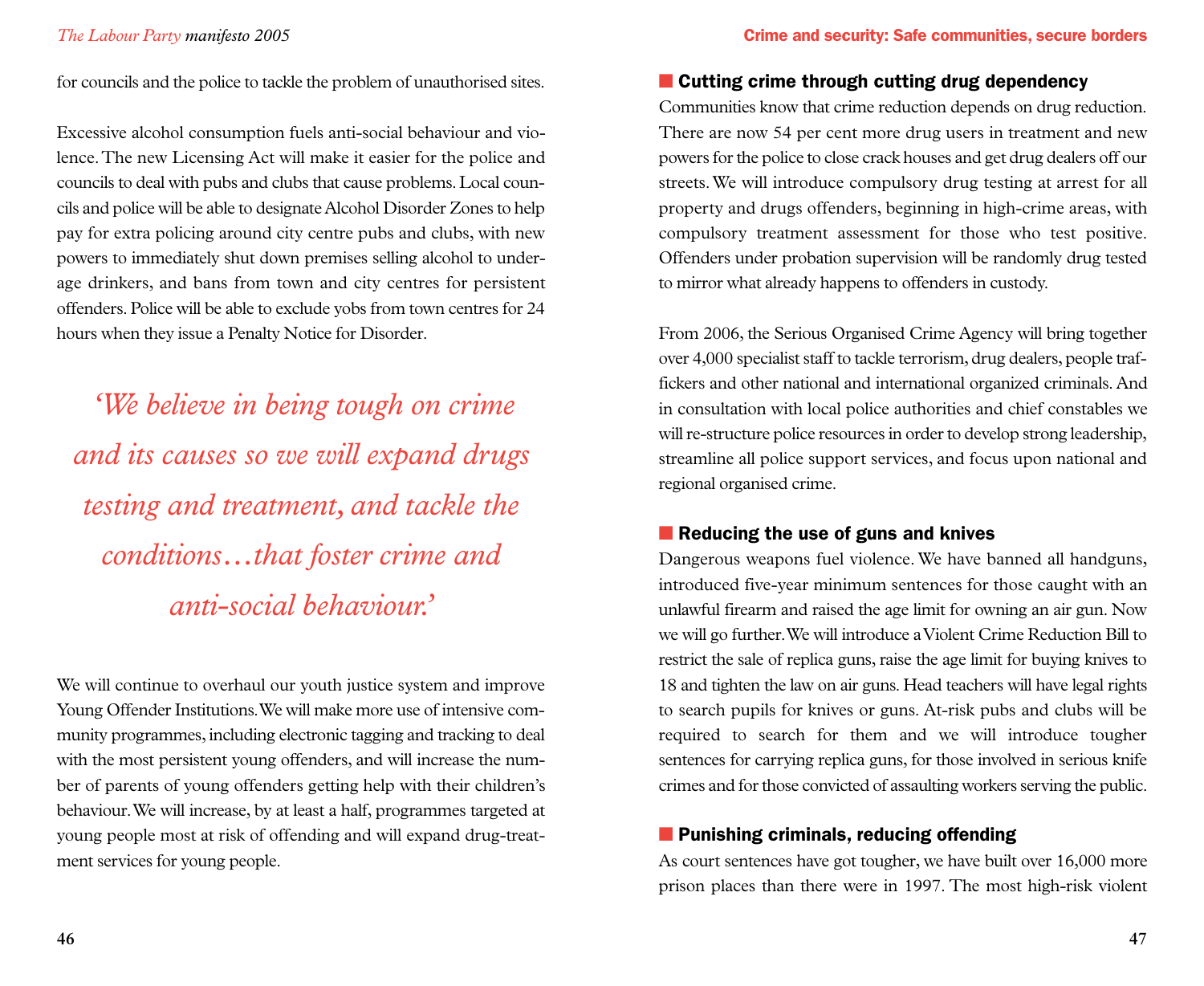for councils and the police to tackle the problem of unauthorised sites.

Excessive alcohol consumption fuels anti-social behaviour and violence.The new Licensing Act will make it easier for the police and councils to deal with pubs and clubs that cause problems. Local councils and police will be able to designate Alcohol Disorder Zones to help pay for extra policing around city centre pubs and clubs, with new powers to immediately shut down premises selling alcohol to underage drinkers, and bans from town and city centres for persistent offenders. Police will be able to exclude yobs from town centres for 24 hours when they issue a Penalty Notice for Disorder.

*'We believe in being tough on crime and its causes so we will expand drugs testing and treatment, and tackle the conditions…that foster crime and anti-social behaviour.'*

We will continue to overhaul our youth justice system and improve Young Offender Institutions.We will make more use of intensive community programmes, including electronic tagging and tracking to deal with the most persistent young offenders, and will increase the number of parents of young offenders getting help with their children's behaviour.We will increase, by at least a half, programmes targeted at young people most at risk of offending and will expand drug-treatment services for young people.

## ■ Cutting crime through cutting drug dependency

Communities know that crime reduction depends on drug reduction. There are now 54 per cent more drug users in treatment and new powers for the police to close crack houses and get drug dealers off our streets. We will introduce compulsory drug testing at arrest for all property and drugs offenders, beginning in high-crime areas, with compulsory treatment assessment for those who test positive. Offenders under probation supervision will be randomly drug tested to mirror what already happens to offenders in custody.

From 2006, the Serious Organised Crime Agency will bring together over 4,000 specialist staff to tackle terrorism, drug dealers, people traffickers and other national and international organized criminals. And in consultation with local police authorities and chief constables we will re-structure police resources in order to develop strong leadership, streamline all police support services, and focus upon national and regional organised crime.

## ■ **Reducing the use of guns and knives**

Dangerous weapons fuel violence. We have banned all handguns, introduced five-year minimum sentences for those caught with an unlawful firearm and raised the age limit for owning an air gun. Now we will go further.We will introduce a Violent Crime Reduction Bill to restrict the sale of replica guns, raise the age limit for buying knives to 18 and tighten the law on air guns. Head teachers will have legal rights to search pupils for knives or guns. At-risk pubs and clubs will be required to search for them and we will introduce tougher sentences for carrying replica guns, for those involved in serious knife crimes and for those convicted of assaulting workers serving the public.

## ■ **Punishing criminals, reducing offending**

As court sentences have got tougher, we have built over 16,000 more prison places than there were in 1997. The most high-risk violent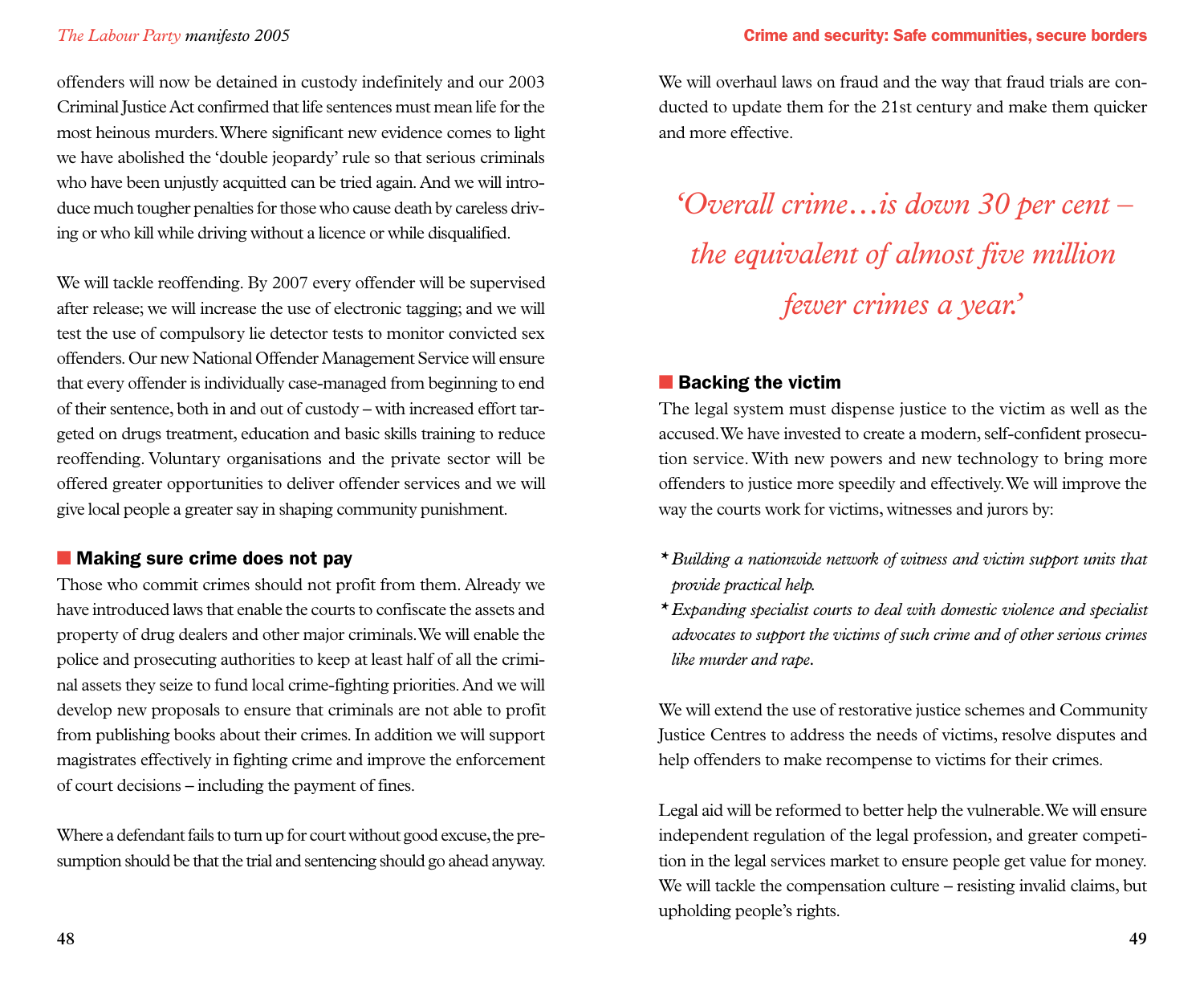**Crime and security: Safe communities, secure borders**

offenders will now be detained in custody indefinitely and our 2003 Criminal Justice Act confirmed that life sentences must mean life for the most heinous murders.Where significant new evidence comes to light we have abolished the 'double jeopardy' rule so that serious criminals who have been unjustly acquitted can be tried again. And we will introduce much tougher penalties for those who cause death by careless driving or who kill while driving without a licence or while disqualified.

We will tackle reoffending. By 2007 every offender will be supervised after release; we will increase the use of electronic tagging; and we will test the use of compulsory lie detector tests to monitor convicted sex offenders.Our new National Offender Management Service will ensure that every offender is individually case-managed from beginning to end of their sentence, both in and out of custody – with increased effort targeted on drugs treatment, education and basic skills training to reduce reoffending. Voluntary organisations and the private sector will be offered greater opportunities to deliver offender services and we will give local people a greater say in shaping community punishment.

## ■ **Making sure crime does not pay**

Those who commit crimes should not profit from them. Already we have introduced laws that enable the courts to confiscate the assets and property of drug dealers and other major criminals.We will enable the police and prosecuting authorities to keep at least half of all the criminal assets they seize to fund local crime-fighting priorities.And we will develop new proposals to ensure that criminals are not able to profit from publishing books about their crimes. In addition we will support magistrates effectively in fighting crime and improve the enforcement of court decisions – including the payment of fines.

Where a defendant fails to turn up for court without good excuse, the presumption should be that the trial and sentencing should go ahead anyway. We will overhaul laws on fraud and the way that fraud trials are conducted to update them for the 21st century and make them quicker and more effective.

*'Overall crime…is down 30 per cent – the equivalent of almost five million fewer crimes a year.'*

## ■ **Backing the victim**

The legal system must dispense justice to the victim as well as the accused.We have invested to create a modern, self-confident prosecution service. With new powers and new technology to bring more offenders to justice more speedily and effectively.We will improve the way the courts work for victims, witnesses and jurors by:

- *\* Building a nationwide network of witness and victim support units that provide practical help.*
- *\* Expanding specialist courts to deal with domestic violence and specialist advocates to support the victims of such crime and of other serious crimes like murder and rape.*

We will extend the use of restorative justice schemes and Community Justice Centres to address the needs of victims, resolve disputes and help offenders to make recompense to victims for their crimes.

Legal aid will be reformed to better help the vulnerable.We will ensure independent regulation of the legal profession, and greater competition in the legal services market to ensure people get value for money. We will tackle the compensation culture – resisting invalid claims, but upholding people's rights.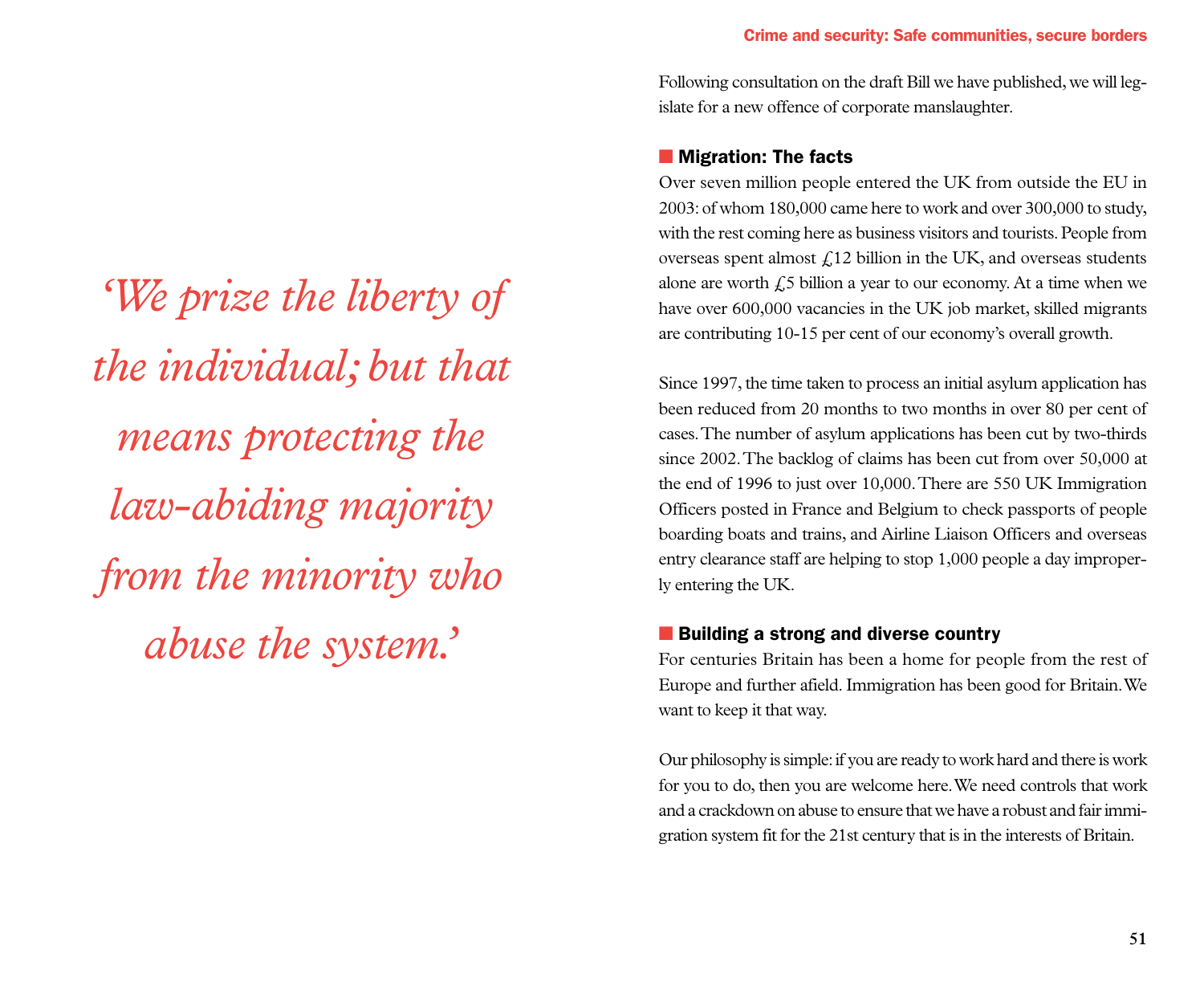Following consultation on the draft Bill we have published, we will leg-

islate for a new offence of corporate manslaughter.

■ **Migration: The facts** Over seven million people entered the UK from outside the EU in 2003: of whom 180,000 came here to work and over 300,000 to study, with the rest coming here as business visitors and tourists. People from overseas spent almost  $f(12)$  billion in the UK, and overseas students alone are worth  $f_0$  billion a year to our economy. At a time when we have over 600,000 vacancies in the UK job market, skilled migrants are contributing 10-15 per cent of our economy's overall growth.

Since 1997, the time taken to process an initial asylum application has been reduced from 20 months to two months in over 80 per cent of cases.The number of asylum applications has been cut by two-thirds since 2002.The backlog of claims has been cut from over 50,000 at the end of 1996 to just over 10,000.There are 550 UK Immigration Officers posted in France and Belgium to check passports of people boarding boats and trains, and Airline Liaison Officers and overseas entry clearance staff are helping to stop 1,000 people a day improperly entering the UK.

#### ■ **Building a strong and diverse country**

For centuries Britain has been a home for people from the rest of Europe and further afield. Immigration has been good for Britain.We want to keep it that way.

Our philosophy is simple:if you are ready to work hard and there is work for you to do, then you are welcome here.We need controls that work and a crackdown on abuse to ensure thatwe have a robust and fair immigration system fit for the 21st century that is in the interests of Britain.

*'We prize the liberty of the individual; but that means protecting the law-abiding majority from the minority who abuse the system.'*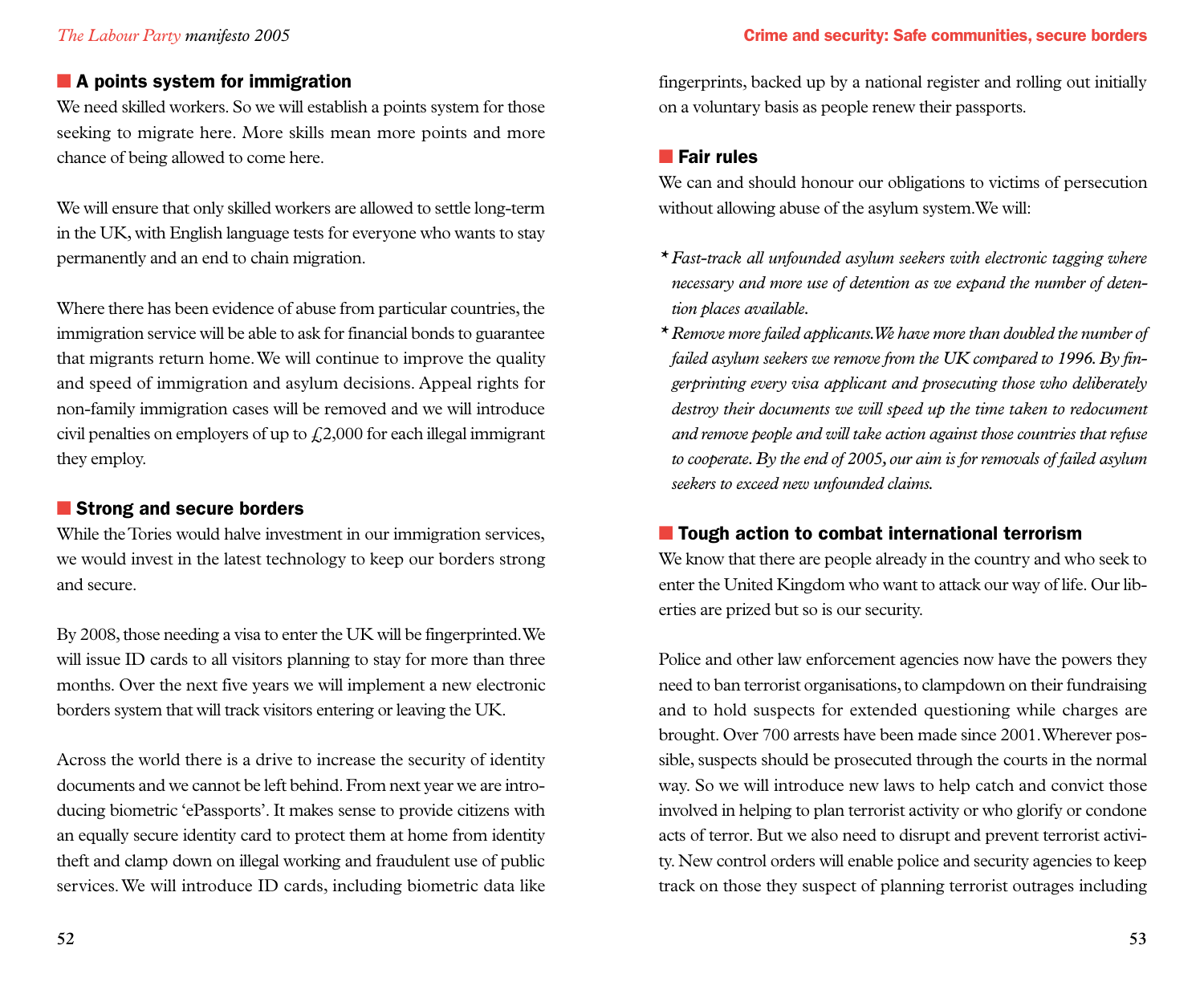## ■ **A points system for immigration**

We need skilled workers. So we will establish a points system for those seeking to migrate here. More skills mean more points and more chance of being allowed to come here.

We will ensure that only skilled workers are allowed to settle long-term in the UK, with English language tests for everyone who wants to stay permanently and an end to chain migration.

Where there has been evidence of abuse from particular countries, the immigration service will be able to ask for financial bonds to guarantee that migrants return home.We will continue to improve the quality and speed of immigration and asylum decisions. Appeal rights for non-family immigration cases will be removed and we will introduce civil penalties on employers of up to  $f(2,000)$  for each illegal immigrant they employ.

## ■ **Strong and secure borders**

While the Tories would halve investment in our immigration services, we would invest in the latest technology to keep our borders strong and secure.

By 2008, those needing a visa to enter the UK will be fingerprinted.We will issue ID cards to all visitors planning to stay for more than three months. Over the next five years we will implement a new electronic borders system that will track visitors entering or leaving the UK.

Across the world there is a drive to increase the security of identity documents and we cannot be left behind. From next year we are introducing biometric 'ePassports'. It makes sense to provide citizens with an equally secure identity card to protect them at home from identity theft and clamp down on illegal working and fraudulent use of public services.We will introduce ID cards, including biometric data like fingerprints, backed up by a national register and rolling out initially on a voluntary basis as people renew their passports.

## ■ **Fair rules**

We can and should honour our obligations to victims of persecution without allowing abuse of the asylum system.We will:

- *\* Fast-track all unfounded asylum seekers with electronic tagging where necessary and more use of detention as we expand the number of detention places available.*
- *\* Remove more failed applicants.We have more than doubled the number of failed asylum seekers we remove from the UK compared to 1996.By fingerprinting every visa applicant and prosecuting those who deliberately destroy their documents we will speed up the time taken to redocument and remove people and will take action against those countries that refuse to cooperate.By the end of 2005,our aim is for removals of failed asylum seekers to exceed new unfounded claims.*

## ■ **Tough action to combat international terrorism**

We know that there are people already in the country and who seek to enter the United Kingdom who want to attack our way of life. Our liberties are prized but so is our security.

Police and other law enforcement agencies now have the powers they need to ban terrorist organisations, to clampdown on their fundraising and to hold suspects for extended questioning while charges are brought. Over 700 arrests have been made since 2001.Wherever possible, suspects should be prosecuted through the courts in the normal way. So we will introduce new laws to help catch and convict those involved in helping to plan terrorist activity or who glorify or condone acts of terror. But we also need to disrupt and prevent terrorist activity. New control orders will enable police and security agencies to keep track on those they suspect of planning terrorist outrages including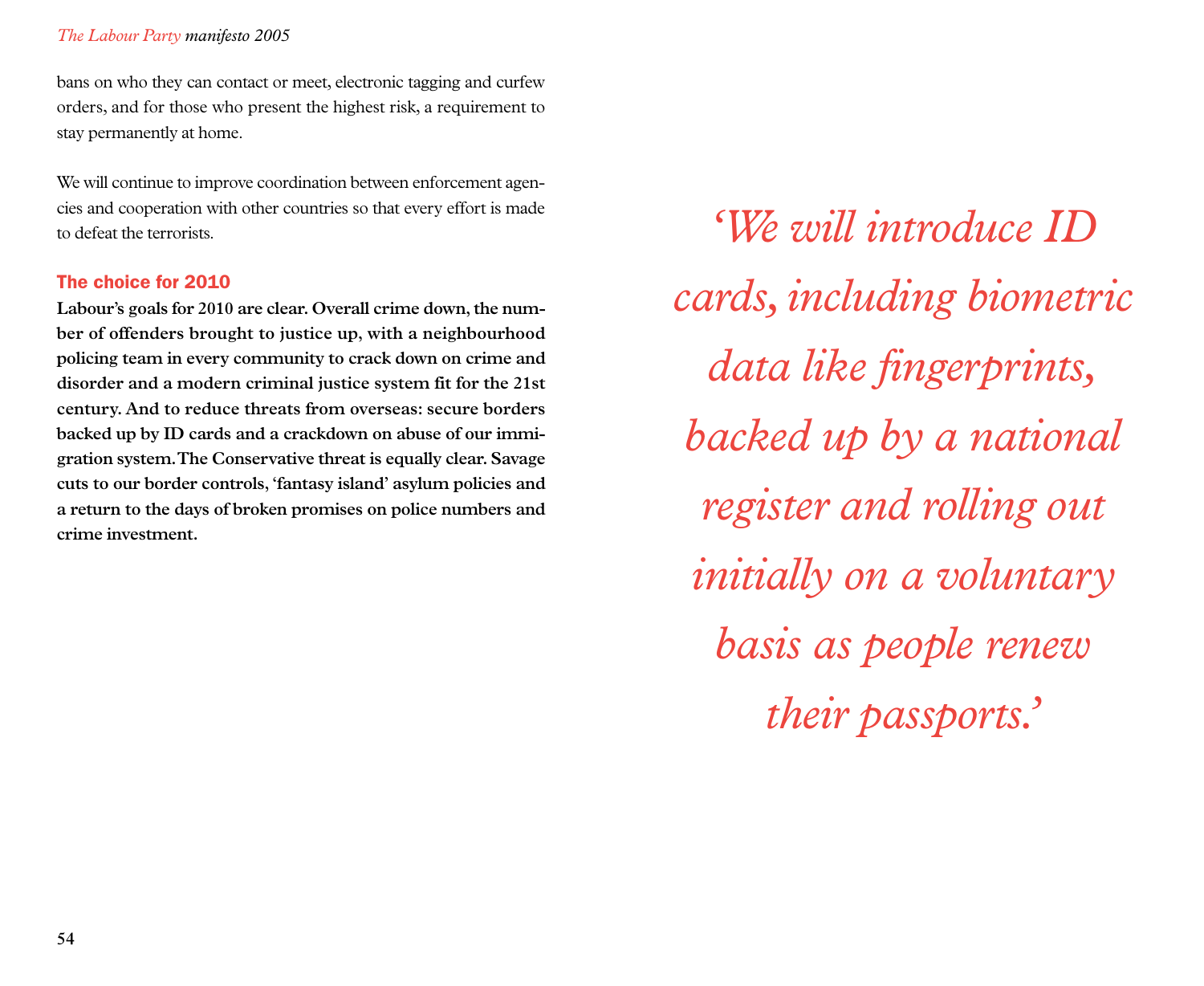bans on who they can contact or meet, electronic tagging and curfew orders, and for those who present the highest risk, a requirement to stay permanently at home.

We will continue to improve coordination between enforcement agencies and cooperation with other countries so that every effort is made to defeat the terrorists.

## **The choice for 2010**

**Labour's goals for 2010 are clear. Overall crime down, the number of offenders brought to justice up, with a neighbourhood policing team in every community to crack down on crime and disorder and a modern criminal justice system fit for the 21st century. And to reduce threats from overseas: secure borders backed up by ID cards and a crackdown on abuse of our immigration system.The Conservative threat is equally clear. Savage cuts to our border controls, 'fantasy island' asylum policies and a return to the days of broken promises on police numbers and crime investment.**

*'We will introduce ID cards, including biometric data like fingerprints, backed up by a national register and rolling out initially on a voluntary basis as people renew their passports.'*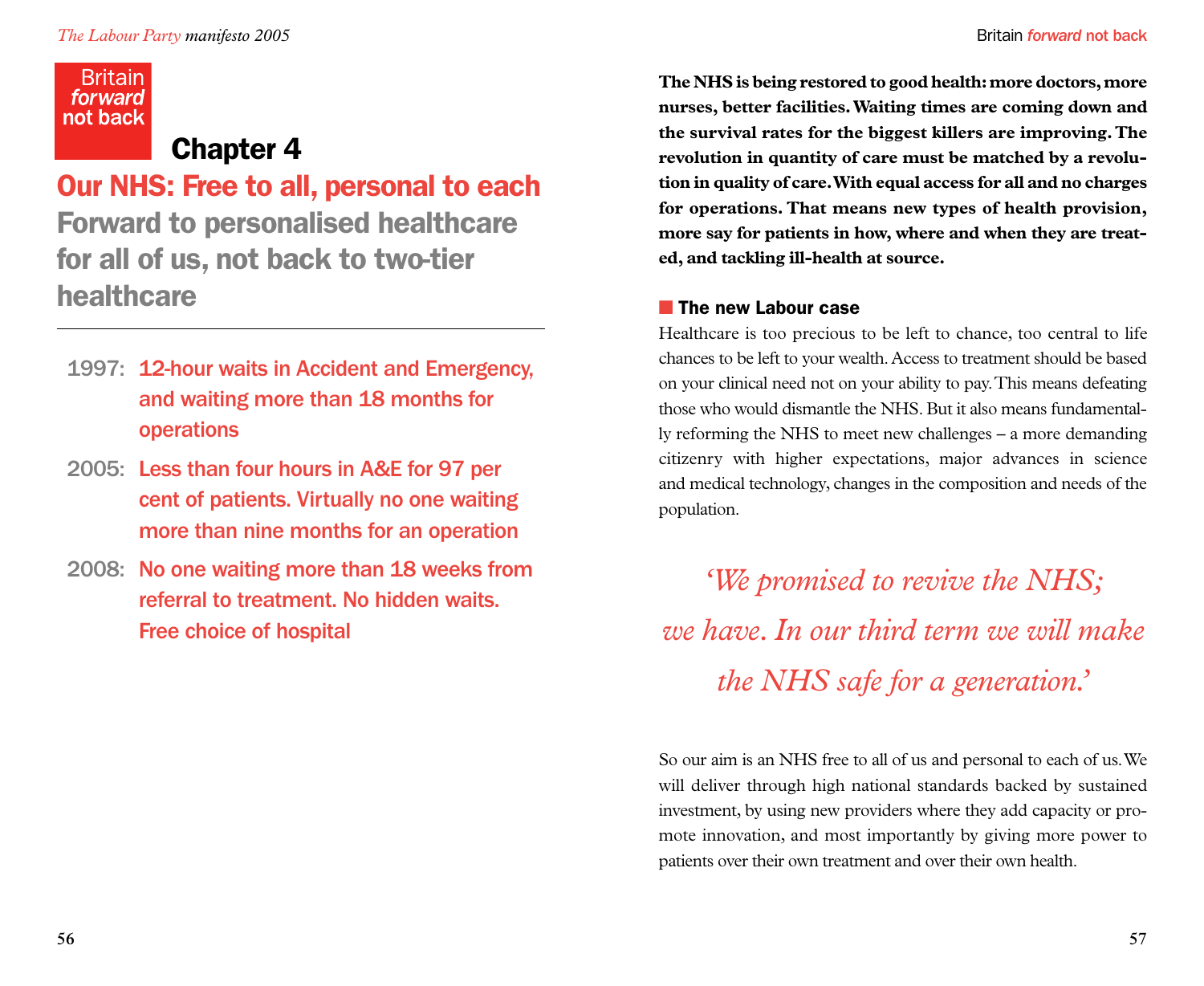

## **Chapter 4**

**Our NHS: Free to all, personal to each Forward to personalised healthcare for all of us, not back to two-tier healthcare**

- 1997: 12-hour waits in Accident and Emergency, and waiting more than 18 months for operations
- 2005: Less than four hours in A&E for 97 per cent of patients. Virtually no one waiting more than nine months for an operation
- 2008: No one waiting more than 18 weeks from referral to treatment. No hidden waits. Free choice of hospital

**The NHS is being restored to good health:more doctors,more nurses, better facilities.Waiting times are coming down and the survival rates for the biggest killers are improving.The revolution in quantity of care must be matched by a revolution in quality of care.With equal access for all and no charges for operations. That means new types of health provision, more say for patients in how, where and when they are treated, and tackling ill-health at source.**

## ■ **The new Labour case**

Healthcare is too precious to be left to chance, too central to life chances to be left to your wealth. Access to treatment should be based on your clinical need not on your ability to pay.This means defeating those who would dismantle the NHS. But it also means fundamentally reforming the NHS to meet new challenges – a more demanding citizenry with higher expectations, major advances in science and medical technology, changes in the composition and needs of the population.

*'We promised to revive the NHS; we have. In our third term we will make the NHS safe for a generation.'*

So our aim is an NHS free to all of us and personal to each of us.We will deliver through high national standards backed by sustained investment, by using new providers where they add capacity or promote innovation, and most importantly by giving more power to patients over their own treatment and over their own health.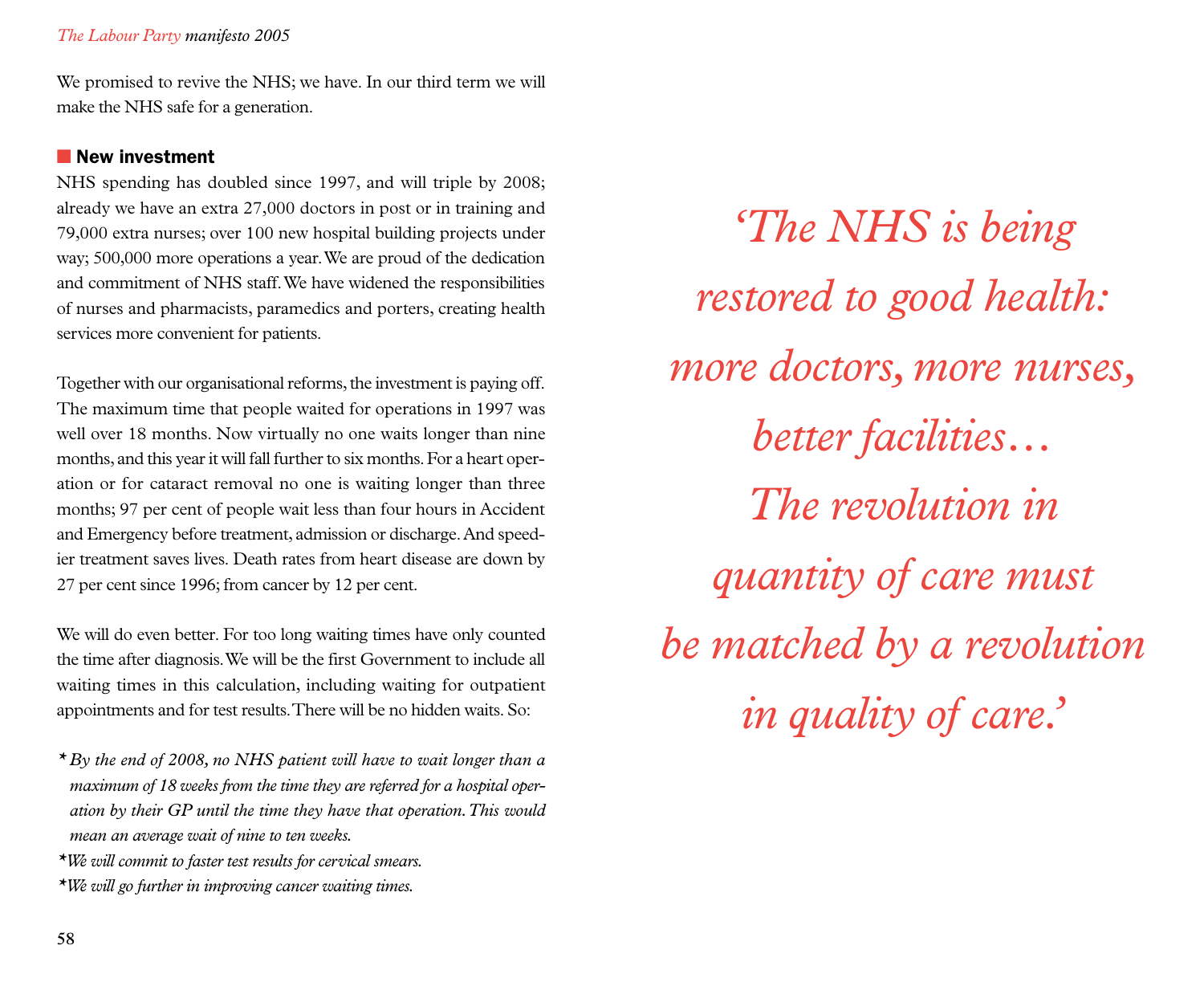We promised to revive the NHS; we have. In our third term we will make the NHS safe for a generation.

#### ■ **New investment**

NHS spending has doubled since 1997, and will triple by 2008; already we have an extra 27,000 doctors in post or in training and 79,000 extra nurses; over 100 new hospital building projects under way; 500,000 more operations a year.We are proud of the dedication and commitment of NHS staff.We have widened the responsibilities of nurses and pharmacists, paramedics and porters, creating health services more convenient for patients.

Together with our organisational reforms, the investment is paying off. The maximum time that people waited for operations in 1997 was well over 18 months. Now virtually no one waits longer than nine months, and this year it will fall further to six months. For a heart operation or for cataract removal no one is waiting longer than three months; 97 per cent of people wait less than four hours in Accident and Emergency before treatment, admission or discharge.And speedier treatment saves lives. Death rates from heart disease are down by 27 per cent since 1996; from cancer by 12 per cent.

We will do even better. For too long waiting times have only counted the time after diagnosis.We will be the first Government to include all waiting times in this calculation, including waiting for outpatient appointments and for test results.There will be no hidden waits. So:

- *\* By the end of 2008, no NHS patient will have to wait longer than a maximum of 18 weeks from the time they are referred for a hospital operation by their GP until the time they have that operation.This would mean an average wait of nine to ten weeks.*
- *\*We will commit to faster test results for cervical smears.*
- *\*We will go further in improving cancer waiting times.*

*'The NHS is being restored to good health: more doctors, more nurses, better facilities… The revolution in quantity of care must be matched by a revolution in quality of care.'*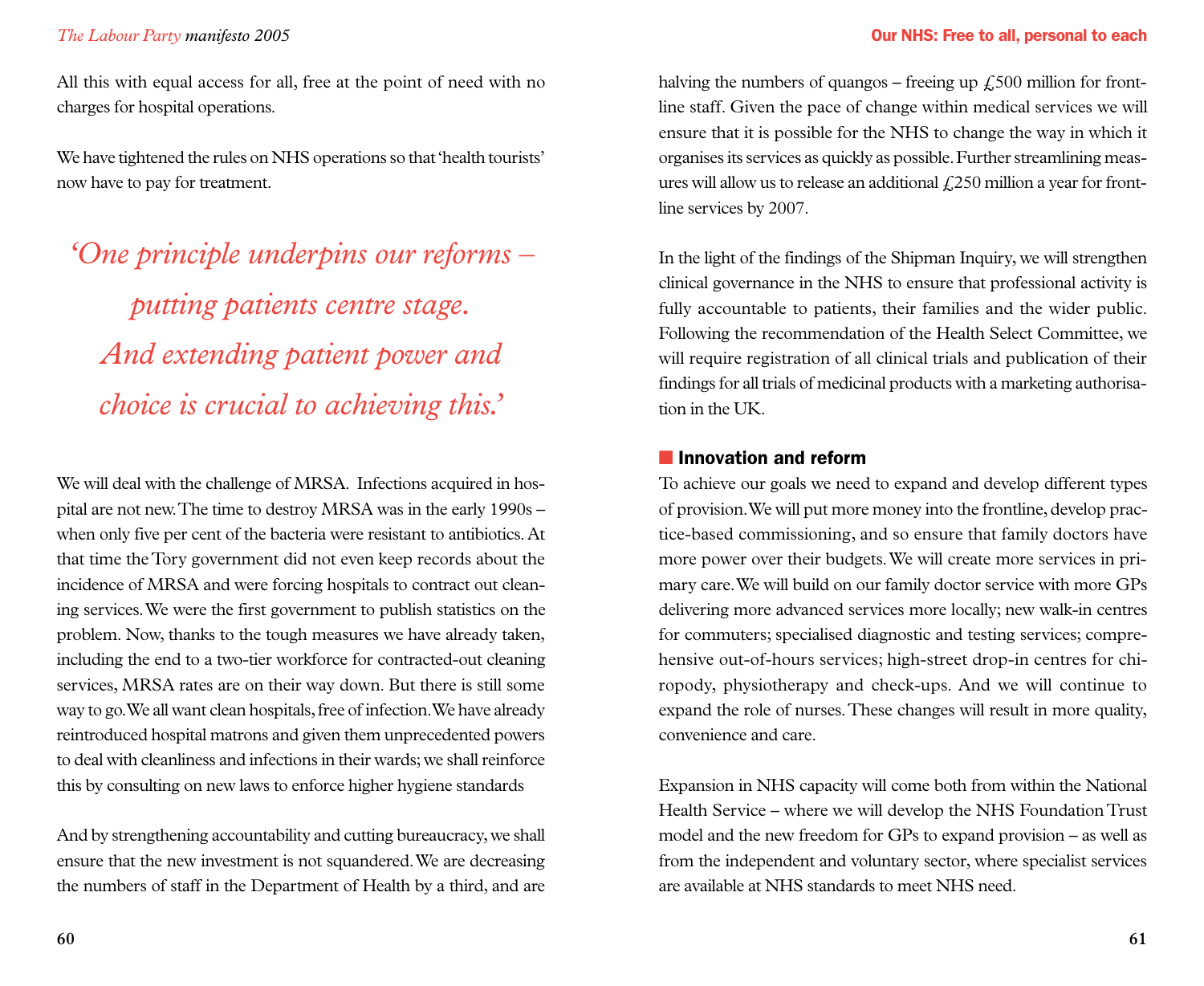All this with equal access for all, free at the point of need with no charges for hospital operations.

We have tightened the rules on NHS operations so that 'health tourists' now have to pay for treatment.

# *'One principle underpins our reforms – putting patients centre stage. And extending patient power and choice is crucial to achieving this.'*

We will deal with the challenge of MRSA. Infections acquired in hospital are not new.The time to destroy MRSA was in the early 1990s – when only five per cent of the bacteria were resistant to antibiotics. At that time the Tory government did not even keep records about the incidence of MRSA and were forcing hospitals to contract out cleaning services.We were the first government to publish statistics on the problem. Now, thanks to the tough measures we have already taken, including the end to a two-tier workforce for contracted-out cleaning services, MRSA rates are on their way down. But there is still some way to go. We all want clean hospitals, free of infection. We have already reintroduced hospital matrons and given them unprecedented powers to deal with cleanliness and infections in their wards; we shall reinforce this by consulting on new laws to enforce higher hygiene standards

And by strengthening accountability and cutting bureaucracy, we shall ensure that the new investment is not squandered.We are decreasing the numbers of staff in the Department of Health by a third, and are halving the numbers of quangos – freeing up  $f<sub>1</sub>500$  million for frontline staff. Given the pace of change within medical services we will ensure that it is possible for the NHS to change the way in which it organises its services as quickly as possible.Further streamlining measures will allow us to release an additional  $f(250)$  million a year for frontline services by 2007.

In the light of the findings of the Shipman Inquiry, we will strengthen clinical governance in the NHS to ensure that professional activity is fully accountable to patients, their families and the wider public. Following the recommendation of the Health Select Committee, we will require registration of all clinical trials and publication of their findings for all trials of medicinal products with a marketing authorisation in the UK.

#### ■ **Innovation and reform**

To achieve our goals we need to expand and develop different types of provision.We will put more money into the frontline, develop practice-based commissioning, and so ensure that family doctors have more power over their budgets.We will create more services in primary care.We will build on our family doctor service with more GPs delivering more advanced services more locally; new walk-in centres for commuters; specialised diagnostic and testing services; comprehensive out-of-hours services; high-street drop-in centres for chiropody, physiotherapy and check-ups. And we will continue to expand the role of nurses.These changes will result in more quality, convenience and care.

Expansion in NHS capacity will come both from within the National Health Service – where we will develop the NHS Foundation Trust model and the new freedom for GPs to expand provision – as well as from the independent and voluntary sector, where specialist services are available at NHS standards to meet NHS need.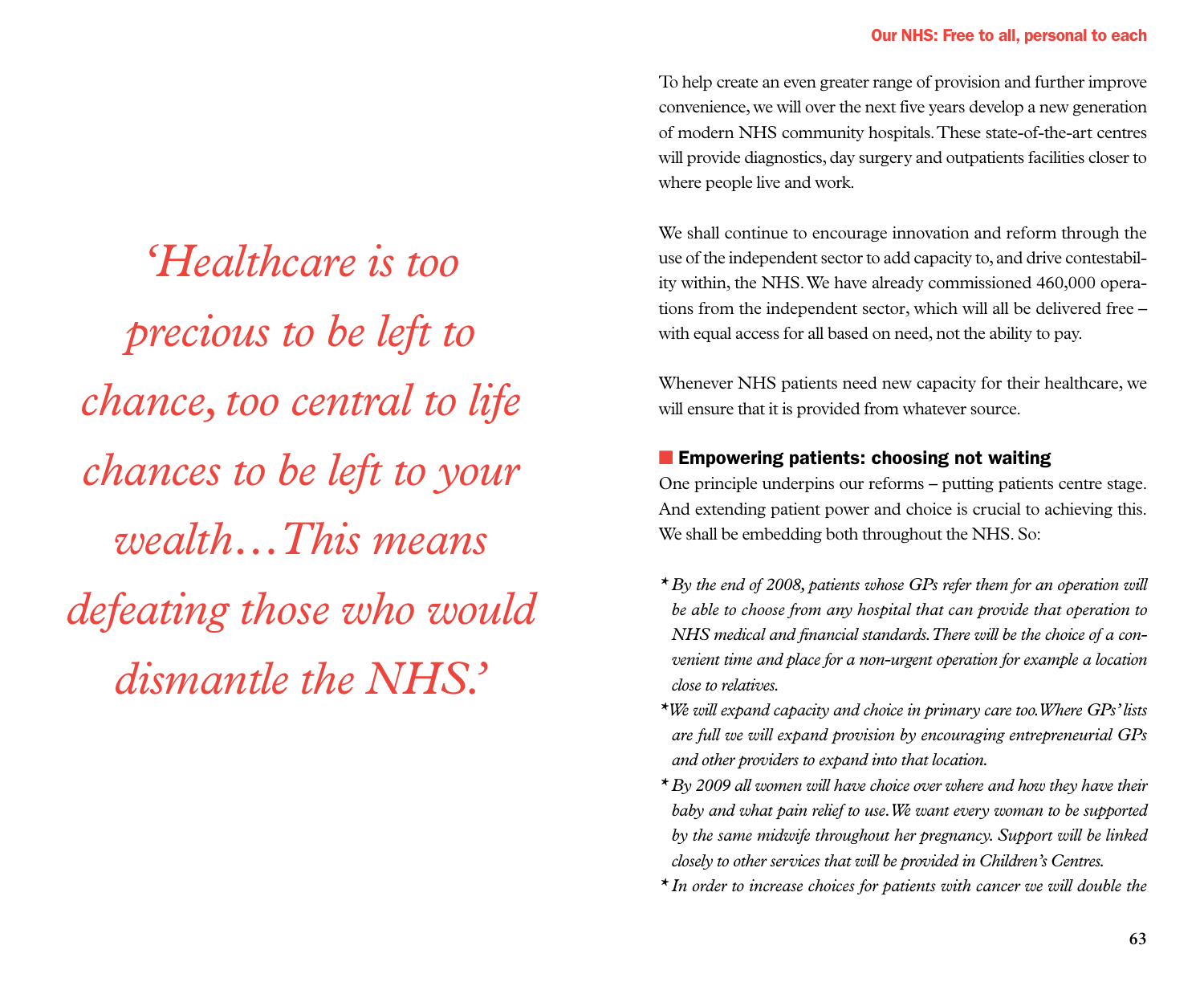To help create an even greater range of provision and further improve convenience, we will over the next five years develop a new generation of modern NHS community hospitals.These state-of-the-art centres will provide diagnostics, day surgery and outpatients facilities closer to where people live and work.

We shall continue to encourage innovation and reform through the use of the independent sector to add capacity to, and drive contestability within, the NHS.We have already commissioned 460,000 operations from the independent sector, which will all be delivered free – with equal access for all based on need, not the ability to pay.

Whenever NHS patients need new capacity for their healthcare, we will ensure that it is provided from whatever source.

## ■ **Empowering patients: choosing not waiting**

One principle underpins our reforms – putting patients centre stage. And extending patient power and choice is crucial to achieving this. We shall be embedding both throughout the NHS. So:

- *\* By the end of 2008, patients whose GPs refer them for an operation will be able to choose from any hospital that can provide that operation to NHS medical and financial standards.There will be the choice of a convenient time and place for a non-urgent operation for example a location close to relatives.*
- *\*We will expand capacity and choice in primary care too.Where GPs'lists are full we will expand provision by encouraging entrepreneurial GPs and other providers to expand into that location.*
- *\* By 2009 all women will have choice over where and how they have their baby and what pain relief to use.We want every woman to be supported by the same midwife throughout her pregnancy. Support will be linked closely to other services that will be provided in Children's Centres.*
- *\* In order to increase choices for patients with cancer we will double the*

*'Healthcare is too precious to be left to chance, too central to life chances to be left to your wealth…This means defeating those who would dismantle the NHS.'*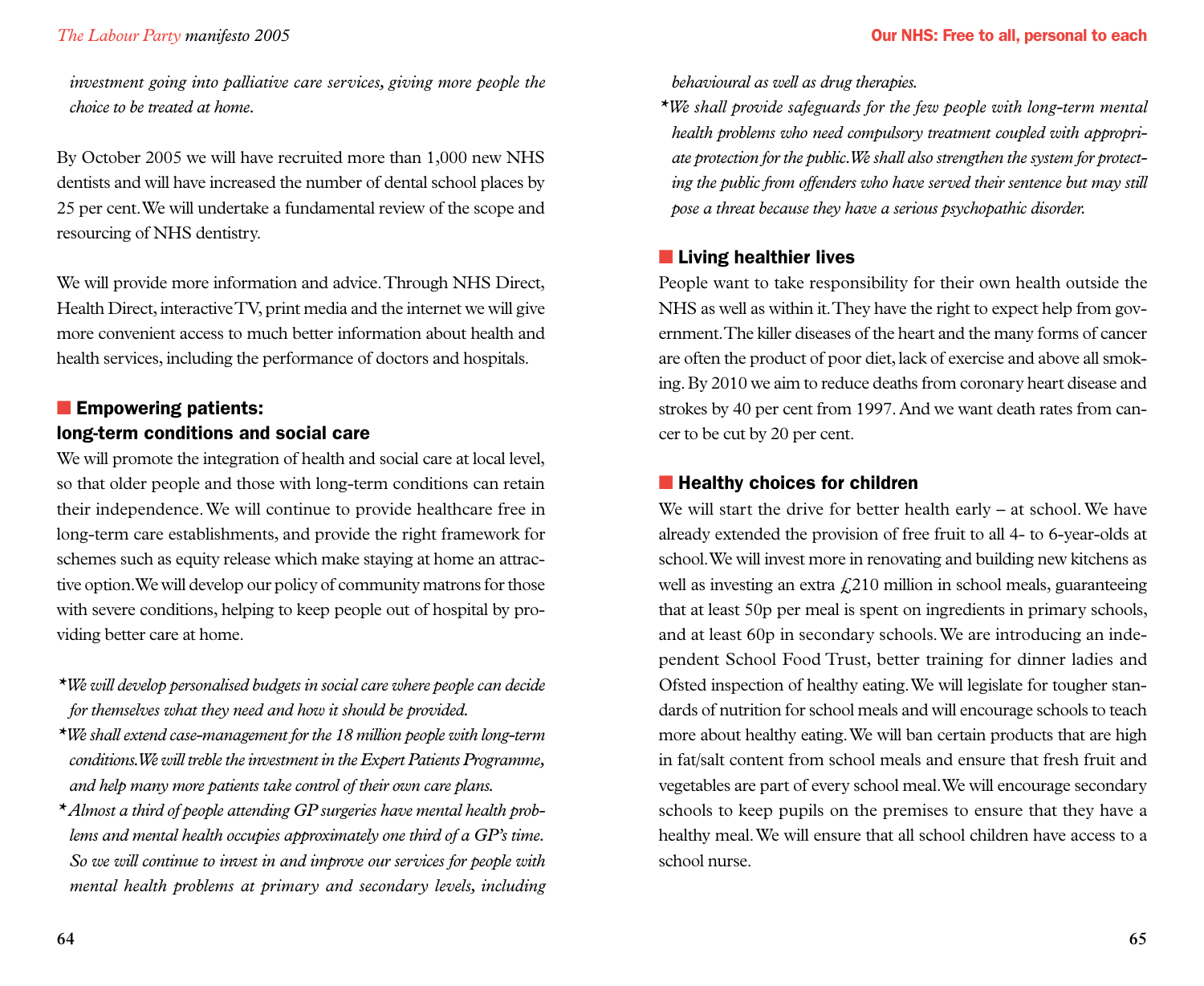*investment going into palliative care services, giving more people the choice to be treated at home.*

By October 2005 we will have recruited more than 1,000 new NHS dentists and will have increased the number of dental school places by 25 per cent.We will undertake a fundamental review of the scope and resourcing of NHS dentistry.

We will provide more information and advice.Through NHS Direct, Health Direct, interactive TV, print media and the internet we will give more convenient access to much better information about health and health services, including the performance of doctors and hospitals.

## ■ **Empowering patients: long-term conditions and social care**

We will promote the integration of health and social care at local level, so that older people and those with long-term conditions can retain their independence.We will continue to provide healthcare free in long-term care establishments, and provide the right framework for schemes such as equity release which make staying at home an attractive option.We will develop our policy of community matrons for those with severe conditions, helping to keep people out of hospital by providing better care at home.

- *\*We will develop personalised budgets in social care where people can decide for themselves what they need and how it should be provided.*
- *\*We shall extend case-management for the 18 million people with long-term conditions.Wewill treble the investment in the Expert Patients Programme, and help many more patients take control of their own care plans.*
- *\* Almost a third of people attending GP surgeries have mental health problems and mental health occupies approximately one third of a GP's time. So we will continue to invest in and improve our services for people with mental health problems at primary and secondary levels, including*

*behavioural as well as drug therapies.*

*\*We shall provide safeguards for the few people with long-term mental health problems who need compulsory treatment coupled with appropriate protection for the public.We shall also strengthen the system for protecting the public from offenders who have served their sentence but may still pose a threat because they have a serious psychopathic disorder.*

## ■ **Living healthier lives**

People want to take responsibility for their own health outside the NHS as well as within it.They have the right to expect help from government.The killer diseases of the heart and the many forms of cancer are often the product of poor diet, lack of exercise and above all smoking. By 2010 we aim to reduce deaths from coronary heart disease and strokes by 40 per cent from 1997. And we want death rates from cancer to be cut by 20 per cent.

## ■ **Healthy choices for children**

We will start the drive for better health early – at school. We have already extended the provision of free fruit to all 4- to 6-year-olds at school.We will invest more in renovating and building new kitchens as well as investing an extra  $f(210)$  million in school meals, guaranteeing that at least 50p per meal is spent on ingredients in primary schools, and at least 60p in secondary schools.We are introducing an independent School Food Trust, better training for dinner ladies and Ofsted inspection of healthy eating.We will legislate for tougher standards of nutrition for school meals and will encourage schools to teach more about healthy eating.We will ban certain products that are high in fat/salt content from school meals and ensure that fresh fruit and vegetables are part of every school meal.We will encourage secondary schools to keep pupils on the premises to ensure that they have a healthy meal.We will ensure that all school children have access to a school nurse.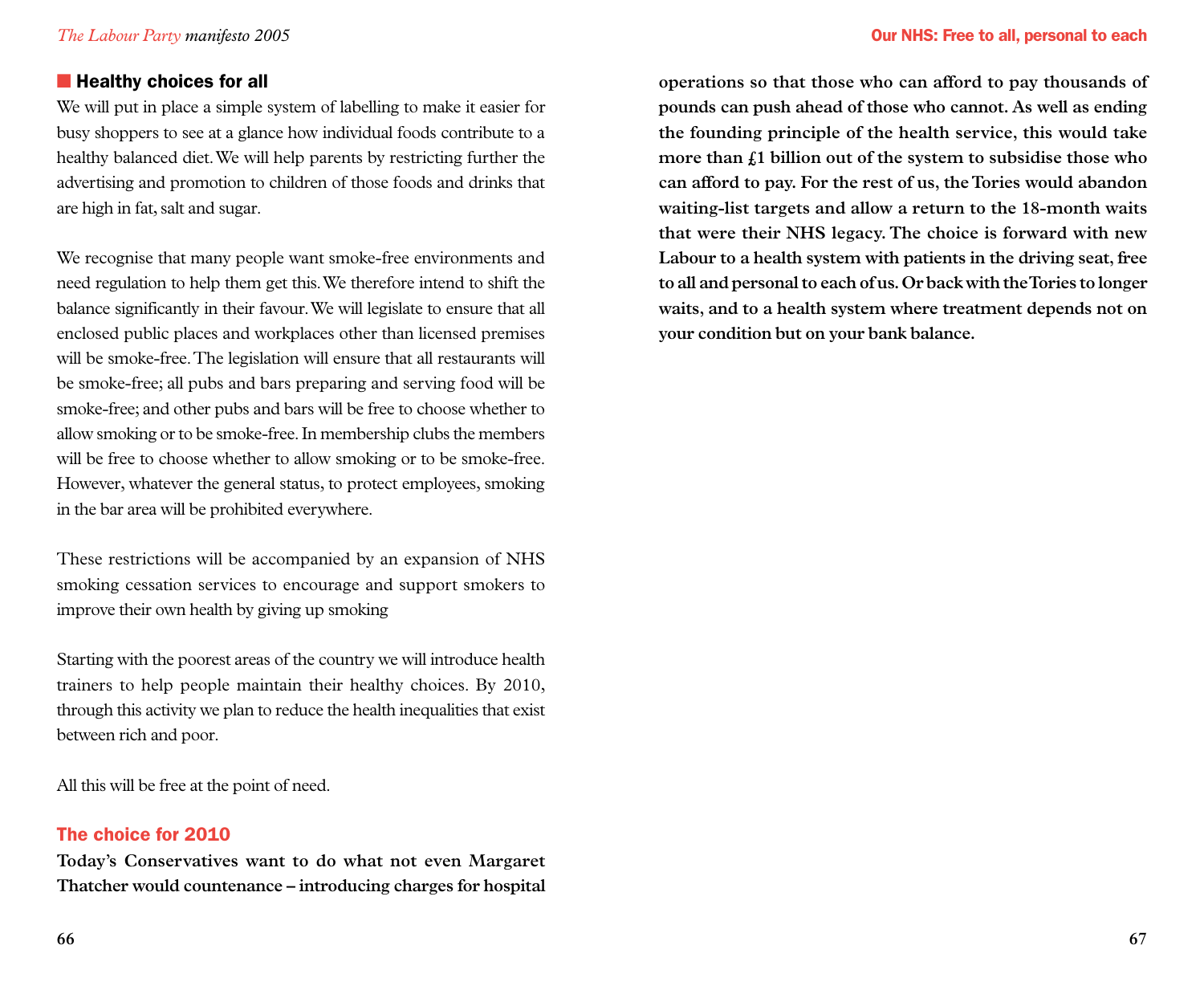## ■ **Healthy choices for all**

We will put in place a simple system of labelling to make it easier for busy shoppers to see at a glance how individual foods contribute to a healthy balanced diet.We will help parents by restricting further the advertising and promotion to children of those foods and drinks that are high in fat, salt and sugar.

We recognise that many people want smoke-free environments and need regulation to help them get this.We therefore intend to shift the balance significantly in their favour.We will legislate to ensure that all enclosed public places and workplaces other than licensed premises will be smoke-free.The legislation will ensure that all restaurants will be smoke-free; all pubs and bars preparing and serving food will be smoke-free; and other pubs and bars will be free to choose whether to allow smoking or to be smoke-free. In membership clubs the members will be free to choose whether to allow smoking or to be smoke-free. However, whatever the general status, to protect employees, smoking in the bar area will be prohibited everywhere.

These restrictions will be accompanied by an expansion of NHS smoking cessation services to encourage and support smokers to improve their own health by giving up smoking

Starting with the poorest areas of the country we will introduce health trainers to help people maintain their healthy choices. By 2010, through this activity we plan to reduce the health inequalities that exist between rich and poor.

All this will be free at the point of need.

## **The choice for 2010**

**Today's Conservatives want to do what not even Margaret Thatcher would countenance – introducing charges for hospital** **operations so that those who can afford to pay thousands of pounds can push ahead of those who cannot. As well as ending the founding principle of the health service, this would take more than £1 billion out of the system to subsidise those who can afford to pay. For the rest of us, the Tories would abandon waiting-list targets and allow a return to the 18-month waits that were their NHS legacy. The choice is forward with new Labour to a health system with patients in the driving seat, free to all and personal to each of us.Or back with the Tories to longer waits, and to a health system where treatment depends not on your condition but on your bank balance.**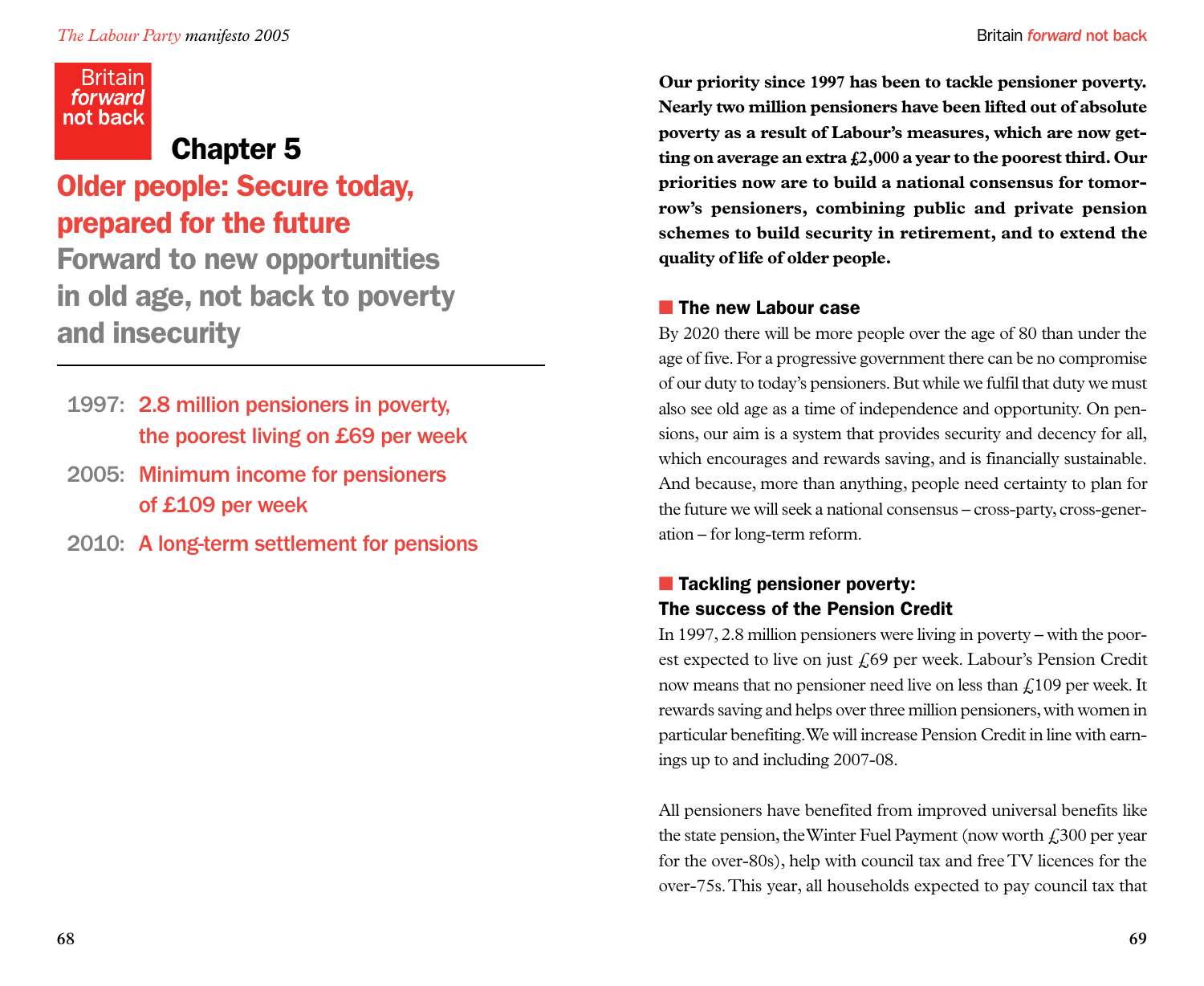

## **Chapter 5**

## **Older people: Secure today, prepared for the future**

**Forward to new opportunities in old age, not back to poverty and insecurity**

- 1997: 2.8 million pensioners in poverty, the poorest living on £69 per week
- 2005: Minimum income for pensioners of £109 per week
- 2010: A long-term settlement for pensions

**Our priority since 1997 has been to tackle pensioner poverty. Nearly two million pensioners have been lifted out of absolute poverty as a result of Labour's measures, which are now getting on average an extra £2,000 a year to the poorest third.Our priorities now are to build a national consensus for tomorrow's pensioners, combining public and private pension schemes to build security in retirement, and to extend the quality of life of older people.**

## ■ **The new Labour case**

By 2020 there will be more people over the age of 80 than under the age of five. For a progressive government there can be no compromise of our duty to today's pensioners. But while we fulfil that duty we must also see old age as a time of independence and opportunity. On pensions, our aim is a system that provides security and decency for all, which encourages and rewards saving, and is financially sustainable. And because, more than anything, people need certainty to plan for the future we will seek a national consensus – cross-party, cross-generation – for long-term reform.

## ■ **Tackling pensioner poverty: The success of the Pension Credit**

In 1997, 2.8 million pensioners were living in poverty – with the poorest expected to live on just £69 per week. Labour's Pension Credit now means that no pensioner need live on less than  $f<sub>i</sub>109$  per week. It rewards saving and helps over three million pensioners,with women in particular benefiting.We will increase Pension Credit in line with earnings up to and including 2007-08.

All pensioners have benefited from improved universal benefits like the state pension, the Winter Fuel Payment (now worth  $f<sub>i</sub>$  300 per year for the over-80s), help with council tax and free TV licences for the over-75s.This year, all households expected to pay council tax that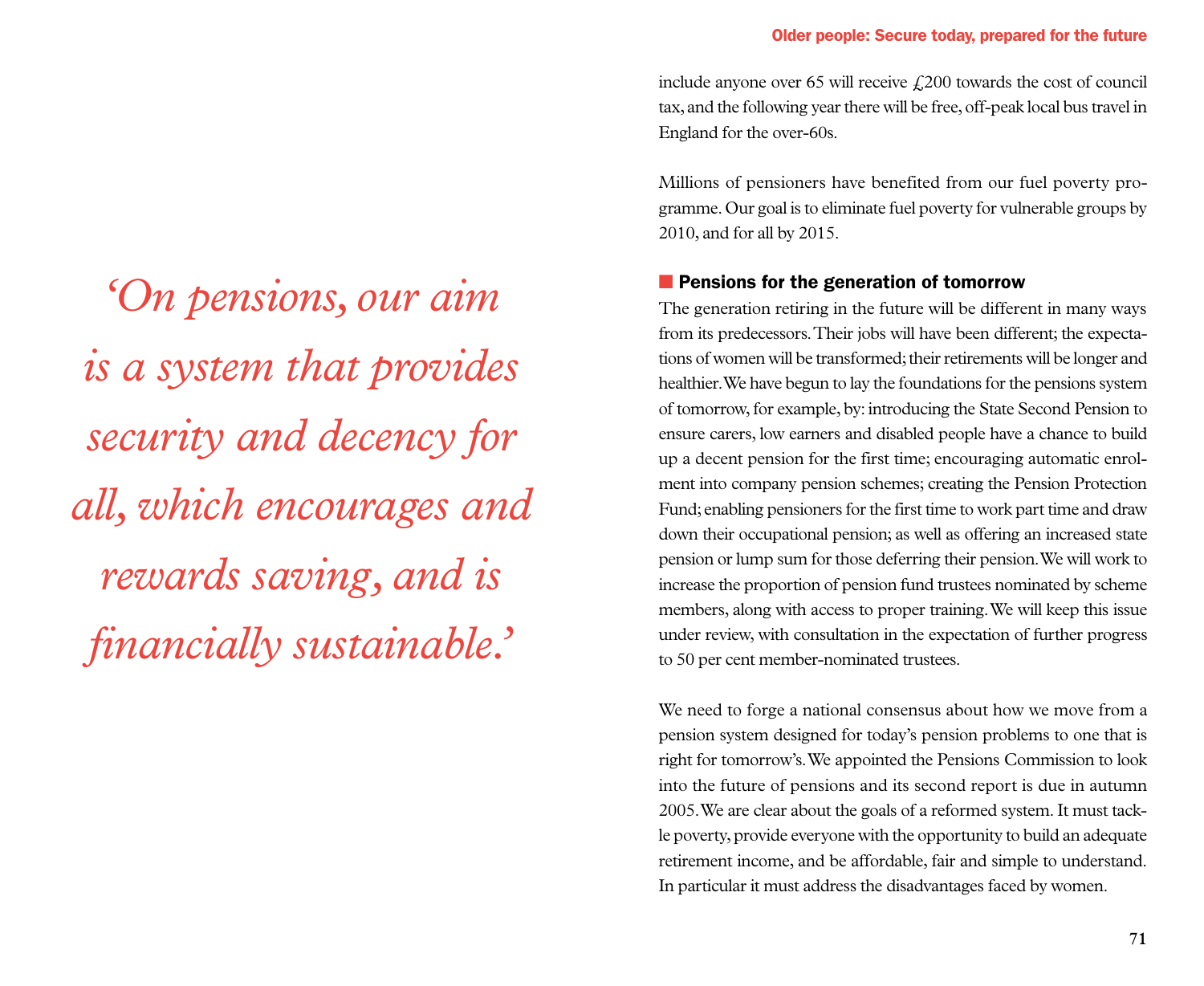include anyone over 65 will receive  $f(200)$  towards the cost of council tax, and the following year there will be free, off-peak local bus travel in England for the over-60s.

Millions of pensioners have benefited from our fuel poverty programme. Our goal is to eliminate fuel poverty for vulnerable groups by 2010, and for all by 2015.

#### ■ **Pensions for the generation of tomorrow**

The generation retiring in the future will be different in many ways from its predecessors.Their jobs will have been different; the expectations of women will be transformed; their retirements will be longer and healthier.We have begun to lay the foundations for the pensions system of tomorrow, for example, by: introducing the State Second Pension to ensure carers, low earners and disabled people have a chance to build up a decent pension for the first time; encouraging automatic enrolment into company pension schemes; creating the Pension Protection Fund; enabling pensioners for the first time to work part time and draw down their occupational pension; as well as offering an increased state pension or lump sum for those deferring their pension.We will work to increase the proportion of pension fund trustees nominated by scheme members, along with access to proper training.We will keep this issue under review, with consultation in the expectation of further progress to 50 per cent member-nominated trustees.

We need to forge a national consensus about how we move from a pension system designed for today's pension problems to one that is right for tomorrow's.We appointed the Pensions Commission to look into the future of pensions and its second report is due in autumn 2005.We are clear about the goals of a reformed system. It must tackle poverty, provide everyone with the opportunity to build an adequate retirement income, and be affordable, fair and simple to understand. In particular it must address the disadvantages faced by women.

*'On pensions, our aim is a system that provides security and decency for all, which encourages and rewards saving, and is financially sustainable.'*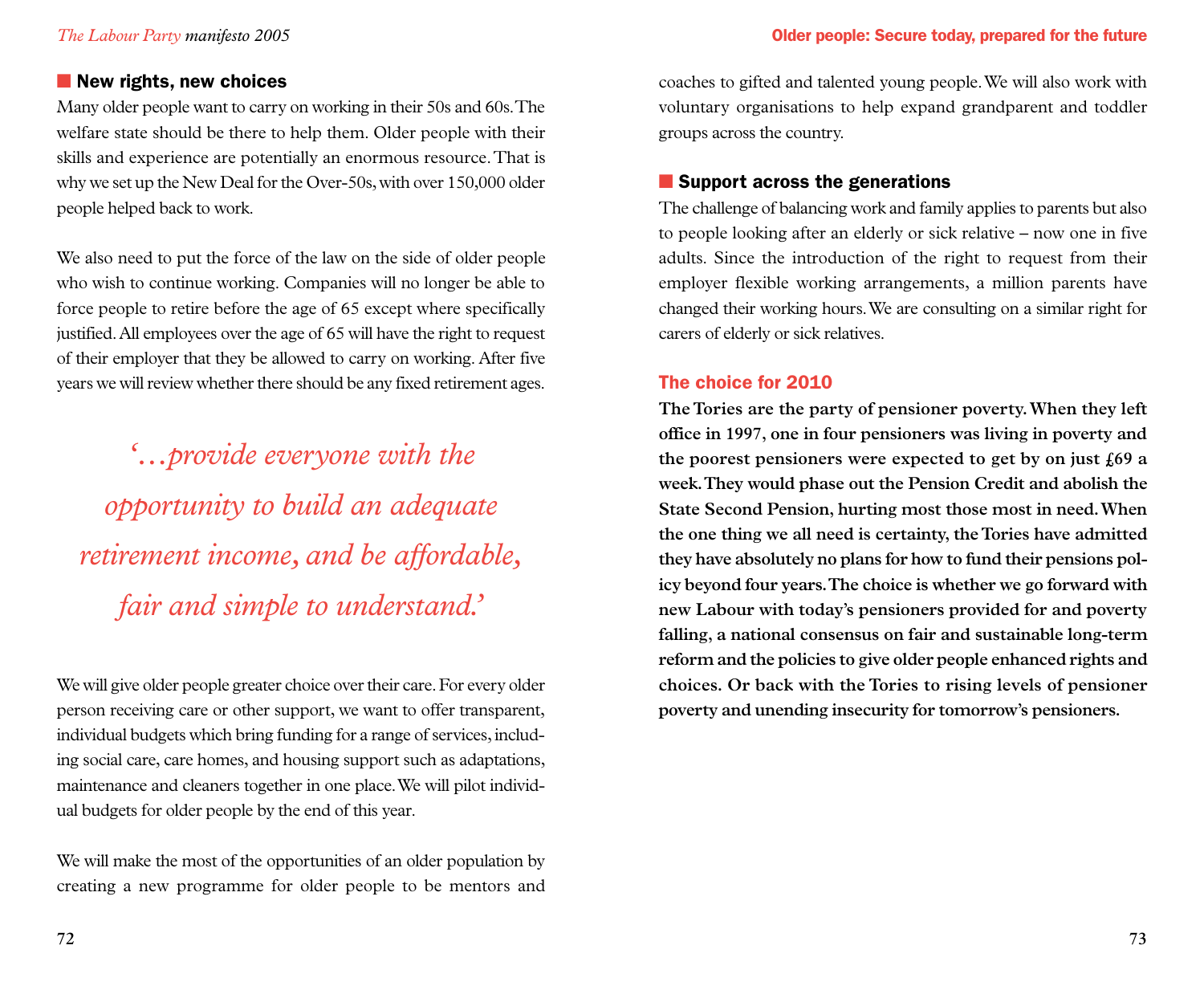## ■ **New rights, new choices**

Many older people want to carry on working in their 50s and 60s.The welfare state should be there to help them. Older people with their skills and experience are potentially an enormous resource.That is why we set up the New Deal for the Over-50s,with over 150,000 older people helped back to work.

We also need to put the force of the law on the side of older people who wish to continue working. Companies will no longer be able to force people to retire before the age of 65 except where specifically justified.All employees over the age of 65 will have the right to request of their employer that they be allowed to carry on working. After five years we will review whether there should be any fixed retirement ages.

*'…provide everyone with the opportunity to build an adequate retirement income, and be affordable, fair and simple to understand.'*

We will give older people greater choice over their care. For every older person receiving care or other support, we want to offer transparent, individual budgets which bring funding for a range of services, including social care, care homes, and housing support such as adaptations, maintenance and cleaners together in one place.We will pilot individual budgets for older people by the end of this year.

We will make the most of the opportunities of an older population by creating a new programme for older people to be mentors and coaches to gifted and talented young people.We will also work with voluntary organisations to help expand grandparent and toddler groups across the country.

## ■ Support across the generations

The challenge of balancing work and family applies to parents but also to people looking after an elderly or sick relative – now one in five adults. Since the introduction of the right to request from their employer flexible working arrangements, a million parents have changed their working hours.We are consulting on a similar right for carers of elderly or sick relatives.

## **The choice for 2010**

**The Tories are the party of pensioner poverty.When they left office in 1997, one in four pensioners was living in poverty and the poorest pensioners were expected to get by on just £69 a week.They would phase out the Pension Credit and abolish the State Second Pension, hurting most those most in need.When the one thing we all need is certainty, the Tories have admitted they have absolutely no plans for how to fund their pensions policy beyond four years.The choice is whether we go forward with new Labour with today's pensioners provided for and poverty falling, a national consensus on fair and sustainable long-term reform and the policies to give older people enhanced rights and choices. Or back with the Tories to rising levels of pensioner poverty and unending insecurity for tomorrow's pensioners.**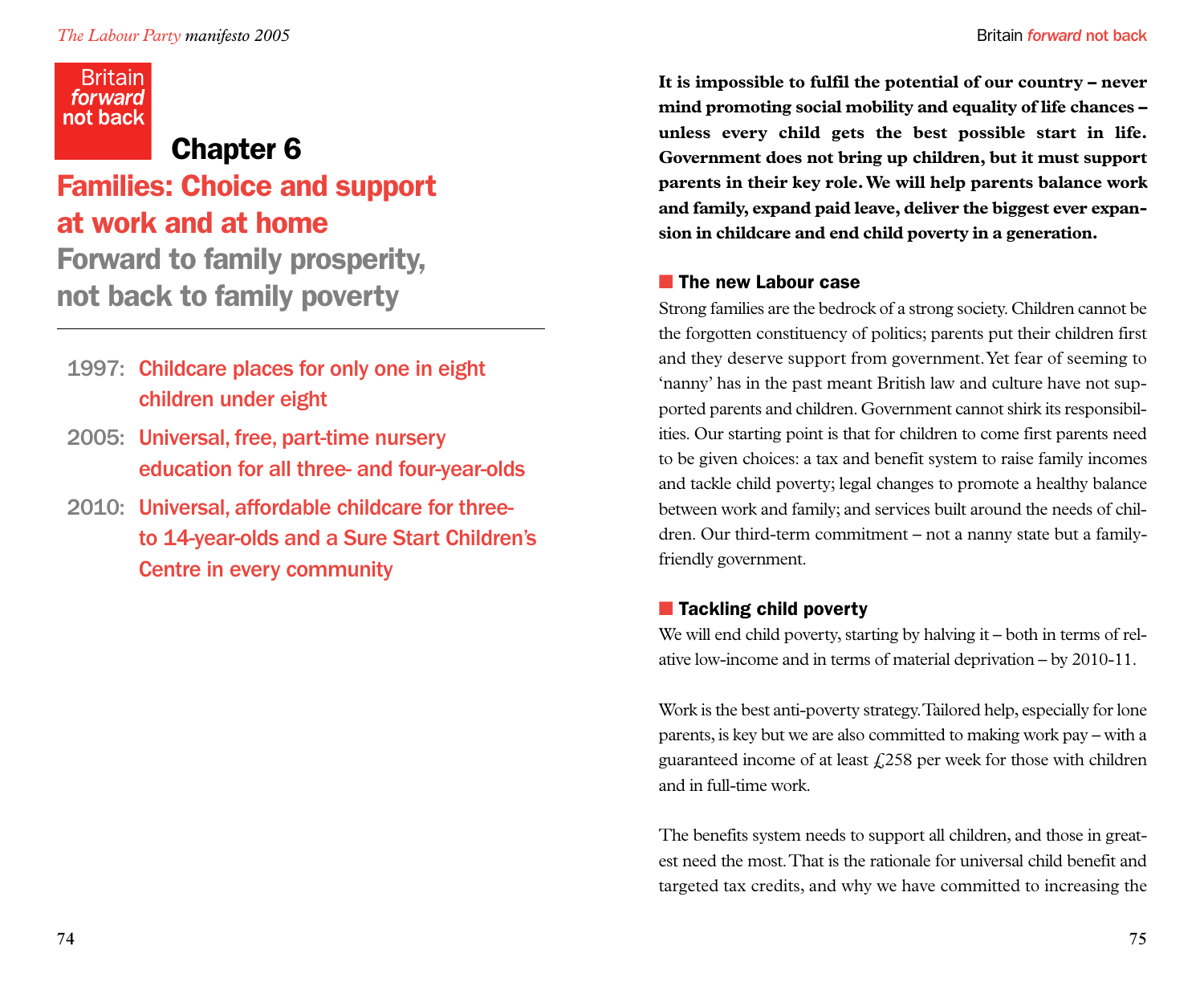

## **Chapter 6**

## **Families: Choice and support at work and at home**

**Forward to family prosperity, not back to family poverty** 

- 1997: Childcare places for only one in eight children under eight
- 2005: Universal, free, part-time nursery education for all three- and four-year-olds
- 2010: Universal, affordable childcare for threeto 14-year-olds and a Sure Start Children's Centre in every community

**It is impossible to fulfil the potential of our country – never mind promoting social mobility and equality of life chances – unless every child gets the best possible start in life. Government does not bring up children, but it must support parents in their key role.We will help parents balance work and family, expand paid leave, deliver the biggest ever expansion in childcare and end child poverty in a generation.**

## ■ **The new Labour case**

Strong families are the bedrock of a strong society. Children cannot be the forgotten constituency of politics; parents put their children first and they deserve support from government.Yet fear of seeming to 'nanny' has in the past meant British law and culture have not supported parents and children. Government cannot shirk its responsibilities. Our starting point is that for children to come first parents need to be given choices: a tax and benefit system to raise family incomes and tackle child poverty; legal changes to promote a healthy balance between work and family; and services built around the needs of children. Our third-term commitment – not a nanny state but a familyfriendly government.

## ■ **Tackling child poverty**

We will end child poverty, starting by halving it – both in terms of relative low-income and in terms of material deprivation – by 2010-11.

Work is the best anti-poverty strategy.Tailored help, especially for lone parents, is key but we are also committed to making work pay – with a guaranteed income of at least  $f(258)$  per week for those with children and in full-time work.

The benefits system needs to support all children, and those in greatest need the most.That is the rationale for universal child benefit and targeted tax credits, and why we have committed to increasing the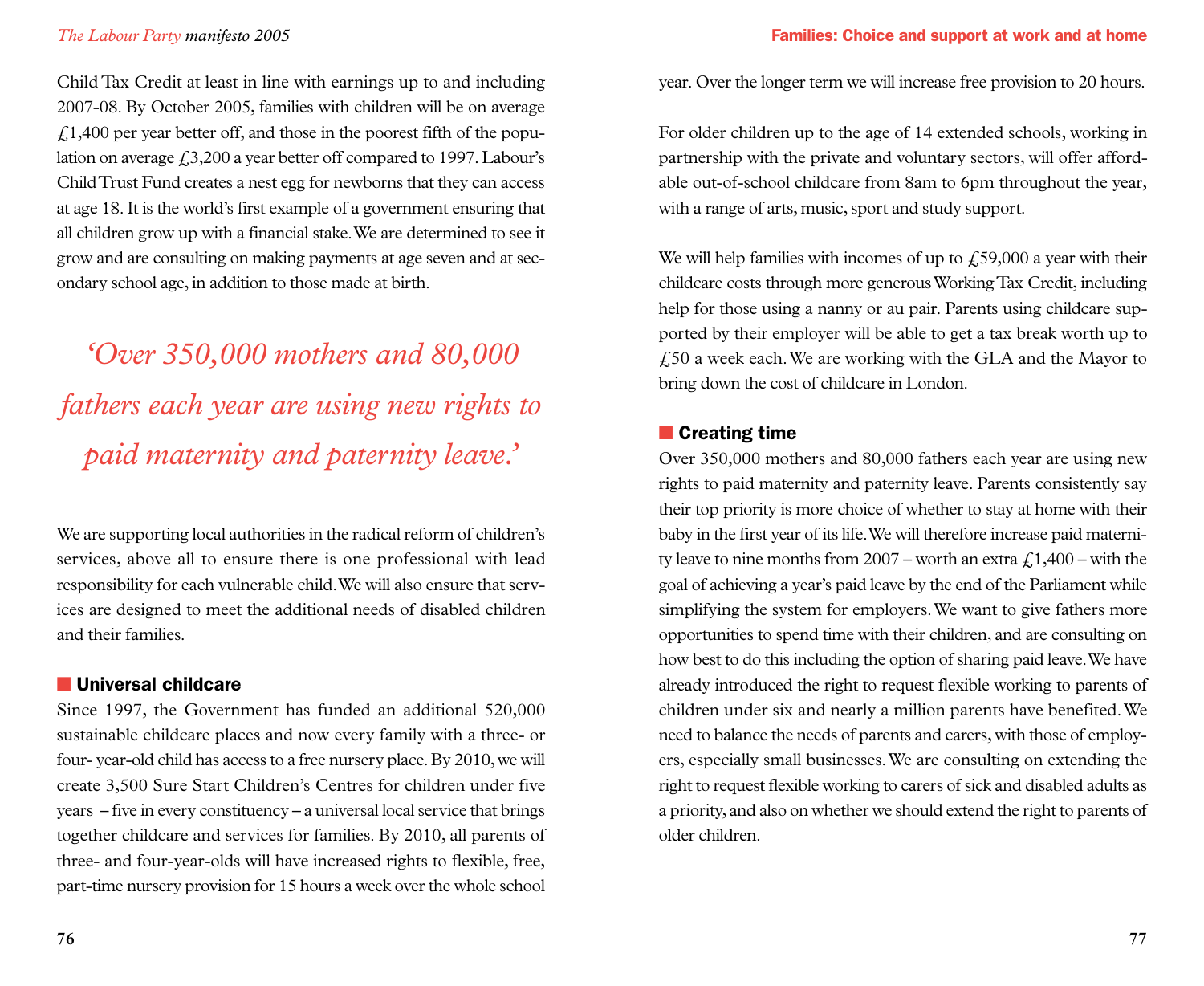Child Tax Credit at least in line with earnings up to and including 2007-08. By October 2005, families with children will be on average  $f(1,400)$  per year better off, and those in the poorest fifth of the population on average  $f(3,200)$  a year better off compared to 1997. Labour's Child Trust Fund creates a nest egg for newborns that they can access at age 18. It is the world's first example of a government ensuring that all children grow up with a financial stake.We are determined to see it grow and are consulting on making payments at age seven and at secondary school age, in addition to those made at birth.

# *'Over 350,000 mothers and 80,000 fathers each year are using new rights to paid maternity and paternity leave.'*

We are supporting local authorities in the radical reform of children's services, above all to ensure there is one professional with lead responsibility for each vulnerable child.We will also ensure that services are designed to meet the additional needs of disabled children and their families.

## ■ **Universal childcare**

Since 1997, the Government has funded an additional 520,000 sustainable childcare places and now every family with a three- or four- year-old child has access to a free nursery place.By 2010,we will create 3,500 Sure Start Children's Centres for children under five years – five in every constituency – a universal local service that brings together childcare and services for families. By 2010, all parents of three- and four-year-olds will have increased rights to flexible, free, part-time nursery provision for 15 hours a week over the whole school

year. Over the longer term we will increase free provision to 20 hours.

For older children up to the age of 14 extended schools, working in partnership with the private and voluntary sectors, will offer affordable out-of-school childcare from 8am to 6pm throughout the year, with a range of arts, music, sport and study support.

We will help families with incomes of up to  $f_{15}$ , 59,000 a year with their childcare costs through more generous Working Tax Credit, including help for those using a nanny or au pair. Parents using childcare supported by their employer will be able to get a tax break worth up to £50 a week each.We are working with the GLA and the Mayor to bring down the cost of childcare in London.

## ■ **Creating time**

Over 350,000 mothers and 80,000 fathers each year are using new rights to paid maternity and paternity leave. Parents consistently say their top priority is more choice of whether to stay at home with their baby in the first year of its life.We will therefore increase paid maternity leave to nine months from 2007 – worth an extra  $\mathcal{L}$ 1,400 – with the goal of achieving a year's paid leave by the end of the Parliament while simplifying the system for employers.We want to give fathers more opportunities to spend time with their children, and are consulting on how best to do this including the option of sharing paid leave.We have already introduced the right to request flexible working to parents of children under six and nearly a million parents have benefited.We need to balance the needs of parents and carers, with those of employers, especially small businesses.We are consulting on extending the right to request flexible working to carers of sick and disabled adults as a priority, and also on whether we should extend the right to parents of older children.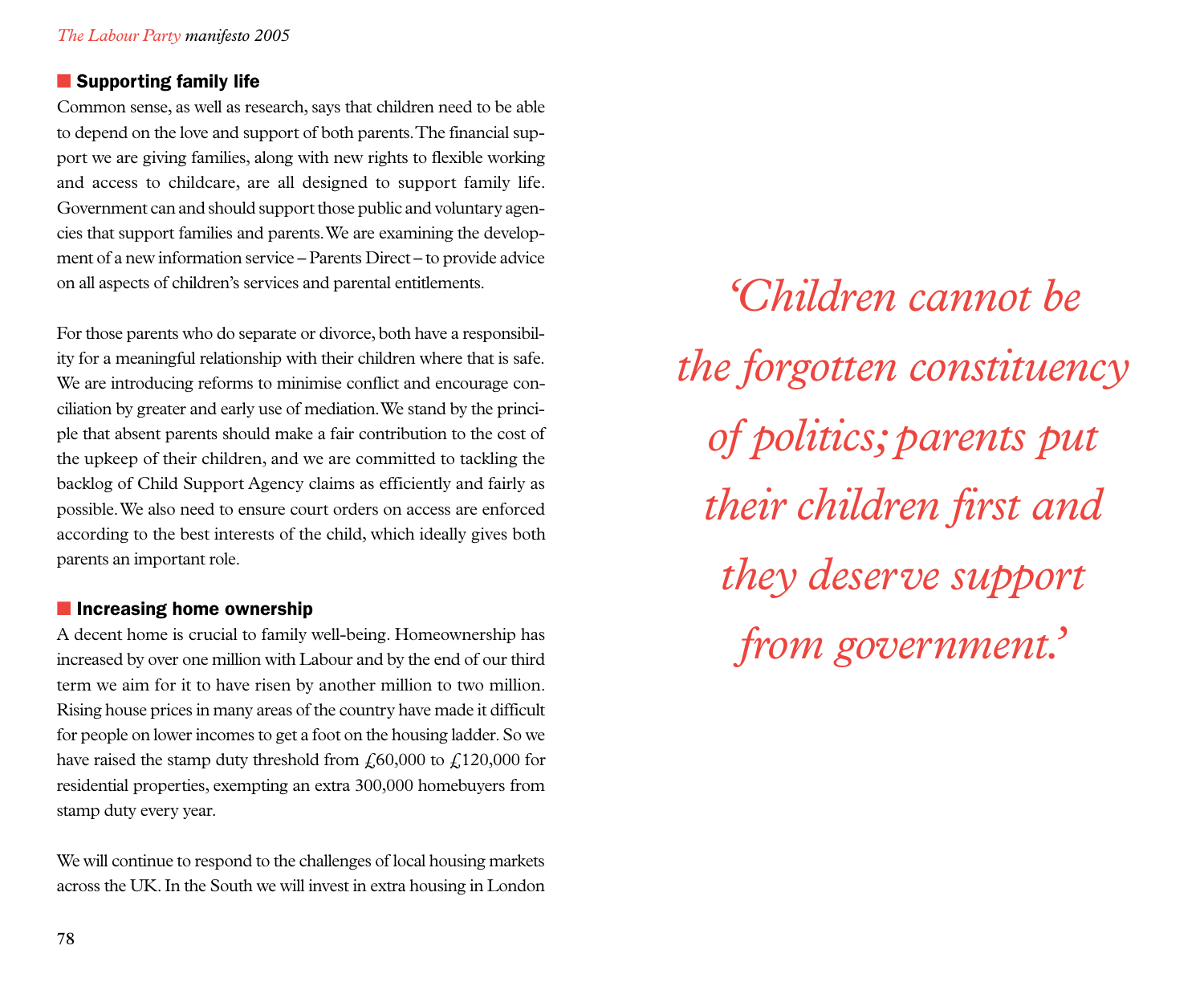## ■ **Supporting family life**

Common sense, as well as research, says that children need to be able to depend on the love and support of both parents.The financial support we are giving families, along with new rights to flexible working and access to childcare, are all designed to support family life. Government can and should support those public and voluntary agencies that support families and parents.We are examining the development of a new information service – Parents Direct – to provide advice on all aspects of children's services and parental entitlements.

For those parents who do separate or divorce, both have a responsibility for a meaningful relationship with their children where that is safe. We are introducing reforms to minimise conflict and encourage conciliation by greater and early use of mediation.We stand by the principle that absent parents should make a fair contribution to the cost of the upkeep of their children, and we are committed to tackling the backlog of Child Support Agency claims as efficiently and fairly as possible.We also need to ensure court orders on access are enforced according to the best interests of the child, which ideally gives both parents an important role.

## ■ **Increasing home ownership**

A decent home is crucial to family well-being. Homeownership has increased by over one million with Labour and by the end of our third term we aim for it to have risen by another million to two million. Rising house prices in many areas of the country have made it difficult for people on lower incomes to get a foot on the housing ladder. So we have raised the stamp duty threshold from  $f_{160,000}$  to  $f_{120,000}$  for residential properties, exempting an extra 300,000 homebuyers from stamp duty every year.

We will continue to respond to the challenges of local housing markets across the UK. In the South we will invest in extra housing in London

*'Children cannot be the forgotten constituency of politics; parents put their children first and they deserve support from government.'*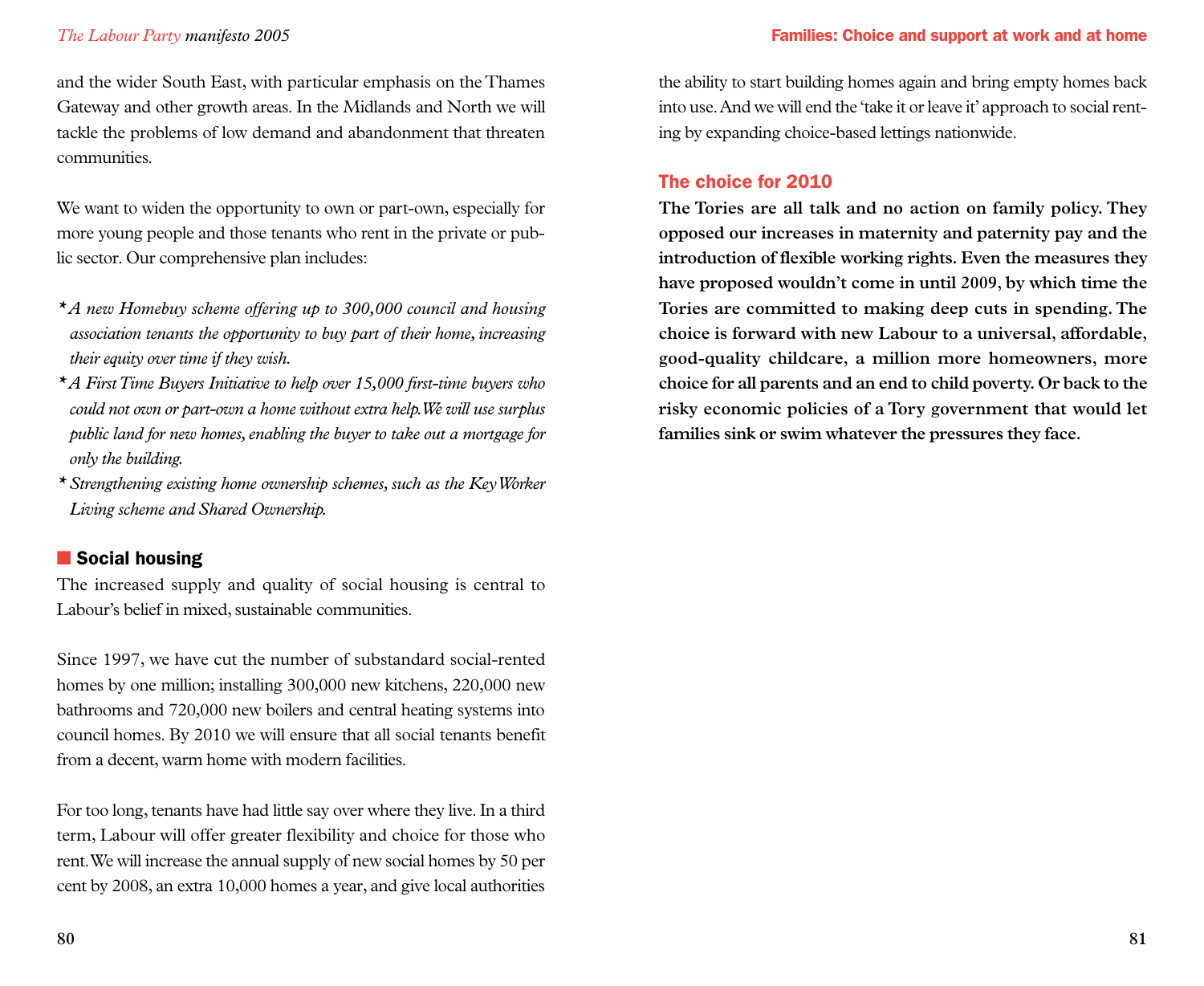and the wider South East, with particular emphasis on the Thames Gateway and other growth areas. In the Midlands and North we will tackle the problems of low demand and abandonment that threaten communities.

We want to widen the opportunity to own or part-own, especially for more young people and those tenants who rent in the private or public sector. Our comprehensive plan includes:

- *\* A new Homebuy scheme offering up to 300,000 council and housing association tenants the opportunity to buy part of their home, increasing their equity over time if they wish.*
- *\* A First Time Buyers Initiative to help over 15,000 first-time buyers who could not own or part-own a home without extra help.We will use surplus public land for new homes, enabling the buyer to take out a mortgage for only the building.*
- *\* Strengthening existing home ownership schemes, such as the Key Worker Living scheme and Shared Ownership.*

## ■ **Social housing**

The increased supply and quality of social housing is central to Labour's belief in mixed, sustainable communities.

Since 1997, we have cut the number of substandard social-rented homes by one million; installing 300,000 new kitchens, 220,000 new bathrooms and 720,000 new boilers and central heating systems into council homes. By 2010 we will ensure that all social tenants benefit from a decent, warm home with modern facilities.

For too long, tenants have had little say over where they live. In a third term, Labour will offer greater flexibility and choice for those who rent.We will increase the annual supply of new social homes by 50 per cent by 2008, an extra 10,000 homes a year, and give local authorities

the ability to start building homes again and bring empty homes back into use.And we will end the 'take it or leave it' approach to social renting by expanding choice-based lettings nationwide.

### **The choice for 2010**

**The Tories are all talk and no action on family policy. They opposed our increases in maternity and paternity pay and the introduction of flexible working rights. Even the measures they have proposed wouldn't come in until 2009, by which time the Tories are committed to making deep cuts in spending. The choice is forward with new Labour to a universal, affordable, good-quality childcare, a million more homeowners, more choice for all parents and an end to child poverty. Or back to the risky economic policies of a Tory government that would let families sink or swim whatever the pressures they face.**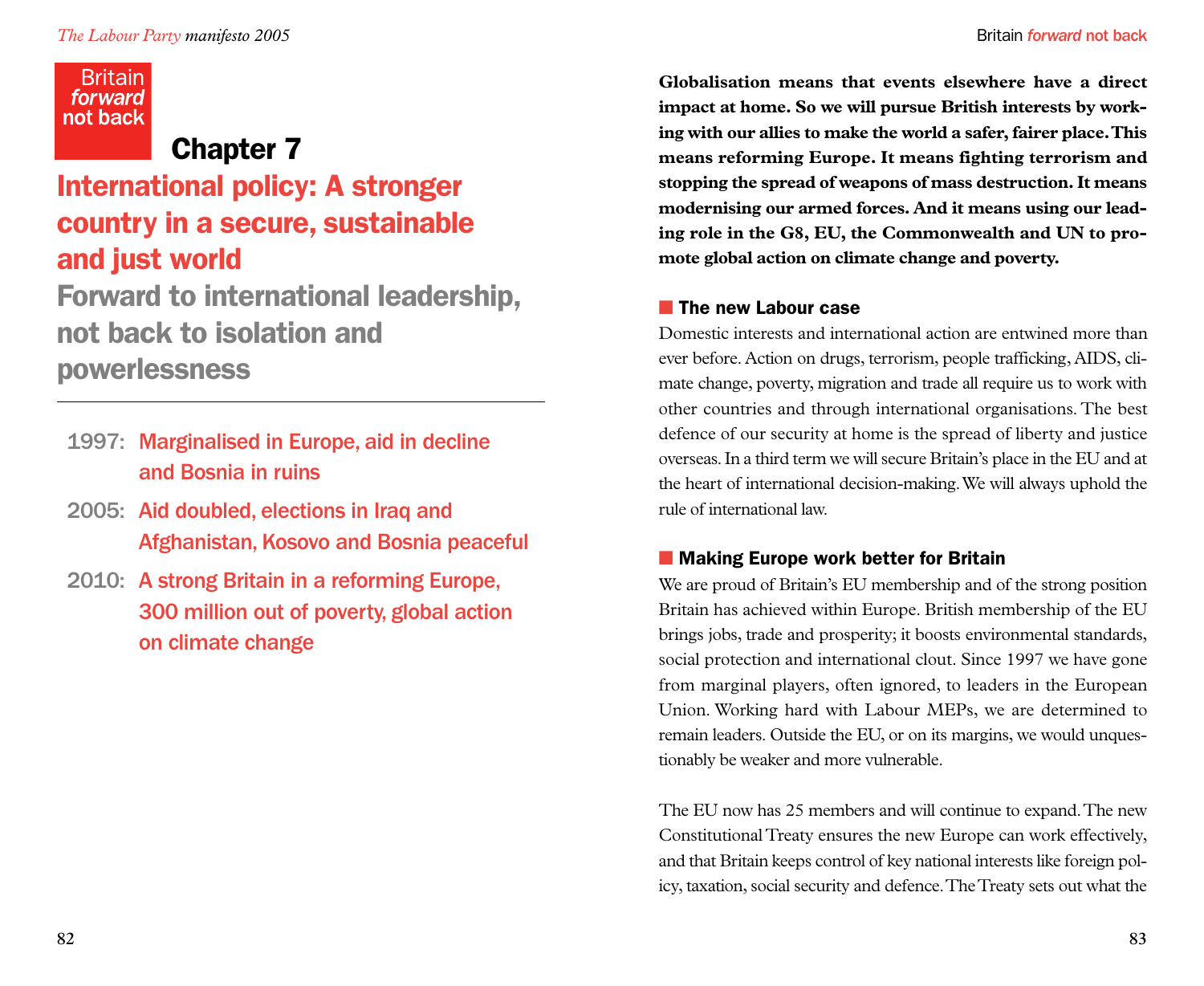

## **Chapter 7**

## **International policy: A stronger country in a secure, sustainable and just world**

**Forward to international leadership, not back to isolation and powerlessness**

- 1997: Marginalised in Europe, aid in decline and Bosnia in ruins
- 2005: Aid doubled, elections in Iraq and Afghanistan, Kosovo and Bosnia peaceful
- 2010: A strong Britain in a reforming Europe, 300 million out of poverty, global action on climate change

**Globalisation means that events elsewhere have a direct impact at home. So we will pursue British interests by working with our allies to make the world a safer, fairer place.This means reforming Europe. It means fighting terrorism and stopping the spread of weapons of mass destruction. It means modernising our armed forces. And it means using our leading role in the G8, EU, the Commonwealth and UN to promote global action on climate change and poverty.**

## ■ **The new Labour case**

Domestic interests and international action are entwined more than ever before. Action on drugs, terrorism, people trafficking, AIDS, climate change, poverty, migration and trade all require us to work with other countries and through international organisations. The best defence of our security at home is the spread of liberty and justice overseas. In a third term we will secure Britain's place in the EU and at the heart of international decision-making.We will always uphold the rule of international law.

## ■ **Making Europe work better for Britain**

We are proud of Britain's EU membership and of the strong position Britain has achieved within Europe. British membership of the EU brings jobs, trade and prosperity; it boosts environmental standards, social protection and international clout. Since 1997 we have gone from marginal players, often ignored, to leaders in the European Union. Working hard with Labour MEPs, we are determined to remain leaders. Outside the EU, or on its margins, we would unquestionably be weaker and more vulnerable.

The EU now has 25 members and will continue to expand.The new Constitutional Treaty ensures the new Europe can work effectively, and that Britain keeps control of key national interests like foreign policy, taxation, social security and defence.The Treaty sets out what the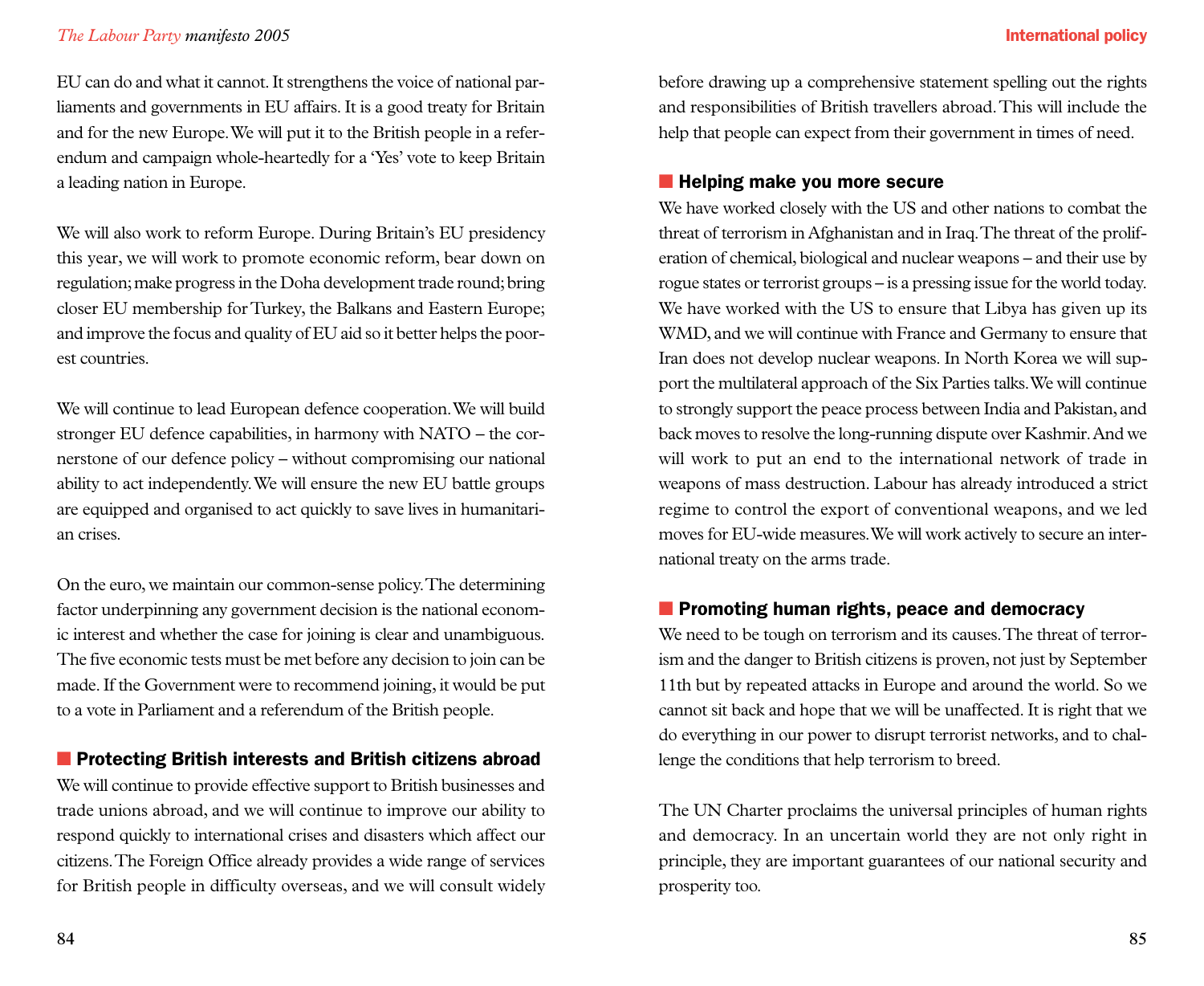**International policy**

EU can do and what it cannot. It strengthens the voice of national parliaments and governments in EU affairs. It is a good treaty for Britain and for the new Europe.We will put it to the British people in a referendum and campaign whole-heartedly for a 'Yes' vote to keep Britain a leading nation in Europe.

We will also work to reform Europe. During Britain's EU presidency this year, we will work to promote economic reform, bear down on regulation; make progress in the Doha development trade round; bring closer EU membership for Turkey, the Balkans and Eastern Europe; and improve the focus and quality of EU aid so it better helps the poorest countries.

We will continue to lead European defence cooperation.We will build stronger EU defence capabilities, in harmony with NATO – the cornerstone of our defence policy – without compromising our national ability to act independently.We will ensure the new EU battle groups are equipped and organised to act quickly to save lives in humanitarian crises.

On the euro, we maintain our common-sense policy.The determining factor underpinning any government decision is the national economic interest and whether the case for joining is clear and unambiguous. The five economic tests must be met before any decision to join can be made. If the Government were to recommend joining, it would be put to a vote in Parliament and a referendum of the British people.

## ■ **Protecting British interests and British citizens abroad**

We will continue to provide effective support to British businesses and trade unions abroad, and we will continue to improve our ability to respond quickly to international crises and disasters which affect our citizens.The Foreign Office already provides a wide range of services for British people in difficulty overseas, and we will consult widely before drawing up a comprehensive statement spelling out the rights and responsibilities of British travellers abroad.This will include the help that people can expect from their government in times of need.

#### ■ **Helping make you more secure**

We have worked closely with the US and other nations to combat the threat of terrorism in Afghanistan and in Iraq.The threat of the proliferation of chemical, biological and nuclear weapons – and their use by rogue states or terrorist groups – is a pressing issue for the world today. We have worked with the US to ensure that Libya has given up its WMD, and we will continue with France and Germany to ensure that Iran does not develop nuclear weapons. In North Korea we will support the multilateral approach of the Six Parties talks.We will continue to strongly support the peace process between India and Pakistan, and back moves to resolve the long-running dispute over Kashmir.And we will work to put an end to the international network of trade in weapons of mass destruction. Labour has already introduced a strict regime to control the export of conventional weapons, and we led moves for EU-wide measures.We will work actively to secure an international treaty on the arms trade.

## ■ **Promoting human rights, peace and democracy**

We need to be tough on terrorism and its causes. The threat of terrorism and the danger to British citizens is proven, not just by September 11th but by repeated attacks in Europe and around the world. So we cannot sit back and hope that we will be unaffected. It is right that we do everything in our power to disrupt terrorist networks, and to challenge the conditions that help terrorism to breed.

The UN Charter proclaims the universal principles of human rights and democracy. In an uncertain world they are not only right in principle, they are important guarantees of our national security and prosperity too.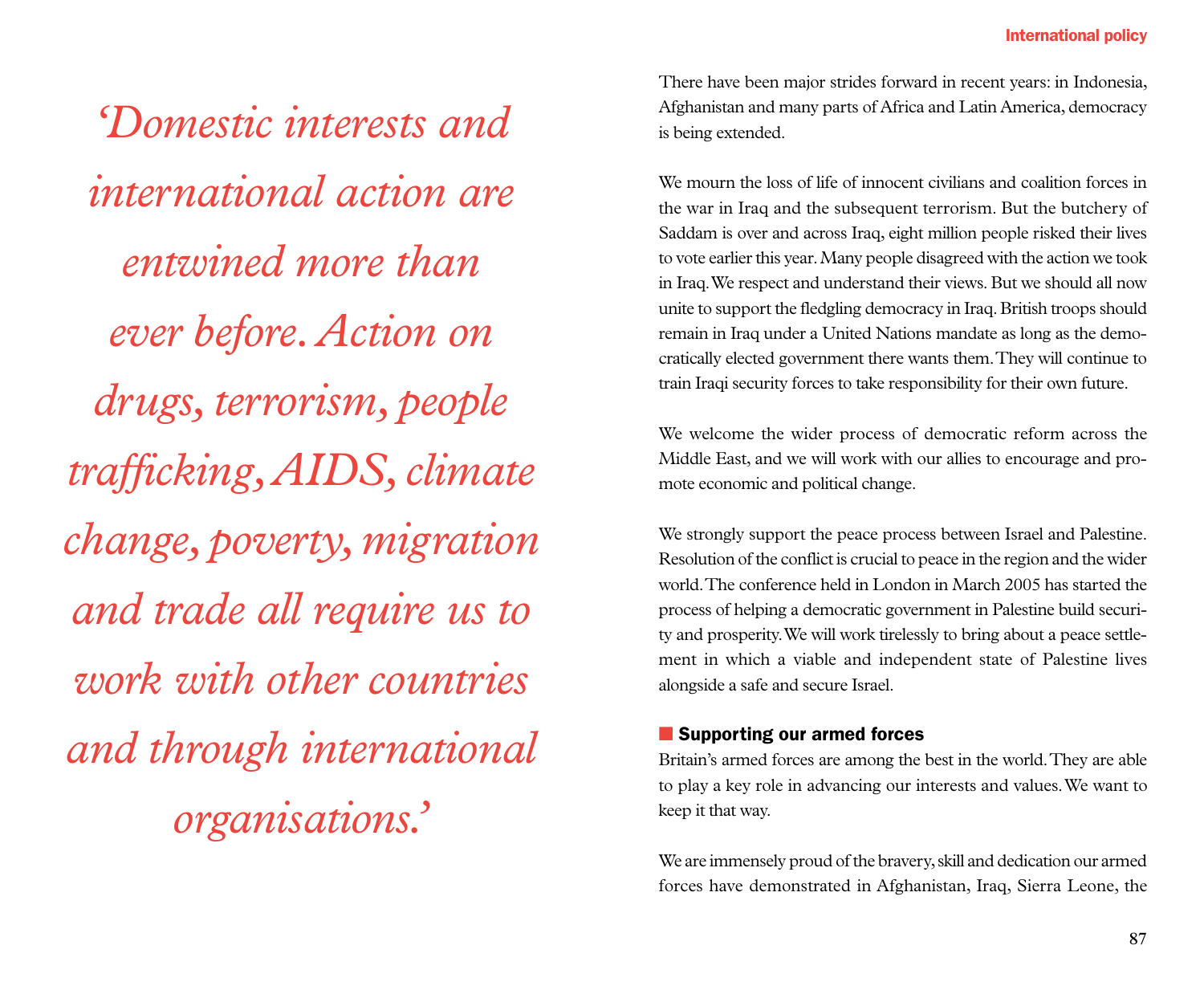*'Domestic interests and international action are entwined more than ever before.Action on drugs, terrorism, people trafficking,AIDS, climate change, poverty, migration and trade all require us to work with other countries and through international organisations.'*

There have been major strides forward in recent years: in Indonesia, Afghanistan and many parts of Africa and Latin America, democracy is being extended.

We mourn the loss of life of innocent civilians and coalition forces in the war in Iraq and the subsequent terrorism. But the butchery of Saddam is over and across Iraq, eight million people risked their lives to vote earlier this year. Many people disagreed with the action we took in Iraq.We respect and understand their views. But we should all now unite to support the fledgling democracy in Iraq. British troops should remain in Iraq under a United Nations mandate as long as the democratically elected government there wants them.They will continue to train Iraqi security forces to take responsibility for their own future.

We welcome the wider process of democratic reform across the Middle East, and we will work with our allies to encourage and promote economic and political change.

We strongly support the peace process between Israel and Palestine. Resolution of the conflict is crucial to peace in the region and the wider world.The conference held in London in March 2005 has started the process of helping a democratic government in Palestine build security and prosperity.We will work tirelessly to bring about a peace settlement in which a viable and independent state of Palestine lives alongside a safe and secure Israel.

## ■ **Supporting our armed forces**

Britain's armed forces are among the best in the world.They are able to play a key role in advancing our interests and values.We want to keep it that way.

We are immensely proud of the bravery, skill and dedication our armed forces have demonstrated in Afghanistan, Iraq, Sierra Leone, the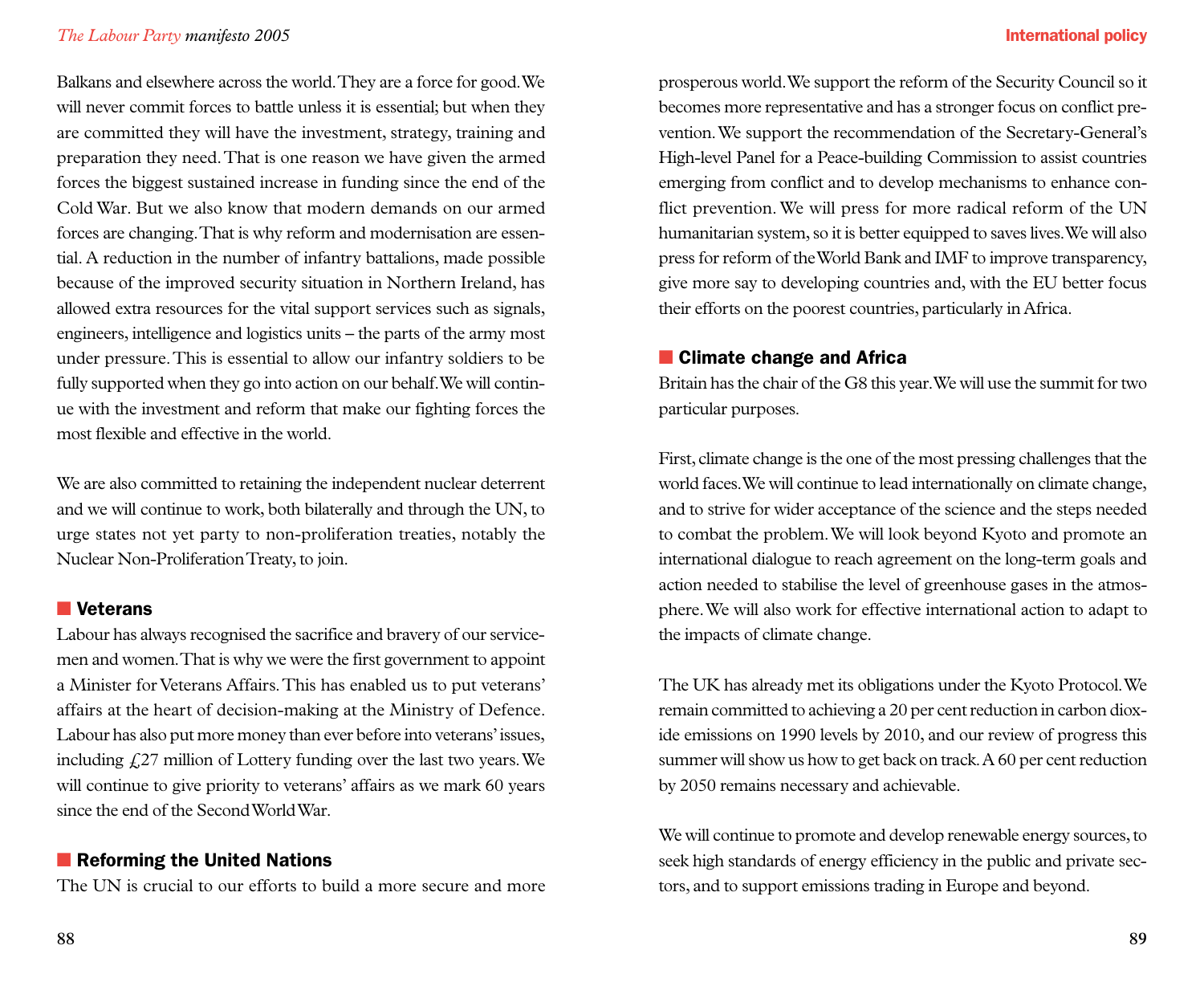Balkans and elsewhere across the world.They are a force for good.We will never commit forces to battle unless it is essential; but when they are committed they will have the investment, strategy, training and preparation they need.That is one reason we have given the armed forces the biggest sustained increase in funding since the end of the Cold War. But we also know that modern demands on our armed forces are changing.That is why reform and modernisation are essential. A reduction in the number of infantry battalions, made possible because of the improved security situation in Northern Ireland, has allowed extra resources for the vital support services such as signals, engineers, intelligence and logistics units – the parts of the army most under pressure.This is essential to allow our infantry soldiers to be fully supported when they go into action on our behalf.We will continue with the investment and reform that make our fighting forces the most flexible and effective in the world.

We are also committed to retaining the independent nuclear deterrent and we will continue to work, both bilaterally and through the UN, to urge states not yet party to non-proliferation treaties, notably the Nuclear Non-Proliferation Treaty, to join.

#### ■ **Veterans**

Labour has always recognised the sacrifice and bravery of our servicemen and women.That is why we were the first government to appoint a Minister for Veterans Affairs.This has enabled us to put veterans' affairs at the heart of decision-making at the Ministry of Defence. Labour has also put more money than ever before into veterans'issues, including  $f<sub>i</sub>$ , 27 million of Lottery funding over the last two years. We will continue to give priority to veterans' affairs as we mark 60 years since the end of the Second World War.

## ■ **Reforming the United Nations**

The UN is crucial to our efforts to build a more secure and more

prosperous world.We support the reform of the Security Council so it becomes more representative and has a stronger focus on conflict prevention.We support the recommendation of the Secretary-General's High-level Panel for a Peace-building Commission to assist countries emerging from conflict and to develop mechanisms to enhance conflict prevention. We will press for more radical reform of the UN humanitarian system, so it is better equipped to saves lives.We will also press for reform of the World Bank and IMF to improve transparency, give more say to developing countries and, with the EU better focus their efforts on the poorest countries, particularly in Africa.

## ■ **Climate change and Africa**

Britain has the chair of the G8 this year.We will use the summit for two particular purposes.

First, climate change is the one of the most pressing challenges that the world faces.We will continue to lead internationally on climate change, and to strive for wider acceptance of the science and the steps needed to combat the problem.We will look beyond Kyoto and promote an international dialogue to reach agreement on the long-term goals and action needed to stabilise the level of greenhouse gases in the atmosphere.We will also work for effective international action to adapt to the impacts of climate change.

The UK has already met its obligations under the Kyoto Protocol.We remain committed to achieving a 20 per cent reduction in carbon dioxide emissions on 1990 levels by 2010, and our review of progress this summer will show us how to get back on track.A 60 per cent reduction by 2050 remains necessary and achievable.

We will continue to promote and develop renewable energy sources, to seek high standards of energy efficiency in the public and private sectors, and to support emissions trading in Europe and beyond.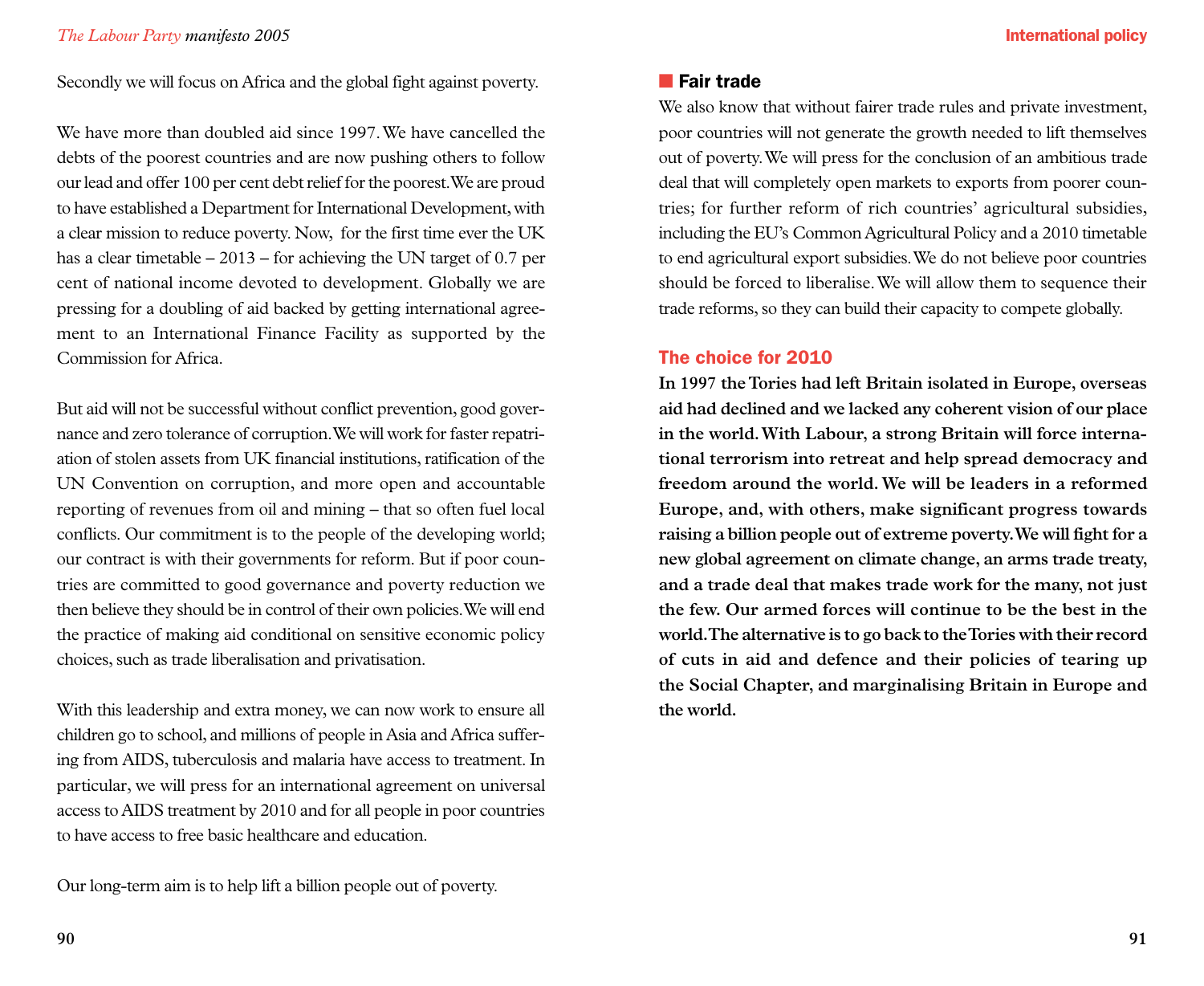Secondly we will focus on Africa and the global fight against poverty.

We have more than doubled aid since 1997.We have cancelled the debts of the poorest countries and are now pushing others to follow our lead and offer 100 per cent debt relief for the poorest.We are proud to have established a Department for International Development, with a clear mission to reduce poverty. Now, for the first time ever the UK has a clear timetable – 2013 – for achieving the UN target of 0.7 per cent of national income devoted to development. Globally we are pressing for a doubling of aid backed by getting international agreement to an International Finance Facility as supported by the Commission for Africa.

But aid will not be successful without conflict prevention, good governance and zero tolerance of corruption.We will work for faster repatriation of stolen assets from UK financial institutions, ratification of the UN Convention on corruption, and more open and accountable reporting of revenues from oil and mining – that so often fuel local conflicts. Our commitment is to the people of the developing world; our contract is with their governments for reform. But if poor countries are committed to good governance and poverty reduction we then believe they should be in control of their own policies.We will end the practice of making aid conditional on sensitive economic policy choices, such as trade liberalisation and privatisation.

With this leadership and extra money, we can now work to ensure all children go to school, and millions of people in Asia and Africa suffering from AIDS, tuberculosis and malaria have access to treatment. In particular, we will press for an international agreement on universal access to AIDS treatment by 2010 and for all people in poor countries to have access to free basic healthcare and education.

Our long-term aim is to help lift a billion people out of poverty.

#### ■ **Fair trade**

We also know that without fairer trade rules and private investment, poor countries will not generate the growth needed to lift themselves out of poverty.We will press for the conclusion of an ambitious trade deal that will completely open markets to exports from poorer countries; for further reform of rich countries' agricultural subsidies, including the EU's Common Agricultural Policy and a 2010 timetable to end agricultural export subsidies.We do not believe poor countries should be forced to liberalise.We will allow them to sequence their trade reforms, so they can build their capacity to compete globally.

#### **The choice for 2010**

**In 1997 the Tories had left Britain isolated in Europe, overseas aid had declined and we lacked any coherent vision of our place in the world.With Labour, a strong Britain will force international terrorism into retreat and help spread democracy and freedom around the world. We will be leaders in a reformed Europe, and, with others, make significant progress towards raising a billion people out of extreme poverty.We will fight for a new global agreement on climate change, an arms trade treaty, and a trade deal that makes trade work for the many, not just the few. Our armed forces will continue to be the best in the world.The alternative is to go back to the Tories with their record of cuts in aid and defence and their policies of tearing up the Social Chapter, and marginalising Britain in Europe and the world.**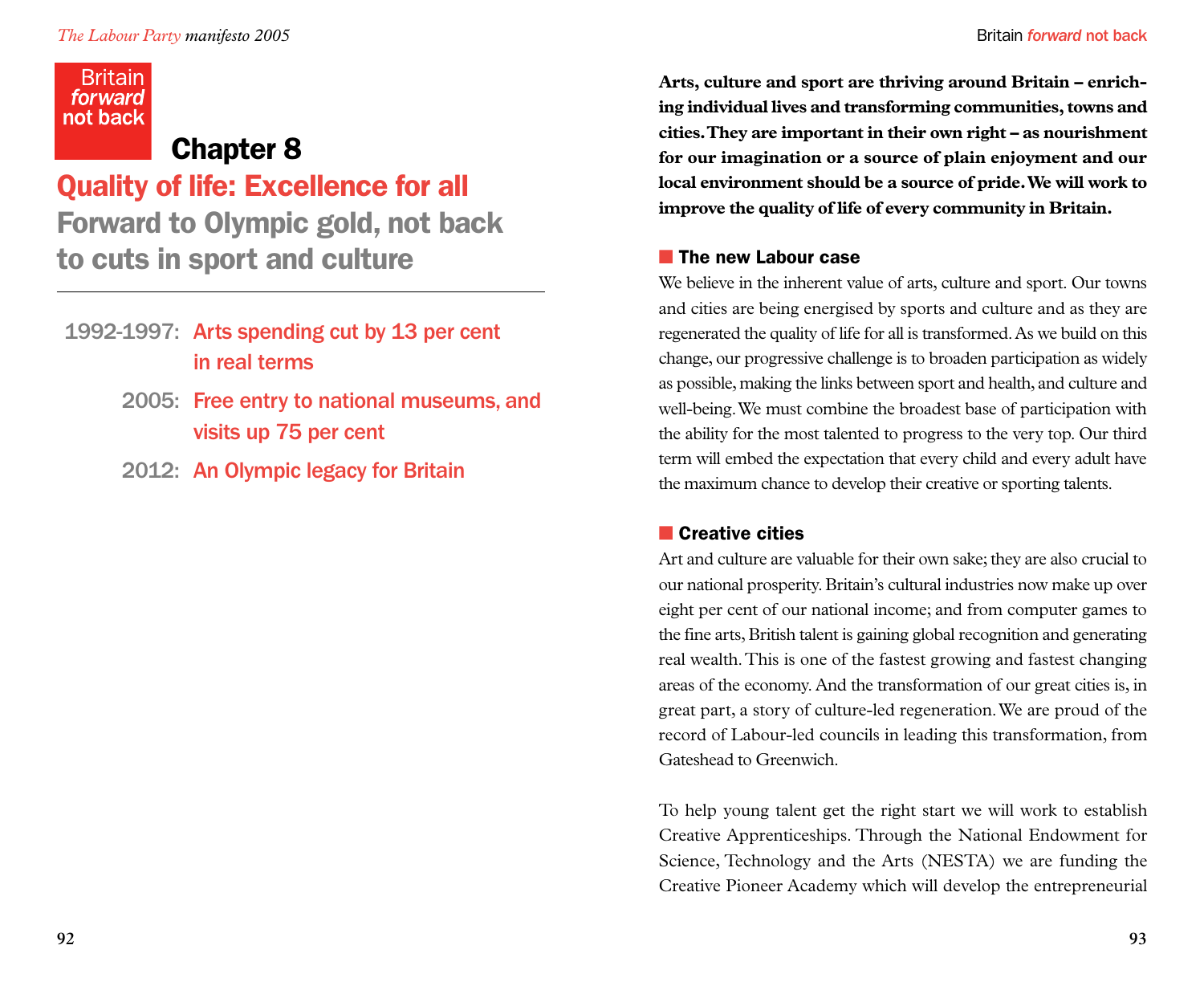

## **Chapter 8**

## **Quality of life: Excellence for all**

**Forward to Olympic gold, not back to cuts in sport and culture**

- 1992-1997: Arts spending cut by 13 per cent in real terms
	- 2005: Free entry to national museums, and visits up 75 per cent
	- 2012: An Olympic legacy for Britain

**Arts, culture and sport are thriving around Britain – enriching individual lives and transforming communities, towns and cities.They are important in their own right – as nourishment for our imagination or a source of plain enjoyment and our local environment should be a source of pride.We will work to improve the quality of life of every community in Britain.**

## ■ **The new Labour case**

We believe in the inherent value of arts, culture and sport. Our towns and cities are being energised by sports and culture and as they are regenerated the quality of life for all is transformed.As we build on this change, our progressive challenge is to broaden participation as widely as possible, making the links between sport and health, and culture and well-being.We must combine the broadest base of participation with the ability for the most talented to progress to the very top. Our third term will embed the expectation that every child and every adult have the maximum chance to develop their creative or sporting talents.

## ■ **Creative cities**

Art and culture are valuable for their own sake; they are also crucial to our national prosperity.Britain's cultural industries now make up over eight per cent of our national income; and from computer games to the fine arts, British talent is gaining global recognition and generating real wealth.This is one of the fastest growing and fastest changing areas of the economy. And the transformation of our great cities is, in great part, a story of culture-led regeneration.We are proud of the record of Labour-led councils in leading this transformation, from Gateshead to Greenwich.

To help young talent get the right start we will work to establish Creative Apprenticeships. Through the National Endowment for Science, Technology and the Arts (NESTA) we are funding the Creative Pioneer Academy which will develop the entrepreneurial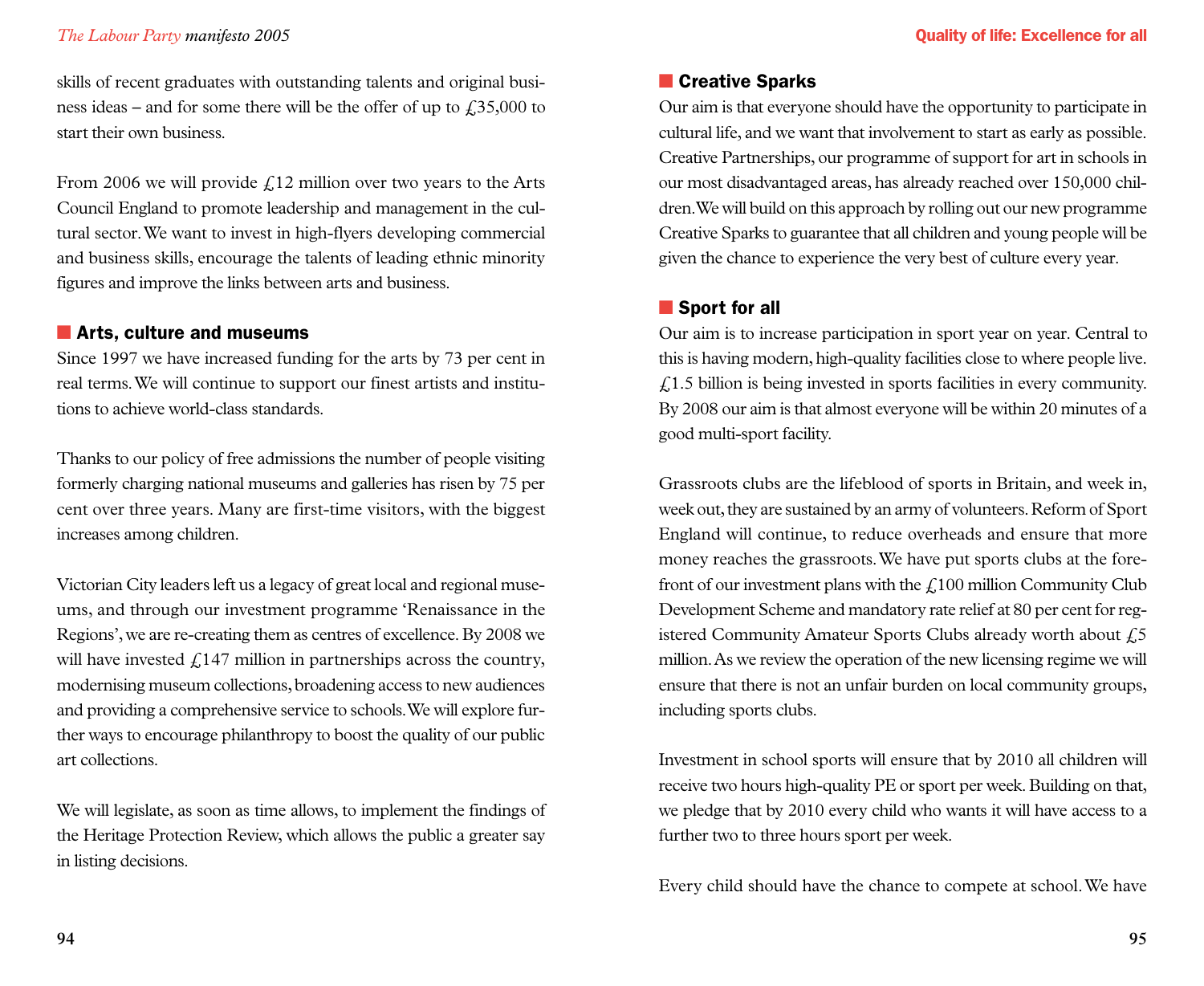skills of recent graduates with outstanding talents and original business ideas – and for some there will be the offer of up to  $\sqrt{.35,000}$  to start their own business.

From 2006 we will provide  $f<sub>12</sub>$  million over two years to the Arts Council England to promote leadership and management in the cultural sector.We want to invest in high-flyers developing commercial and business skills, encourage the talents of leading ethnic minority figures and improve the links between arts and business.

#### ■ **Arts, culture and museums**

Since 1997 we have increased funding for the arts by 73 per cent in real terms.We will continue to support our finest artists and institutions to achieve world-class standards.

Thanks to our policy of free admissions the number of people visiting formerly charging national museums and galleries has risen by 75 per cent over three years. Many are first-time visitors, with the biggest increases among children.

Victorian City leaders left us a legacy of great local and regional museums, and through our investment programme 'Renaissance in the Regions', we are re-creating them as centres of excellence. By 2008 we will have invested  $f(147)$  million in partnerships across the country, modernising museum collections,broadening access to new audiences and providing a comprehensive service to schools.We will explore further ways to encourage philanthropy to boost the quality of our public art collections.

We will legislate, as soon as time allows, to implement the findings of the Heritage Protection Review, which allows the public a greater say in listing decisions.

### ■ **Creative Sparks**

Our aim is that everyone should have the opportunity to participate in cultural life, and we want that involvement to start as early as possible. Creative Partnerships, our programme of support for art in schools in our most disadvantaged areas, has already reached over 150,000 children.We will build on this approach by rolling out our new programme Creative Sparks to guarantee that all children and young people will be given the chance to experience the very best of culture every year.

#### ■ **Sport for all**

Our aim is to increase participation in sport year on year. Central to this is having modern, high-quality facilities close to where people live. £1.5 billion is being invested in sports facilities in every community. By 2008 our aim is that almost everyone will be within 20 minutes of a good multi-sport facility.

Grassroots clubs are the lifeblood of sports in Britain, and week in, week out, they are sustained by an army of volunteers. Reform of Sport England will continue, to reduce overheads and ensure that more money reaches the grassroots.We have put sports clubs at the forefront of our investment plans with the  $f<sub>i</sub>100$  million Community Club Development Scheme and mandatory rate relief at 80 per cent for registered Community Amateur Sports Clubs already worth about  $f<sub>15</sub>$ million.As we review the operation of the new licensing regime we will ensure that there is not an unfair burden on local community groups, including sports clubs.

Investment in school sports will ensure that by 2010 all children will receive two hours high-quality PE or sport per week. Building on that, we pledge that by 2010 every child who wants it will have access to a further two to three hours sport per week.

Every child should have the chance to compete at school.We have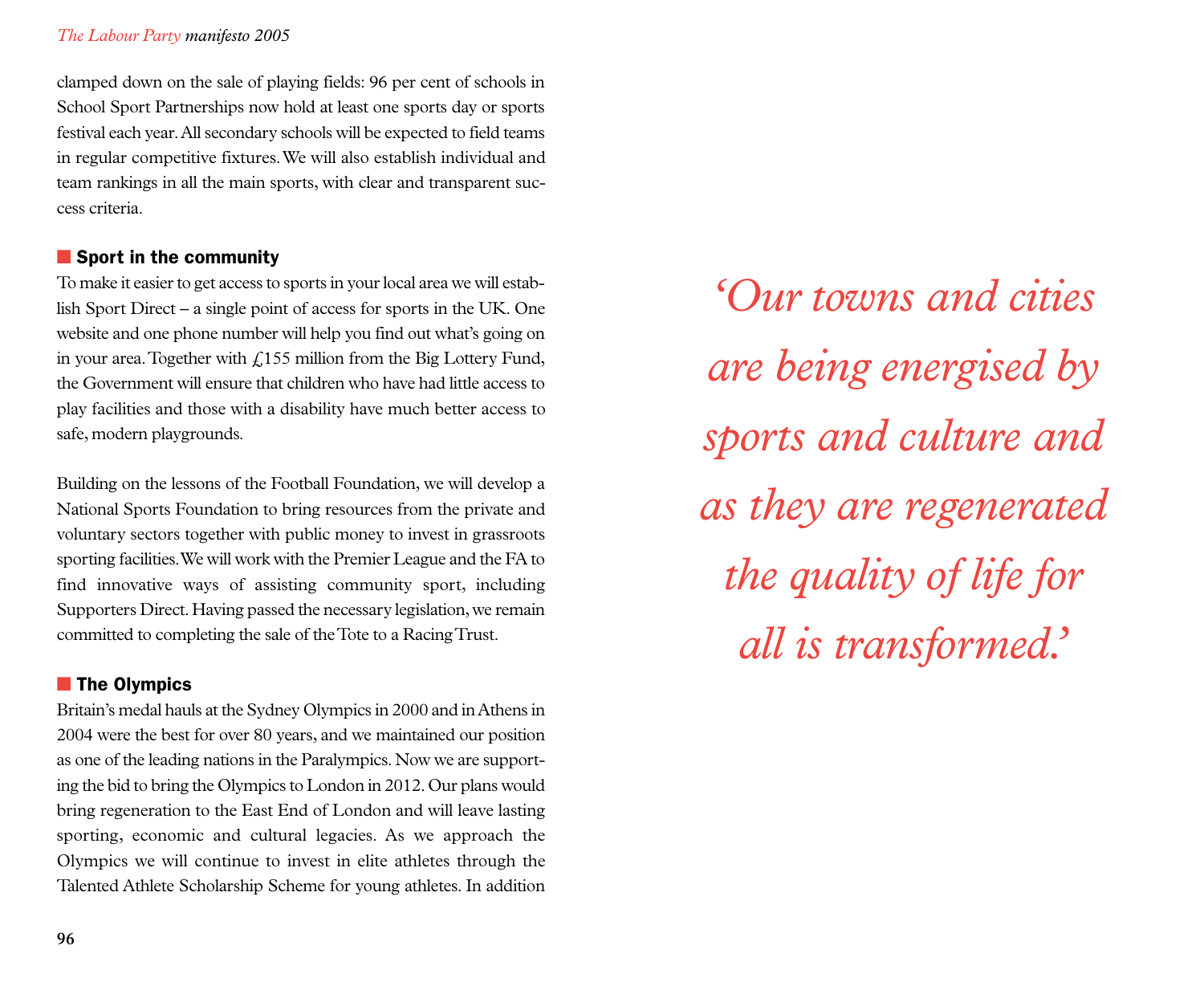clamped down on the sale of playing fields: 96 per cent of schools in School Sport Partnerships now hold at least one sports day or sports festival each year.All secondary schools will be expected to field teams in regular competitive fixtures.We will also establish individual and team rankings in all the main sports, with clear and transparent success criteria.

## ■ **Sport in the community**

To make it easier to get access to sports in your local area we will establish Sport Direct – a single point of access for sports in the UK. One website and one phone number will help you find out what's going on in your area. Together with  $f<sub>i</sub>$ , 155 million from the Big Lottery Fund, the Government will ensure that children who have had little access to play facilities and those with a disability have much better access to safe, modern playgrounds.

Building on the lessons of the Football Foundation, we will develop a National Sports Foundation to bring resources from the private and voluntary sectors together with public money to invest in grassroots sporting facilities.We will work with the Premier League and the FA to find innovative ways of assisting community sport, including Supporters Direct. Having passed the necessary legislation, we remain committed to completing the sale of the Tote to a Racing Trust.

## ■ **The Olympics**

Britain's medal hauls at the Sydney Olympics in 2000 and in Athens in 2004 were the best for over 80 years, and we maintained our position as one of the leading nations in the Paralympics. Now we are supporting the bid to bring the Olympics to London in 2012. Our plans would bring regeneration to the East End of London and will leave lasting sporting, economic and cultural legacies. As we approach the Olympics we will continue to invest in elite athletes through the Talented Athlete Scholarship Scheme for young athletes. In addition

*'Our towns and cities are being energised by sports and culture and as they are regenerated the quality of life for all is transformed.'*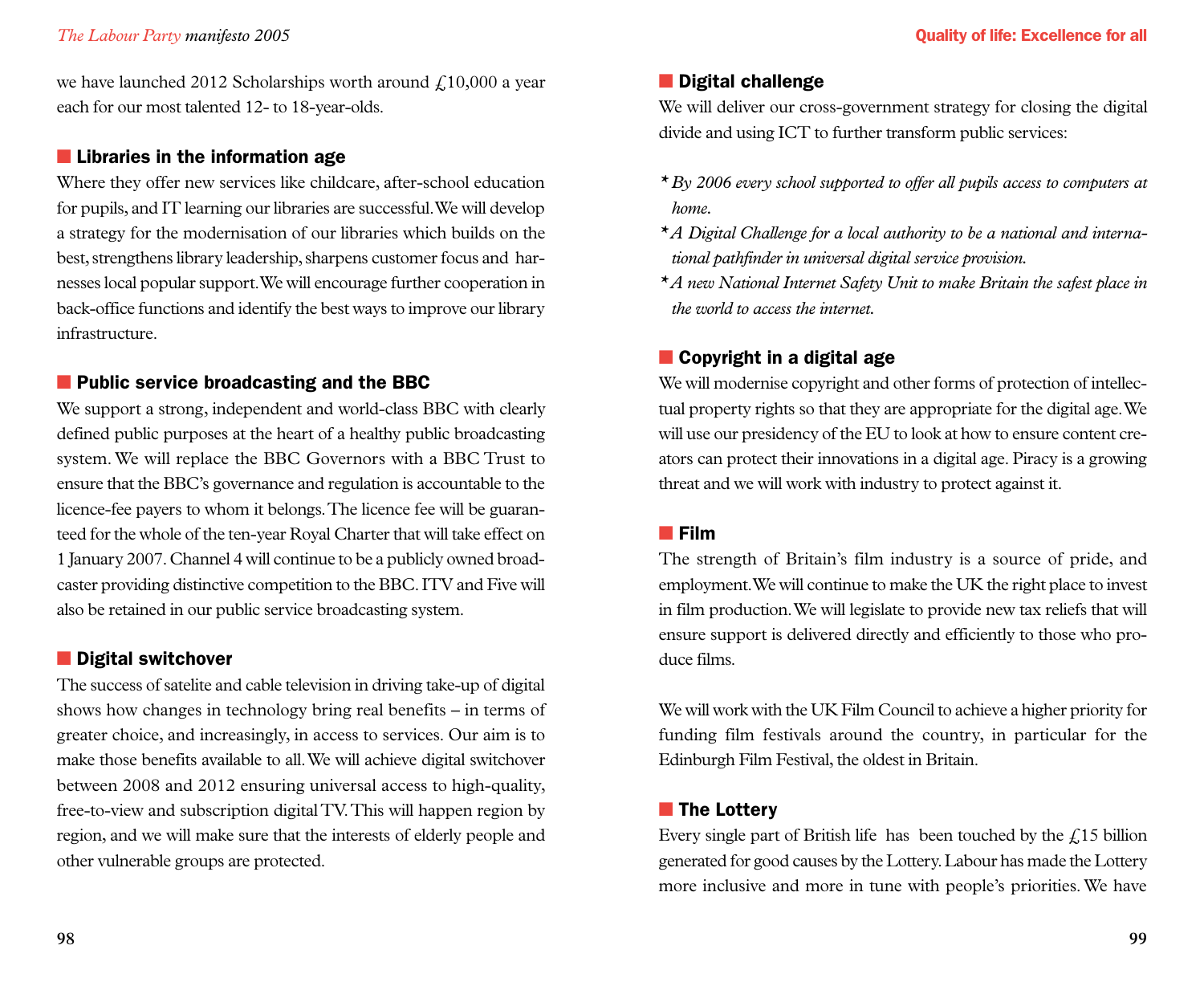we have launched 2012 Scholarships worth around  $f<sub>10,000</sub>$  a year each for our most talented 12- to 18-year-olds.

### ■ Libraries in the information age

Where they offer new services like childcare, after-school education for pupils, and IT learning our libraries are successful.We will develop a strategy for the modernisation of our libraries which builds on the best, strengthens library leadership, sharpens customer focus and harnesses local popular support.We will encourage further cooperation in back-office functions and identify the best ways to improve our library infrastructure.

#### ■ Public service broadcasting and the BBC

We support a strong, independent and world-class BBC with clearly defined public purposes at the heart of a healthy public broadcasting system.We will replace the BBC Governors with a BBC Trust to ensure that the BBC's governance and regulation is accountable to the licence-fee payers to whom it belongs.The licence fee will be guaranteed for the whole of the ten-year Royal Charter that will take effect on 1 January 2007.Channel 4 will continue to be a publicly owned broadcaster providing distinctive competition to the BBC.ITV and Five will also be retained in our public service broadcasting system.

## ■ **Digital switchover**

The success of satelite and cable television in driving take-up of digital shows how changes in technology bring real benefits – in terms of greater choice, and increasingly, in access to services. Our aim is to make those benefits available to all.We will achieve digital switchover between 2008 and 2012 ensuring universal access to high-quality, free-to-view and subscription digital TV.This will happen region by region, and we will make sure that the interests of elderly people and other vulnerable groups are protected.

## ■ **Digital challenge**

We will deliver our cross-government strategy for closing the digital divide and using ICT to further transform public services:

- *\* By 2006 every school supported to offer all pupils access to computers at home.*
- *\* A Digital Challenge for a local authority to be a national and international pathfinder in universal digital service provision.*
- *\* A new National Internet Safety Unit to make Britain the safest place in the world to access the internet.*

## ■ **Copyright in a digital age**

We will modernise copyright and other forms of protection of intellectual property rights so that they are appropriate for the digital age.We will use our presidency of the EU to look at how to ensure content creators can protect their innovations in a digital age. Piracy is a growing threat and we will work with industry to protect against it.

#### ■ **Film**

The strength of Britain's film industry is a source of pride, and employment.We will continue to make the UK the right place to invest in film production.We will legislate to provide new tax reliefs that will ensure support is delivered directly and efficiently to those who produce films.

We will work with the UK Film Council to achieve a higher priority for funding film festivals around the country, in particular for the Edinburgh Film Festival, the oldest in Britain.

## ■ **The Lottery**

Every single part of British life has been touched by the  $f<sub>i</sub>15$  billion generated for good causes by the Lottery.Labour has made the Lottery more inclusive and more in tune with people's priorities. We have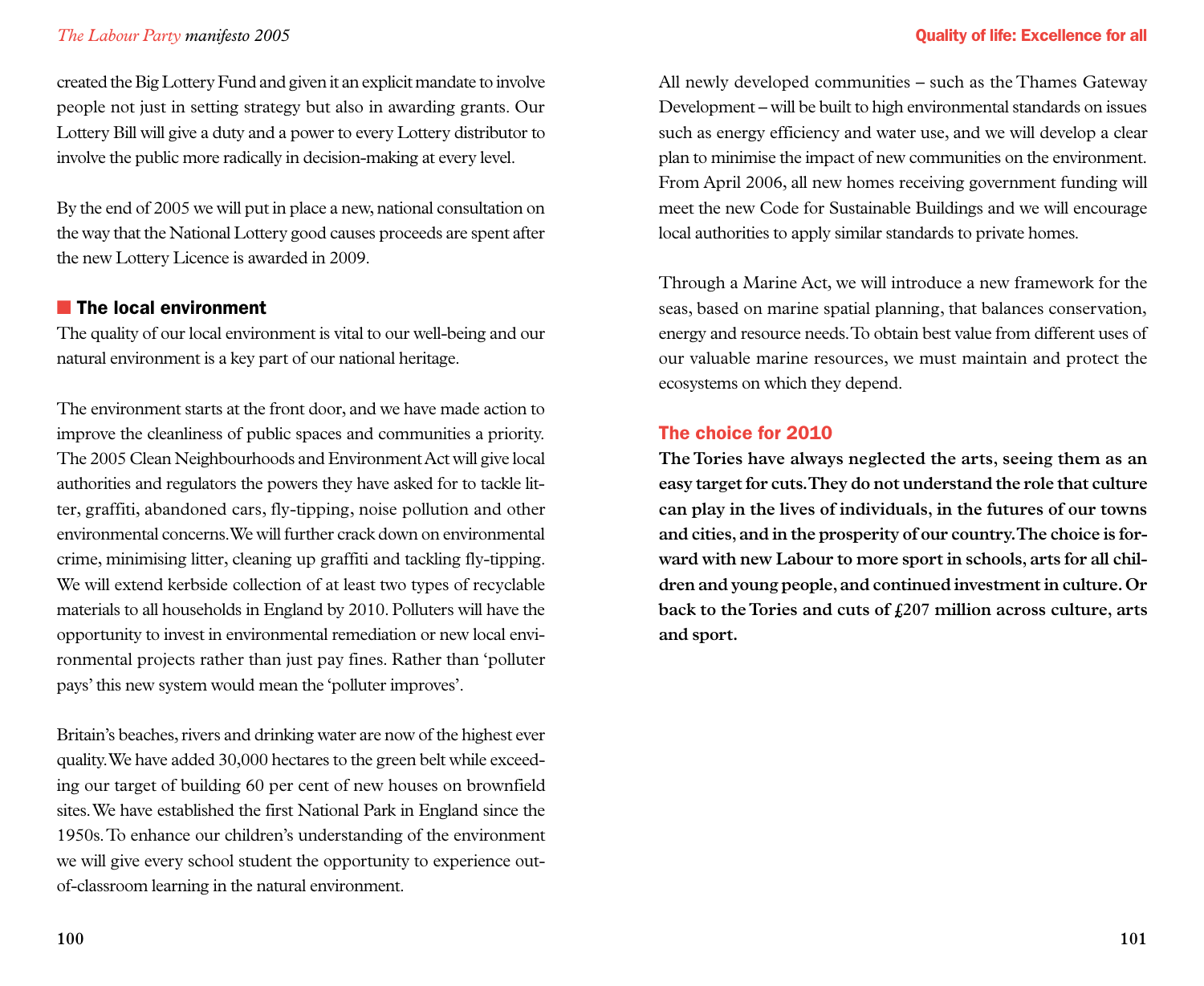#### **Quality of life: Excellence for all**

created the Big Lottery Fund and given it an explicit mandate to involve people not just in setting strategy but also in awarding grants. Our Lottery Bill will give a duty and a power to every Lottery distributor to involve the public more radically in decision-making at every level.

By the end of 2005 we will put in place a new, national consultation on the way that the National Lottery good causes proceeds are spent after the new Lottery Licence is awarded in 2009.

#### ■ **The local environment**

The quality of our local environment is vital to our well-being and our natural environment is a key part of our national heritage.

The environment starts at the front door, and we have made action to improve the cleanliness of public spaces and communities a priority. The 2005 Clean Neighbourhoods and Environment Act will give local authorities and regulators the powers they have asked for to tackle litter, graffiti, abandoned cars, fly-tipping, noise pollution and other environmental concerns.We will further crack down on environmental crime, minimising litter, cleaning up graffiti and tackling fly-tipping. We will extend kerbside collection of at least two types of recyclable materials to all households in England by 2010. Polluters will have the opportunity to invest in environmental remediation or new local environmental projects rather than just pay fines. Rather than 'polluter pays' this new system would mean the 'polluter improves'.

Britain's beaches, rivers and drinking water are now of the highest ever quality.We have added 30,000 hectares to the green belt while exceeding our target of building 60 per cent of new houses on brownfield sites.We have established the first National Park in England since the 1950s.To enhance our children's understanding of the environment we will give every school student the opportunity to experience outof-classroom learning in the natural environment.

All newly developed communities – such as the Thames Gateway Development – will be built to high environmental standards on issues such as energy efficiency and water use, and we will develop a clear plan to minimise the impact of new communities on the environment. From April 2006, all new homes receiving government funding will meet the new Code for Sustainable Buildings and we will encourage local authorities to apply similar standards to private homes.

Through a Marine Act, we will introduce a new framework for the seas, based on marine spatial planning, that balances conservation, energy and resource needs.To obtain best value from different uses of our valuable marine resources, we must maintain and protect the ecosystems on which they depend.

#### **The choice for 2010**

**The Tories have always neglected the arts, seeing them as an easy target for cuts.They do not understand the role that culture can play in the lives of individuals, in the futures of our towns and cities, and in the prosperity of our country.The choice is forward with new Labour to more sport in schools, arts for all children and young people,and continued investment in culture.Or back to the Tories and cuts of £207 million across culture, arts and sport.**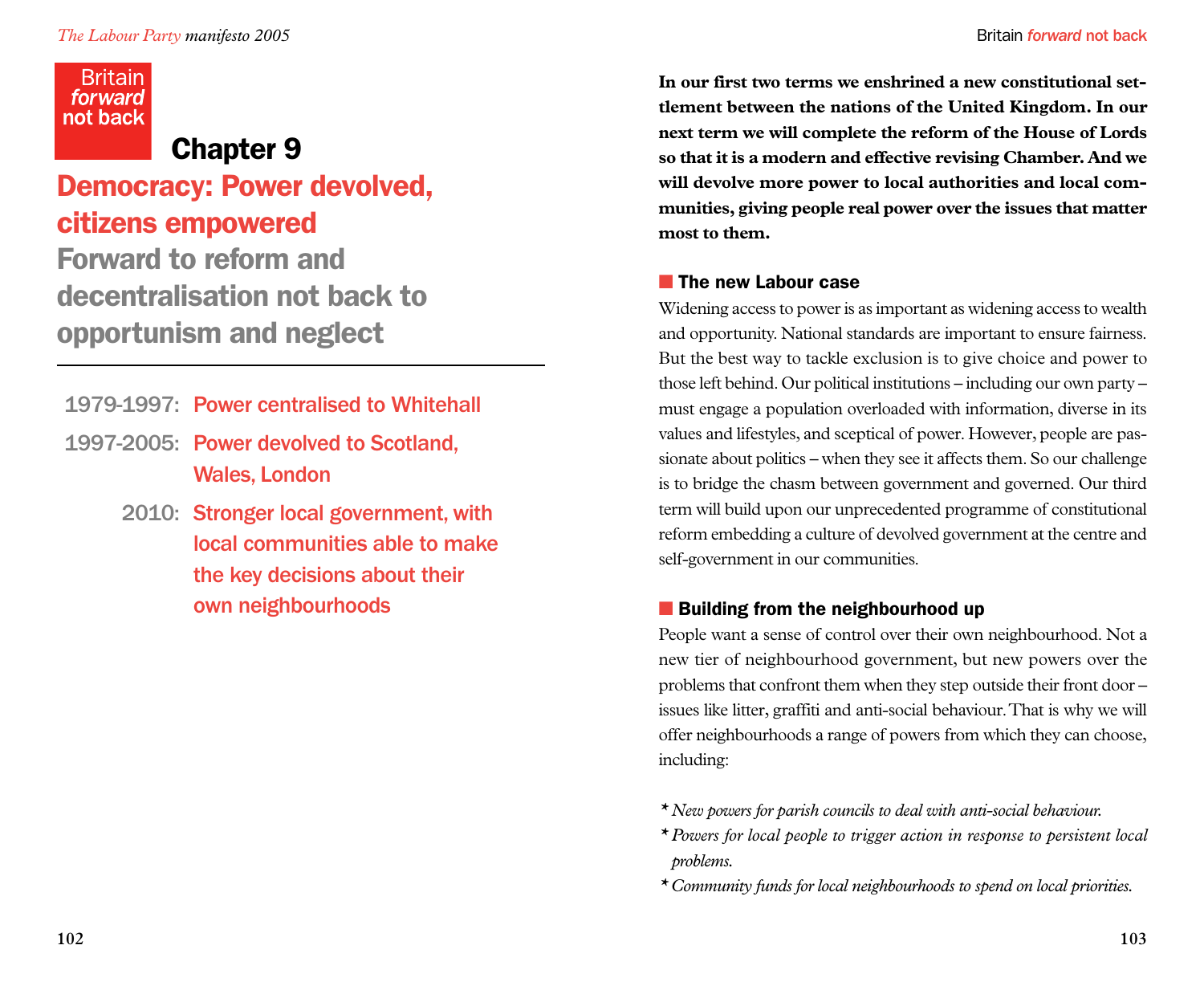

## **Chapter 9**

## **Democracy: Power devolved, citizens empowered**

**Forward to reform and decentralisation not back to opportunism and neglect**

- 1979-1997: Power centralised to Whitehall
- 1997-2005: Power devolved to Scotland, Wales, London
	- 2010: Stronger local government, with local communities able to make the key decisions about their own neighbourhoods

**In our first two terms we enshrined a new constitutional settlement between the nations of the United Kingdom. In our next term we will complete the reform of the House of Lords so that it is a modern and effective revising Chamber.And we will devolve more power to local authorities and local communities, giving people real power over the issues that matter most to them.**

## ■ **The new Labour case**

Widening access to power is as important as widening access to wealth and opportunity. National standards are important to ensure fairness. But the best way to tackle exclusion is to give choice and power to those left behind. Our political institutions – including our own party – must engage a population overloaded with information, diverse in its values and lifestyles, and sceptical of power. However, people are passionate about politics – when they see it affects them. So our challenge is to bridge the chasm between government and governed. Our third term will build upon our unprecedented programme of constitutional reform embedding a culture of devolved government at the centre and self-government in our communities.

## ■ **Building from the neighbourhood up**

People want a sense of control over their own neighbourhood. Not a new tier of neighbourhood government, but new powers over the problems that confront them when they step outside their front door – issues like litter, graffiti and anti-social behaviour.That is why we will offer neighbourhoods a range of powers from which they can choose, including:

- *\* New powers for parish councils to deal with anti-social behaviour.*
- *\* Powers for local people to trigger action in response to persistent local problems.*
- *\* Community funds for local neighbourhoods to spend on local priorities.*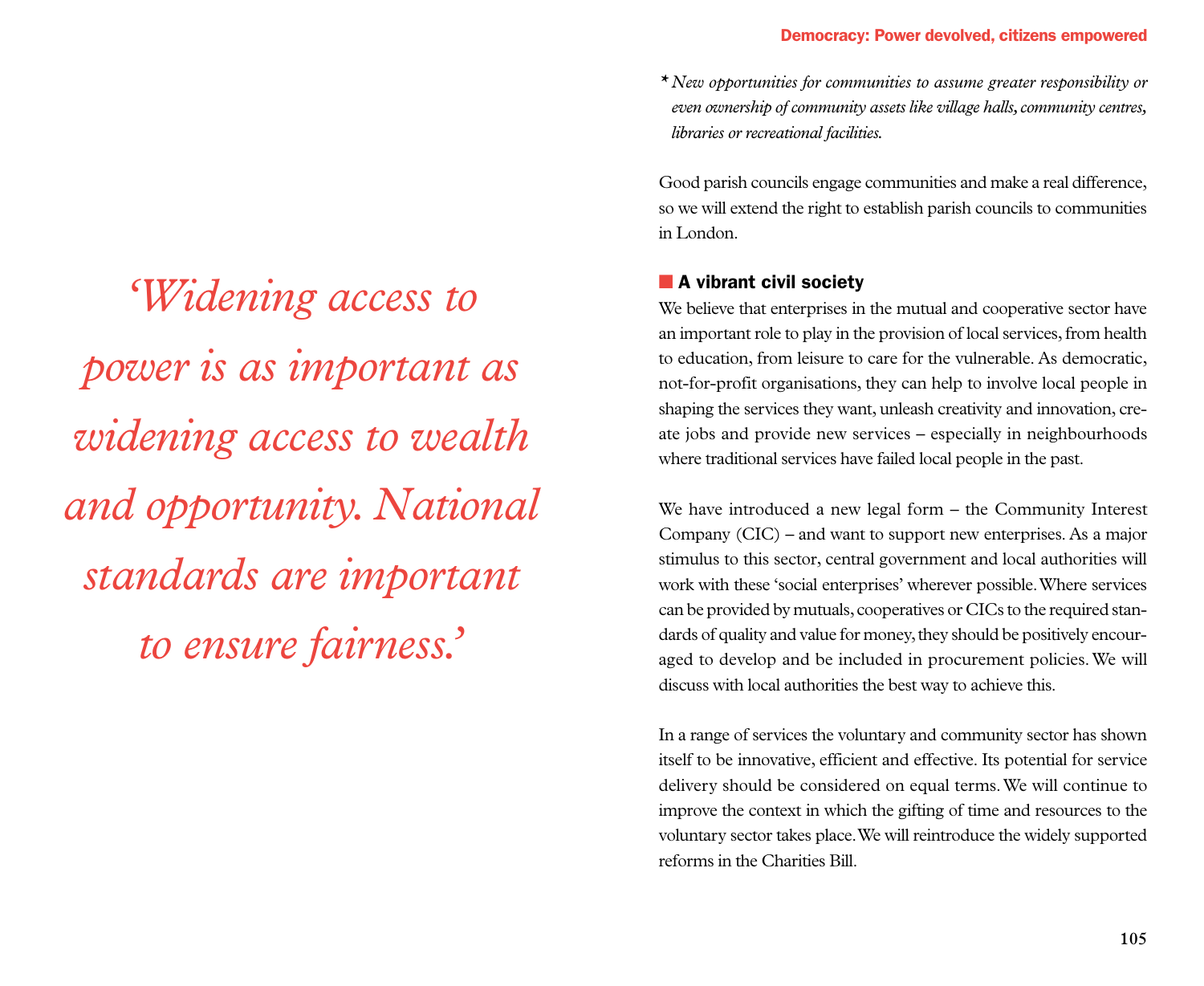*'Widening access to power is as important as widening access to wealth and opportunity. National standards are important to ensure fairness.'*

*\* New opportunities for communities to assume greater responsibility or even ownership of community assets like village halls,community centres, libraries or recreational facilities.*

Good parish councils engage communities and make a real difference, so we will extend the right to establish parish councils to communities in London.

## ■ **A vibrant civil society**

We believe that enterprises in the mutual and cooperative sector have an important role to play in the provision of local services, from health to education, from leisure to care for the vulnerable. As democratic, not-for-profit organisations, they can help to involve local people in shaping the services they want, unleash creativity and innovation, create jobs and provide new services – especially in neighbourhoods where traditional services have failed local people in the past.

We have introduced a new legal form – the Community Interest Company (CIC) – and want to support new enterprises. As a major stimulus to this sector, central government and local authorities will work with these 'social enterprises' wherever possible.Where services can be provided by mutuals, cooperatives or CICs to the required standards of quality and value for money, they should be positively encouraged to develop and be included in procurement policies. We will discuss with local authorities the best way to achieve this.

In a range of services the voluntary and community sector has shown itself to be innovative, efficient and effective. Its potential for service delivery should be considered on equal terms.We will continue to improve the context in which the gifting of time and resources to the voluntary sector takes place.We will reintroduce the widely supported reforms in the Charities Bill.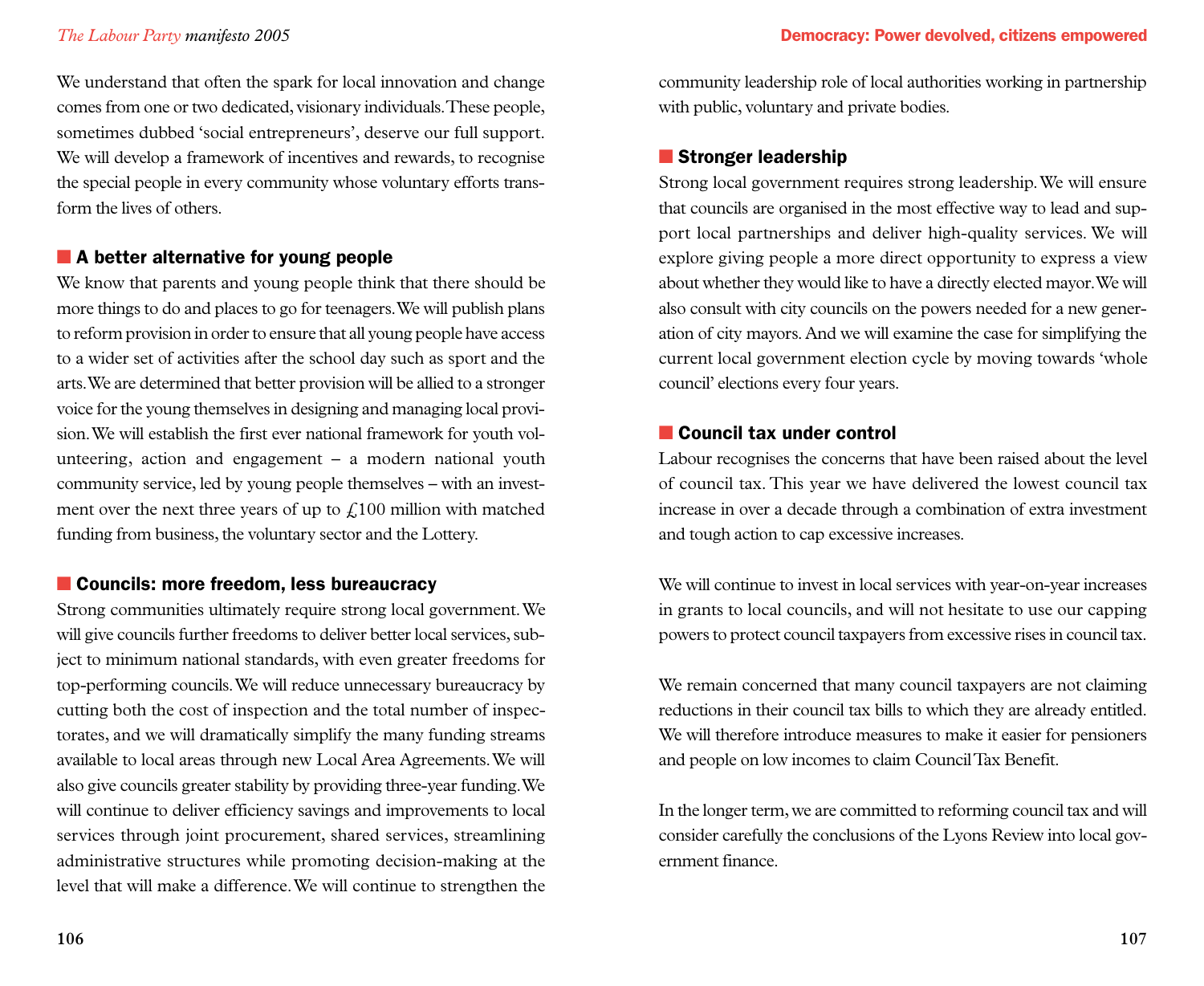We understand that often the spark for local innovation and change comes from one or two dedicated, visionary individuals.These people, sometimes dubbed 'social entrepreneurs', deserve our full support. We will develop a framework of incentives and rewards, to recognise the special people in every community whose voluntary efforts transform the lives of others.

## ■ **A** better alternative for young people

We know that parents and young people think that there should be more things to do and places to go for teenagers.We will publish plans to reform provision in order to ensure that all young people have access to a wider set of activities after the school day such as sport and the arts.We are determined that better provision will be allied to a stronger voice for the young themselves in designing and managing local provision.We will establish the first ever national framework for youth volunteering, action and engagement – a modern national youth community service, led by young people themselves – with an investment over the next three years of up to  $\ell$ , 100 million with matched funding from business, the voluntary sector and the Lottery.

## ■ **Councils: more freedom, less bureaucracy**

Strong communities ultimately require strong local government.We will give councils further freedoms to deliver better local services, subject to minimum national standards, with even greater freedoms for top-performing councils.We will reduce unnecessary bureaucracy by cutting both the cost of inspection and the total number of inspectorates, and we will dramatically simplify the many funding streams available to local areas through new Local Area Agreements.We will also give councils greater stability by providing three-year funding.We will continue to deliver efficiency savings and improvements to local services through joint procurement, shared services, streamlining administrative structures while promoting decision-making at the level that will make a difference.We will continue to strengthen the community leadership role of local authorities working in partnership with public, voluntary and private bodies.

## ■ **Stronger leadership**

Strong local government requires strong leadership.We will ensure that councils are organised in the most effective way to lead and support local partnerships and deliver high-quality services. We will explore giving people a more direct opportunity to express a view about whether they would like to have a directly elected mayor.We will also consult with city councils on the powers needed for a new generation of city mayors. And we will examine the case for simplifying the current local government election cycle by moving towards 'whole council' elections every four years.

## ■ **Council tax under control**

Labour recognises the concerns that have been raised about the level of council tax. This year we have delivered the lowest council tax increase in over a decade through a combination of extra investment and tough action to cap excessive increases.

We will continue to invest in local services with year-on-year increases in grants to local councils, and will not hesitate to use our capping powers to protect council taxpayers from excessive rises in council tax.

We remain concerned that many council taxpayers are not claiming reductions in their council tax bills to which they are already entitled. We will therefore introduce measures to make it easier for pensioners and people on low incomes to claim Council Tax Benefit.

In the longer term, we are committed to reforming council tax and will consider carefully the conclusions of the Lyons Review into local government finance.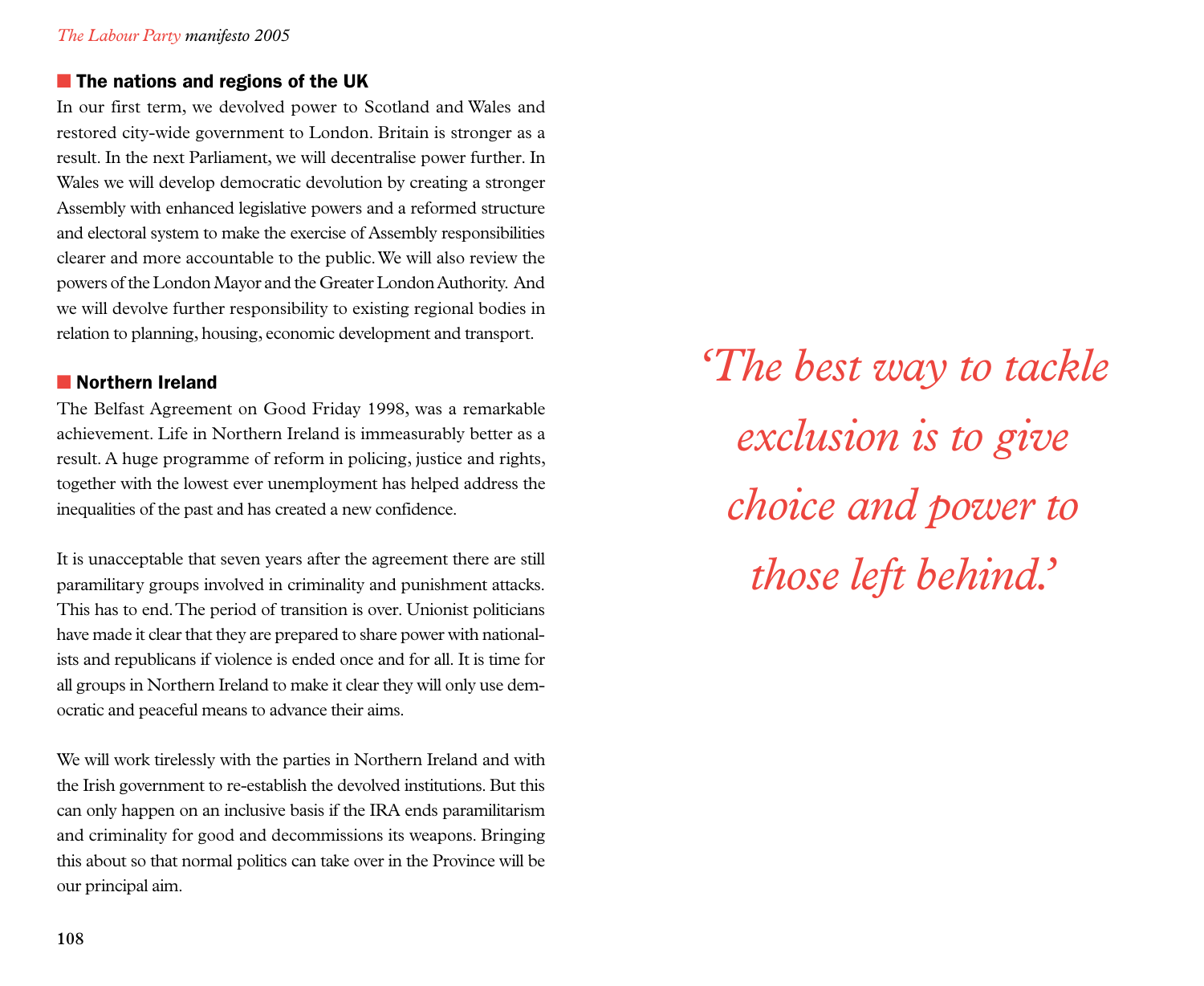## ■ **The nations and regions of the UK**

In our first term, we devolved power to Scotland and Wales and restored city-wide government to London. Britain is stronger as a result. In the next Parliament, we will decentralise power further. In Wales we will develop democratic devolution by creating a stronger Assembly with enhanced legislative powers and a reformed structure and electoral system to make the exercise of Assembly responsibilities clearer and more accountable to the public.We will also review the powers of the London Mayor and the Greater London Authority. And we will devolve further responsibility to existing regional bodies in relation to planning, housing, economic development and transport.

## ■ **Northern Ireland**

The Belfast Agreement on Good Friday 1998, was a remarkable achievement. Life in Northern Ireland is immeasurably better as a result. A huge programme of reform in policing, justice and rights, together with the lowest ever unemployment has helped address the inequalities of the past and has created a new confidence.

It is unacceptable that seven years after the agreement there are still paramilitary groups involved in criminality and punishment attacks. This has to end.The period of transition is over. Unionist politicians have made it clear that they are prepared to share power with nationalists and republicans if violence is ended once and for all. It is time for all groups in Northern Ireland to make it clear they will only use democratic and peaceful means to advance their aims.

We will work tirelessly with the parties in Northern Ireland and with the Irish government to re-establish the devolved institutions. But this can only happen on an inclusive basis if the IRA ends paramilitarism and criminality for good and decommissions its weapons. Bringing this about so that normal politics can take over in the Province will be our principal aim.

*'The best way to tackle exclusion is to give choice and power to those left behind.'*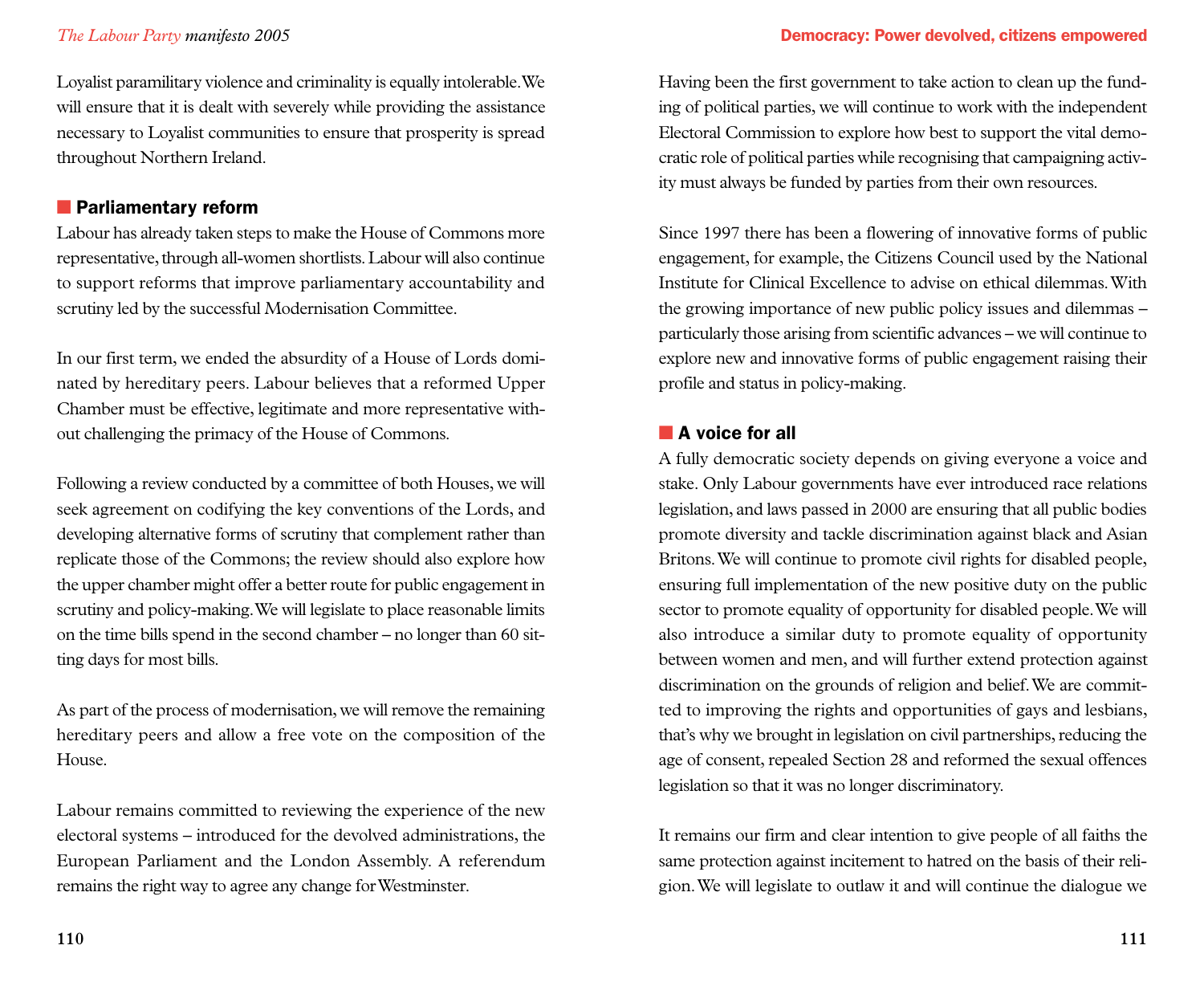#### **Democracy: Power devolved, citizens empowered**

Loyalist paramilitary violence and criminality is equally intolerable.We will ensure that it is dealt with severely while providing the assistance necessary to Loyalist communities to ensure that prosperity is spread throughout Northern Ireland.

## ■ **Parliamentary reform**

Labour has already taken steps to make the House of Commons more representative, through all-women shortlists. Labour will also continue to support reforms that improve parliamentary accountability and scrutiny led by the successful Modernisation Committee.

In our first term, we ended the absurdity of a House of Lords dominated by hereditary peers. Labour believes that a reformed Upper Chamber must be effective, legitimate and more representative without challenging the primacy of the House of Commons.

Following a review conducted by a committee of both Houses, we will seek agreement on codifying the key conventions of the Lords, and developing alternative forms of scrutiny that complement rather than replicate those of the Commons; the review should also explore how the upper chamber might offer a better route for public engagement in scrutiny and policy-making.We will legislate to place reasonable limits on the time bills spend in the second chamber – no longer than 60 sitting days for most bills.

As part of the process of modernisation, we will remove the remaining hereditary peers and allow a free vote on the composition of the House.

Labour remains committed to reviewing the experience of the new electoral systems – introduced for the devolved administrations, the European Parliament and the London Assembly. A referendum remains the right way to agree any change for Westminster.

Having been the first government to take action to clean up the funding of political parties, we will continue to work with the independent Electoral Commission to explore how best to support the vital democratic role of political parties while recognising that campaigning activity must always be funded by parties from their own resources.

Since 1997 there has been a flowering of innovative forms of public engagement, for example, the Citizens Council used by the National Institute for Clinical Excellence to advise on ethical dilemmas.With the growing importance of new public policy issues and dilemmas – particularly those arising from scientific advances – we will continue to explore new and innovative forms of public engagement raising their profile and status in policy-making.

#### ■ **A voice for all**

A fully democratic society depends on giving everyone a voice and stake. Only Labour governments have ever introduced race relations legislation, and laws passed in 2000 are ensuring that all public bodies promote diversity and tackle discrimination against black and Asian Britons.We will continue to promote civil rights for disabled people, ensuring full implementation of the new positive duty on the public sector to promote equality of opportunity for disabled people.We will also introduce a similar duty to promote equality of opportunity between women and men, and will further extend protection against discrimination on the grounds of religion and belief.We are committed to improving the rights and opportunities of gays and lesbians, that's why we brought in legislation on civil partnerships, reducing the age of consent, repealed Section 28 and reformed the sexual offences legislation so that it was no longer discriminatory.

It remains our firm and clear intention to give people of all faiths the same protection against incitement to hatred on the basis of their religion.We will legislate to outlaw it and will continue the dialogue we